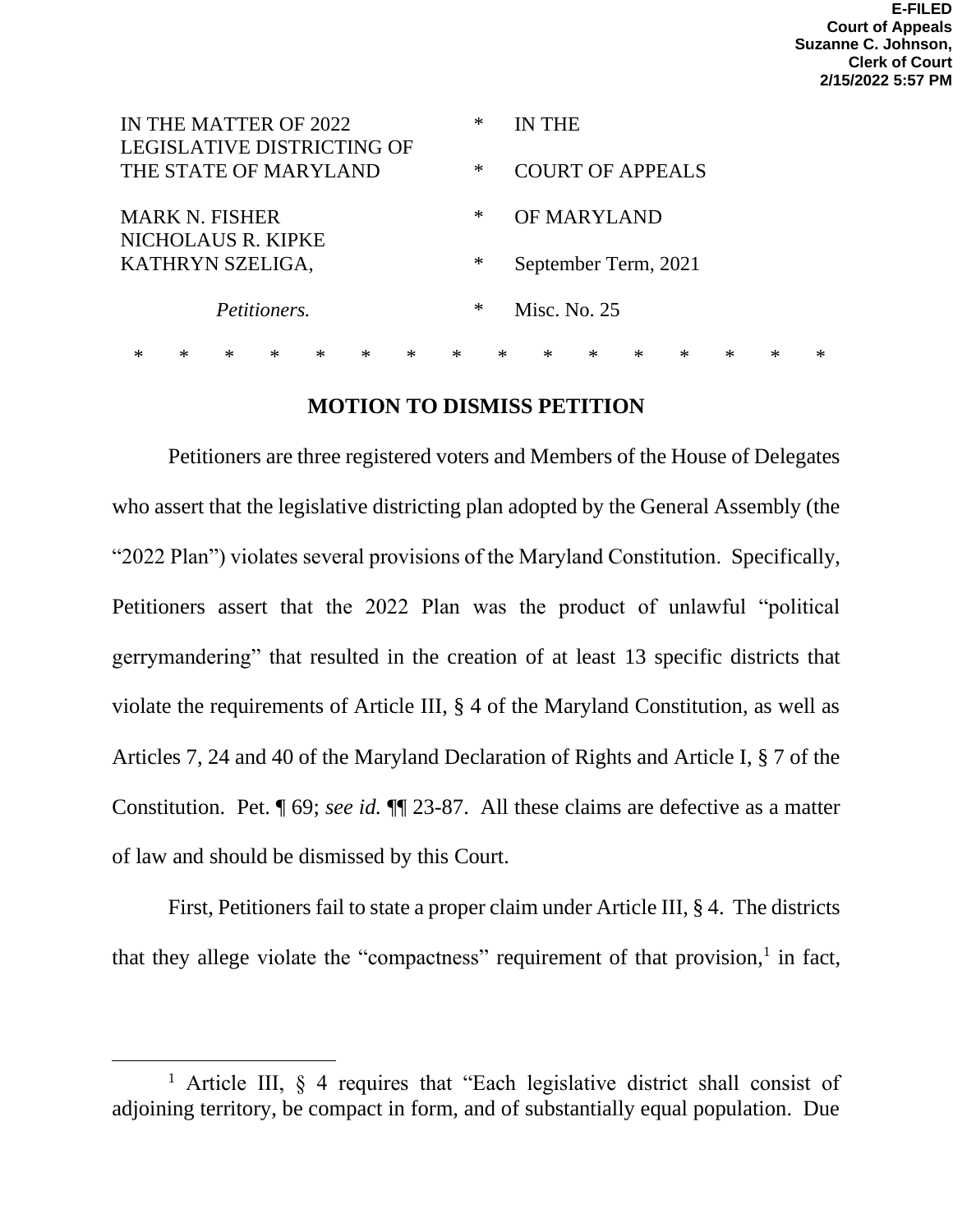| IN THE MATTER OF 2022                                      |  |        |              |  |        |        |   | ∗                    |                         | <b>IN THE</b> |              |   |  |   |  |   |
|------------------------------------------------------------|--|--------|--------------|--|--------|--------|---|----------------------|-------------------------|---------------|--------------|---|--|---|--|---|
| <b>LEGISLATIVE DISTRICTING OF</b><br>THE STATE OF MARYLAND |  |        |              |  |        |        |   | ∗                    | <b>COURT OF APPEALS</b> |               |              |   |  |   |  |   |
| <b>MARK N. FISHER</b>                                      |  |        |              |  |        |        |   | ∗                    | OF MARYLAND             |               |              |   |  |   |  |   |
| NICHOLAUS R. KIPKE<br>KATHRYN SZELIGA,                     |  |        |              |  |        |        | ∗ | September Term, 2021 |                         |               |              |   |  |   |  |   |
|                                                            |  |        | Petitioners. |  |        |        |   | $\ast$               |                         |               | Misc. No. 25 |   |  |   |  |   |
| ж                                                          |  | $\ast$ | $\ast$       |  | $\ast$ | $\ast$ | * | $\ast$               |                         | $\ast$        | $\ast$       | ∗ |  | ∗ |  | ∗ |

## **MOTION TO DISMISS PETITION**

Petitioners are three registered voters and Members of the House of Delegates who assert that the legislative districting plan adopted by the General Assembly (the "2022 Plan") violates several provisions of the Maryland Constitution. Specifically, Petitioners assert that the 2022 Plan was the product of unlawful "political gerrymandering" that resulted in the creation of at least 13 specific districts that violate the requirements of Article III, § 4 of the Maryland Constitution, as well as Articles 7, 24 and 40 of the Maryland Declaration of Rights and Article I, § 7 of the Constitution. Pet. ¶ 69; *see id.* ¶¶ 23-87. All these claims are defective as a matter of law and should be dismissed by this Court.

First, Petitioners fail to state a proper claim under Article III, § 4. The districts that they allege violate the "compactness" requirement of that provision, $<sup>1</sup>$  in fact,</sup>

<sup>1</sup> Article III, § 4 requires that "Each legislative district shall consist of adjoining territory, be compact in form, and of substantially equal population. Due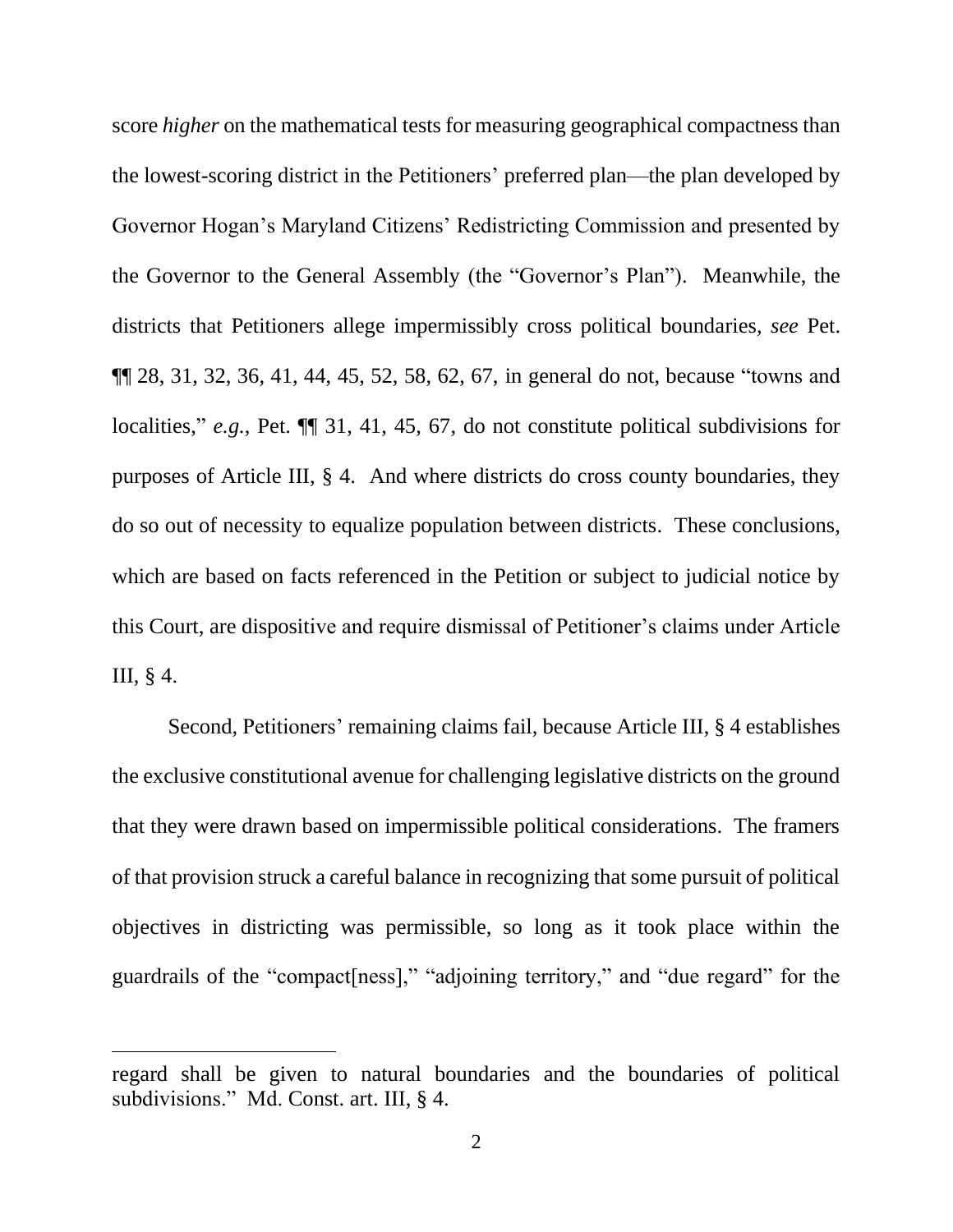score *higher* on the mathematical tests for measuring geographical compactness than the lowest-scoring district in the Petitioners' preferred plan—the plan developed by Governor Hogan's Maryland Citizens' Redistricting Commission and presented by the Governor to the General Assembly (the "Governor's Plan"). Meanwhile, the districts that Petitioners allege impermissibly cross political boundaries, *see* Pet. ¶¶ 28, 31, 32, 36, 41, 44, 45, 52, 58, 62, 67, in general do not, because "towns and localities," *e.g.*, Pet. ¶¶ 31, 41, 45, 67, do not constitute political subdivisions for purposes of Article III, § 4. And where districts do cross county boundaries, they do so out of necessity to equalize population between districts. These conclusions, which are based on facts referenced in the Petition or subject to judicial notice by this Court, are dispositive and require dismissal of Petitioner's claims under Article III, § 4.

Second, Petitioners' remaining claims fail, because Article III, § 4 establishes the exclusive constitutional avenue for challenging legislative districts on the ground that they were drawn based on impermissible political considerations. The framers of that provision struck a careful balance in recognizing that some pursuit of political objectives in districting was permissible, so long as it took place within the guardrails of the "compact[ness]," "adjoining territory," and "due regard" for the

regard shall be given to natural boundaries and the boundaries of political subdivisions." Md. Const. art. III, § 4.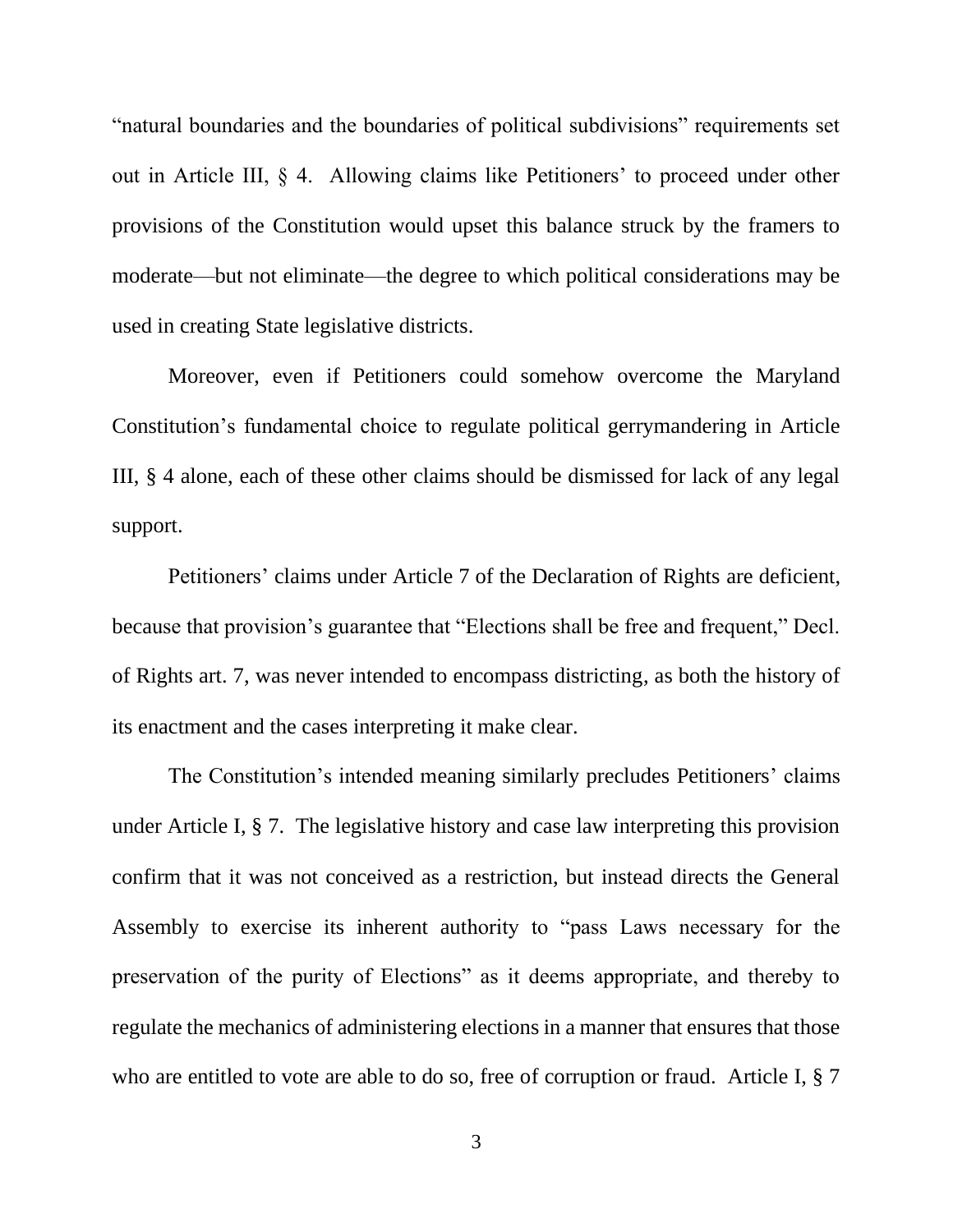"natural boundaries and the boundaries of political subdivisions" requirements set out in Article III, § 4. Allowing claims like Petitioners' to proceed under other provisions of the Constitution would upset this balance struck by the framers to moderate—but not eliminate—the degree to which political considerations may be used in creating State legislative districts.

Moreover, even if Petitioners could somehow overcome the Maryland Constitution's fundamental choice to regulate political gerrymandering in Article III, § 4 alone, each of these other claims should be dismissed for lack of any legal support.

Petitioners' claims under Article 7 of the Declaration of Rights are deficient, because that provision's guarantee that "Elections shall be free and frequent," Decl. of Rights art. 7, was never intended to encompass districting, as both the history of its enactment and the cases interpreting it make clear.

The Constitution's intended meaning similarly precludes Petitioners' claims under Article I, § 7. The legislative history and case law interpreting this provision confirm that it was not conceived as a restriction, but instead directs the General Assembly to exercise its inherent authority to "pass Laws necessary for the preservation of the purity of Elections" as it deems appropriate, and thereby to regulate the mechanics of administering elections in a manner that ensures that those who are entitled to vote are able to do so, free of corruption or fraud. Article I,  $\S 7$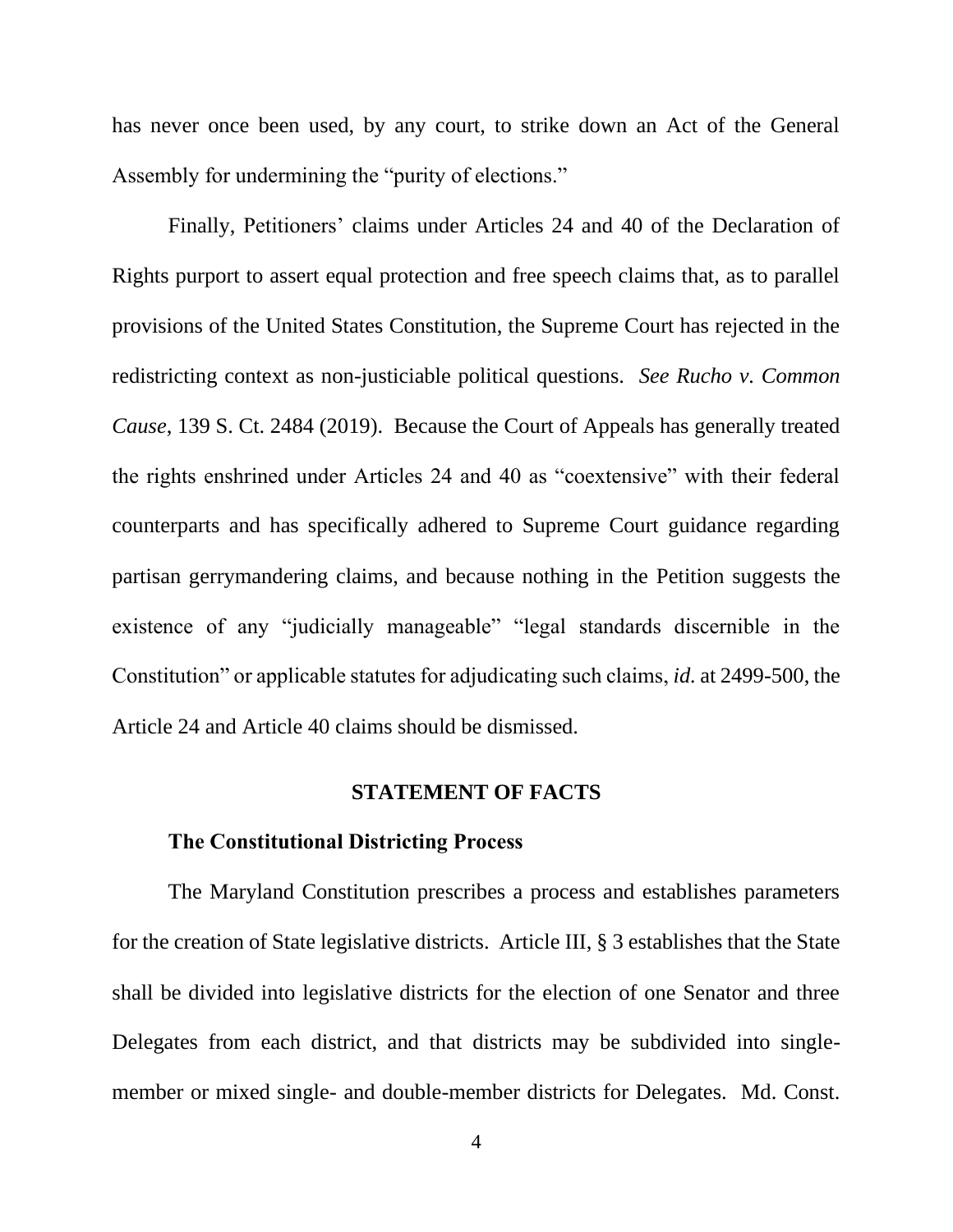has never once been used, by any court, to strike down an Act of the General Assembly for undermining the "purity of elections."

Finally, Petitioners' claims under Articles 24 and 40 of the Declaration of Rights purport to assert equal protection and free speech claims that, as to parallel provisions of the United States Constitution, the Supreme Court has rejected in the redistricting context as non-justiciable political questions. *See Rucho v. Common Cause*, 139 S. Ct. 2484 (2019). Because the Court of Appeals has generally treated the rights enshrined under Articles 24 and 40 as "coextensive" with their federal counterparts and has specifically adhered to Supreme Court guidance regarding partisan gerrymandering claims, and because nothing in the Petition suggests the existence of any "judicially manageable" "legal standards discernible in the Constitution" or applicable statutes for adjudicating such claims, *id.* at 2499-500, the Article 24 and Article 40 claims should be dismissed.

### **STATEMENT OF FACTS**

### **The Constitutional Districting Process**

The Maryland Constitution prescribes a process and establishes parameters for the creation of State legislative districts. Article III, § 3 establishes that the State shall be divided into legislative districts for the election of one Senator and three Delegates from each district, and that districts may be subdivided into singlemember or mixed single- and double-member districts for Delegates. Md. Const.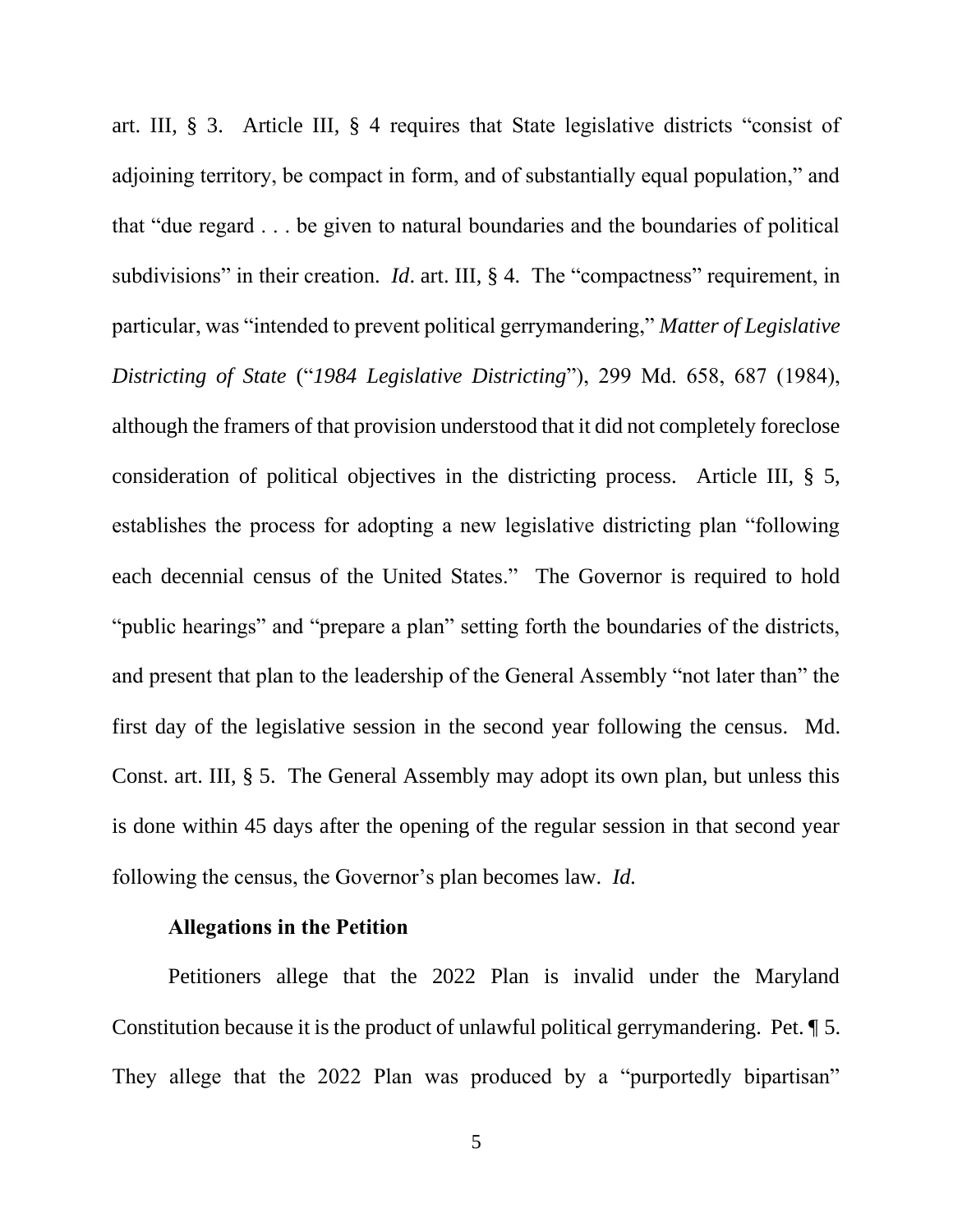art. III, § 3. Article III, § 4 requires that State legislative districts "consist of adjoining territory, be compact in form, and of substantially equal population," and that "due regard . . . be given to natural boundaries and the boundaries of political subdivisions" in their creation. *Id.* art. III, § 4. The "compactness" requirement, in particular, was "intended to prevent political gerrymandering," *Matter of Legislative Districting of State* ("*1984 Legislative Districting*"), 299 Md. 658, 687 (1984), although the framers of that provision understood that it did not completely foreclose consideration of political objectives in the districting process. Article III, § 5, establishes the process for adopting a new legislative districting plan "following each decennial census of the United States." The Governor is required to hold "public hearings" and "prepare a plan" setting forth the boundaries of the districts, and present that plan to the leadership of the General Assembly "not later than" the first day of the legislative session in the second year following the census. Md. Const. art. III, § 5. The General Assembly may adopt its own plan, but unless this is done within 45 days after the opening of the regular session in that second year following the census, the Governor's plan becomes law. *Id.*

### **Allegations in the Petition**

Petitioners allege that the 2022 Plan is invalid under the Maryland Constitution because it is the product of unlawful political gerrymandering. Pet. ¶ 5. They allege that the 2022 Plan was produced by a "purportedly bipartisan"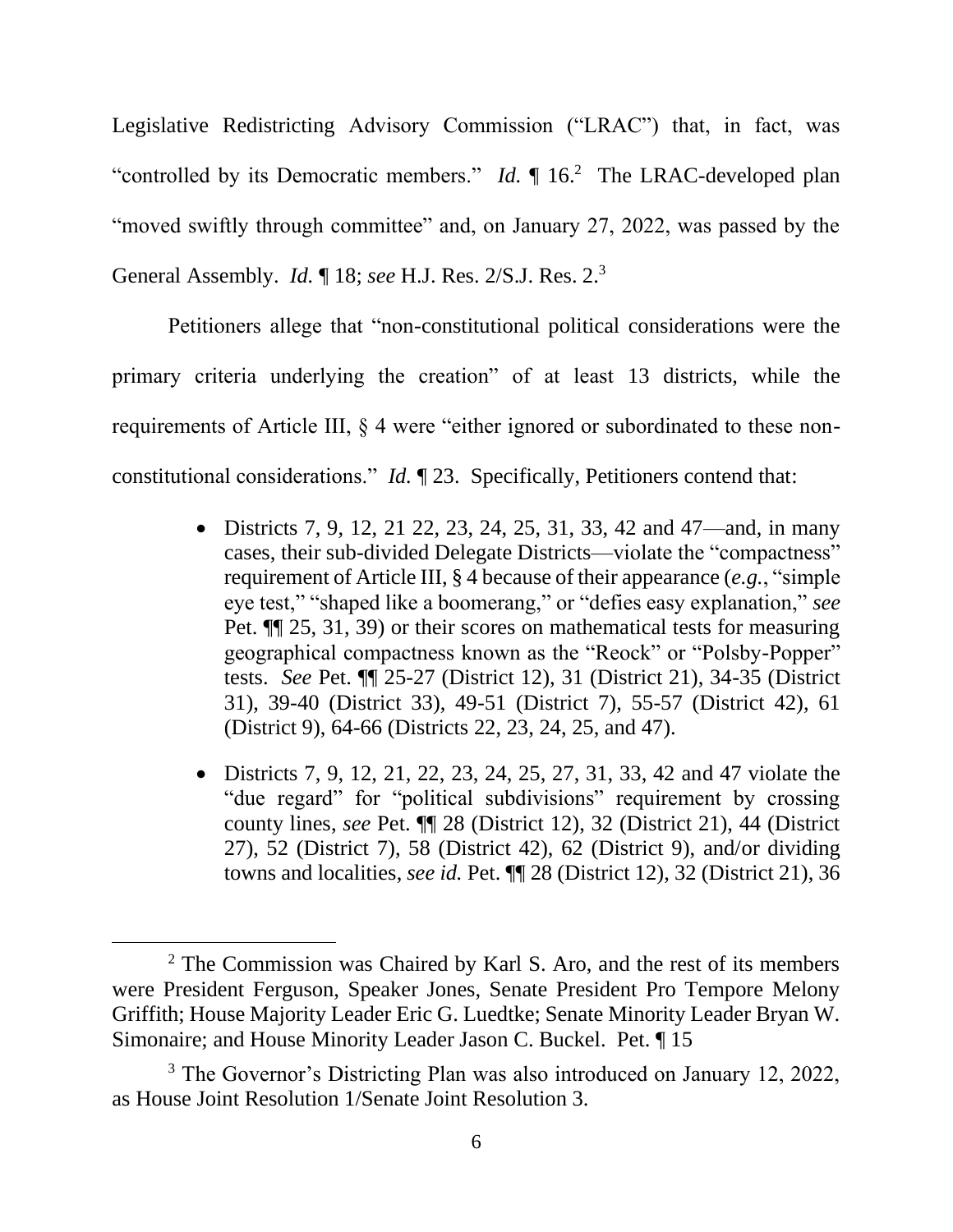Legislative Redistricting Advisory Commission ("LRAC") that, in fact, was "controlled by its Democratic members."  $Id$ .  $\P$  16.<sup>2</sup> The LRAC-developed plan "moved swiftly through committee" and, on January 27, 2022, was passed by the General Assembly. *Id.* ¶ 18; *see* H.J. Res. 2/S.J. Res. 2. 3

Petitioners allege that "non-constitutional political considerations were the primary criteria underlying the creation" of at least 13 districts, while the requirements of Article III, § 4 were "either ignored or subordinated to these nonconstitutional considerations." *Id.* ¶ 23. Specifically, Petitioners contend that:

- Districts 7, 9, 12, 21 22, 23, 24, 25, 31, 33, 42 and 47—and, in many cases, their sub-divided Delegate Districts—violate the "compactness" requirement of Article III, § 4 because of their appearance (*e.g.*, "simple eye test," "shaped like a boomerang," or "defies easy explanation," *see*  Pet. ¶¶ 25, 31, 39) or their scores on mathematical tests for measuring geographical compactness known as the "Reock" or "Polsby-Popper" tests. *See* Pet. ¶¶ 25-27 (District 12), 31 (District 21), 34-35 (District 31), 39-40 (District 33), 49-51 (District 7), 55-57 (District 42), 61 (District 9), 64-66 (Districts 22, 23, 24, 25, and 47).
- Districts 7, 9, 12, 21, 22, 23, 24, 25, 27, 31, 33, 42 and 47 violate the "due regard" for "political subdivisions" requirement by crossing county lines, *see* Pet. ¶¶ 28 (District 12), 32 (District 21), 44 (District 27), 52 (District 7), 58 (District 42), 62 (District 9), and/or dividing towns and localities, *see id.* Pet. ¶¶ 28 (District 12), 32 (District 21), 36

<sup>2</sup> The Commission was Chaired by Karl S. Aro, and the rest of its members were President Ferguson, Speaker Jones, Senate President Pro Tempore Melony Griffith; House Majority Leader Eric G. Luedtke; Senate Minority Leader Bryan W. Simonaire; and House Minority Leader Jason C. Buckel. Pet. ¶ 15

<sup>&</sup>lt;sup>3</sup> The Governor's Districting Plan was also introduced on January 12, 2022, as House Joint Resolution 1/Senate Joint Resolution 3.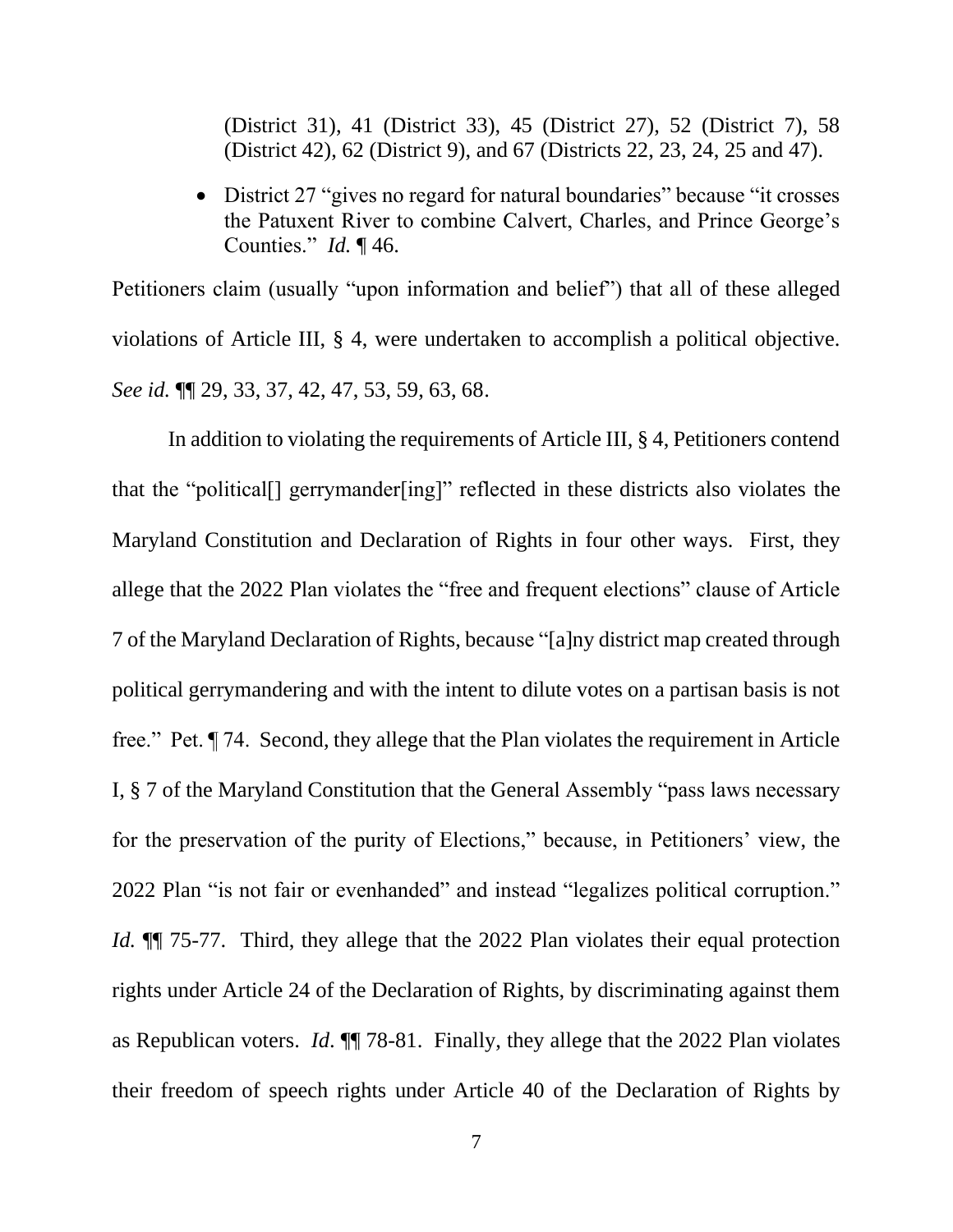(District 31), 41 (District 33), 45 (District 27), 52 (District 7), 58 (District 42), 62 (District 9), and 67 (Districts 22, 23, 24, 25 and 47).

• District 27 "gives no regard for natural boundaries" because "it crosses" the Patuxent River to combine Calvert, Charles, and Prince George's Counties." *Id.* ¶ 46.

Petitioners claim (usually "upon information and belief") that all of these alleged violations of Article III, § 4, were undertaken to accomplish a political objective. *See id.* ¶¶ 29, 33, 37, 42, 47, 53, 59, 63, 68.

In addition to violating the requirements of Article III, § 4, Petitioners contend that the "political[] gerrymander[ing]" reflected in these districts also violates the Maryland Constitution and Declaration of Rights in four other ways. First, they allege that the 2022 Plan violates the "free and frequent elections" clause of Article 7 of the Maryland Declaration of Rights, because "[a]ny district map created through political gerrymandering and with the intent to dilute votes on a partisan basis is not free." Pet. ¶ 74. Second, they allege that the Plan violates the requirement in Article I, § 7 of the Maryland Constitution that the General Assembly "pass laws necessary for the preservation of the purity of Elections," because, in Petitioners' view, the 2022 Plan "is not fair or evenhanded" and instead "legalizes political corruption." *Id.* **[1]** 75-77. Third, they allege that the 2022 Plan violates their equal protection rights under Article 24 of the Declaration of Rights, by discriminating against them as Republican voters. *Id*. ¶¶ 78-81. Finally, they allege that the 2022 Plan violates their freedom of speech rights under Article 40 of the Declaration of Rights by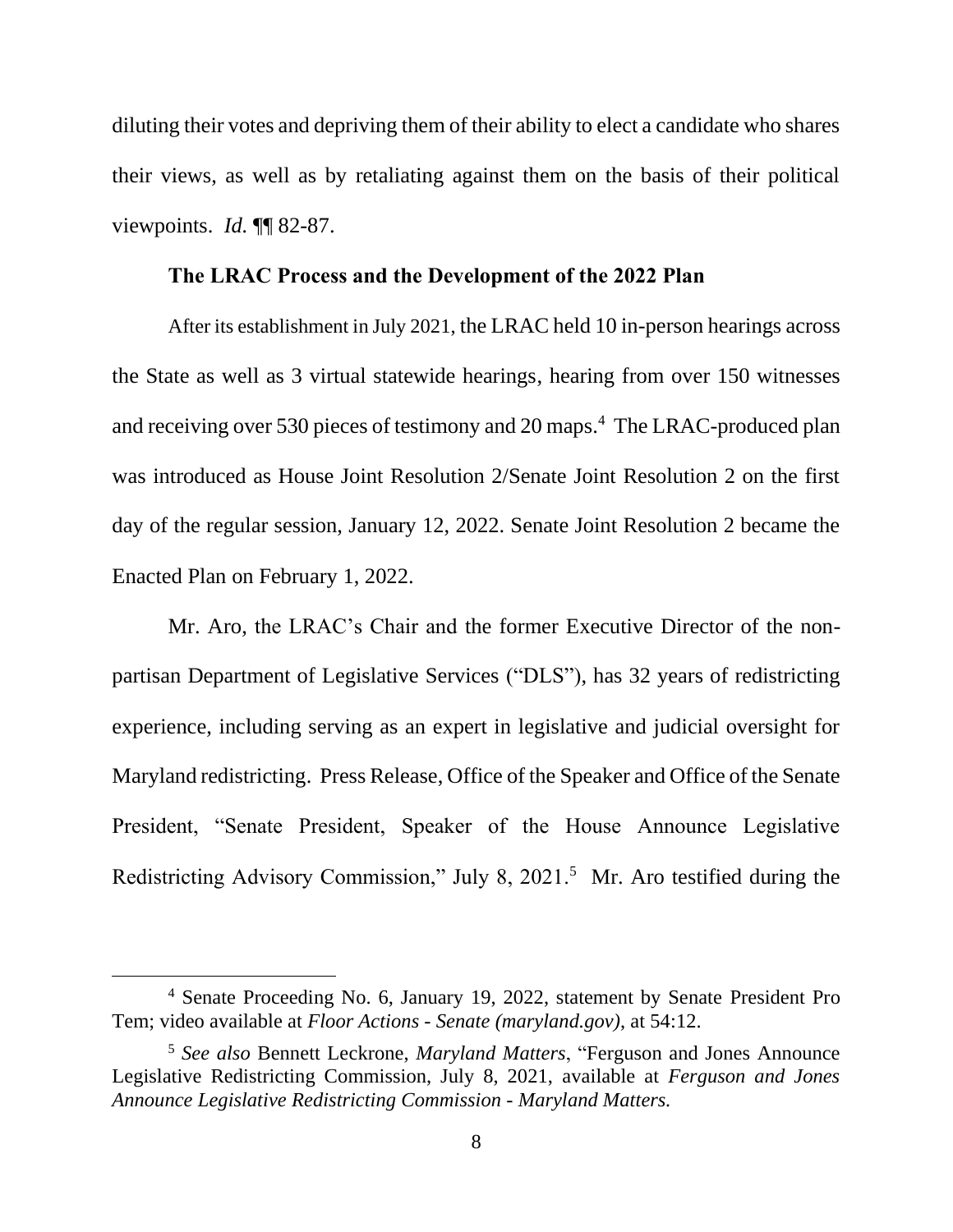diluting their votes and depriving them of their ability to elect a candidate who shares their views, as well as by retaliating against them on the basis of their political viewpoints. *Id.* ¶¶ 82-87.

### **The LRAC Process and the Development of the 2022 Plan**

After its establishment in July 2021, the LRAC held 10 in-person hearings across the State as well as 3 virtual statewide hearings, hearing from over 150 witnesses and receiving over 530 pieces of testimony and 20 maps.<sup>4</sup> The LRAC-produced plan was introduced as House Joint Resolution 2/Senate Joint Resolution 2 on the first day of the regular session, January 12, 2022. Senate Joint Resolution 2 became the Enacted Plan on February 1, 2022.

Mr. Aro, the LRAC's Chair and the former Executive Director of the nonpartisan Department of Legislative Services ("DLS"), has 32 years of redistricting experience, including serving as an expert in legislative and judicial oversight for Maryland redistricting. Press Release, Office of the Speaker and Office of the Senate President, "Senate President, Speaker of the House Announce Legislative Redistricting Advisory Commission," July 8, 2021.<sup>5</sup> Mr. Aro testified during the

<sup>4</sup> Senate Proceeding No. 6, January 19, 2022, statement by Senate President Pro Tem; video available at *Floor Actions - [Senate \(maryland.gov\)](https://mgaleg.maryland.gov/mgawebsite/FloorActions/Media/senate-6-?year=2022RS)*, at 54:12.

<sup>5</sup> *See also* Bennett Leckrone, *Maryland Matters*, "Ferguson and Jones Announce Legislative Redistricting Commission, July 8, 2021, available at *[Ferguson and Jones](https://www.marylandmatters.org/2021/07/08/ferguson-and-jones-announce-legislative-redistricting-commission/)  [Announce Legislative Redistricting Commission -](https://www.marylandmatters.org/2021/07/08/ferguson-and-jones-announce-legislative-redistricting-commission/) Maryland Matters.*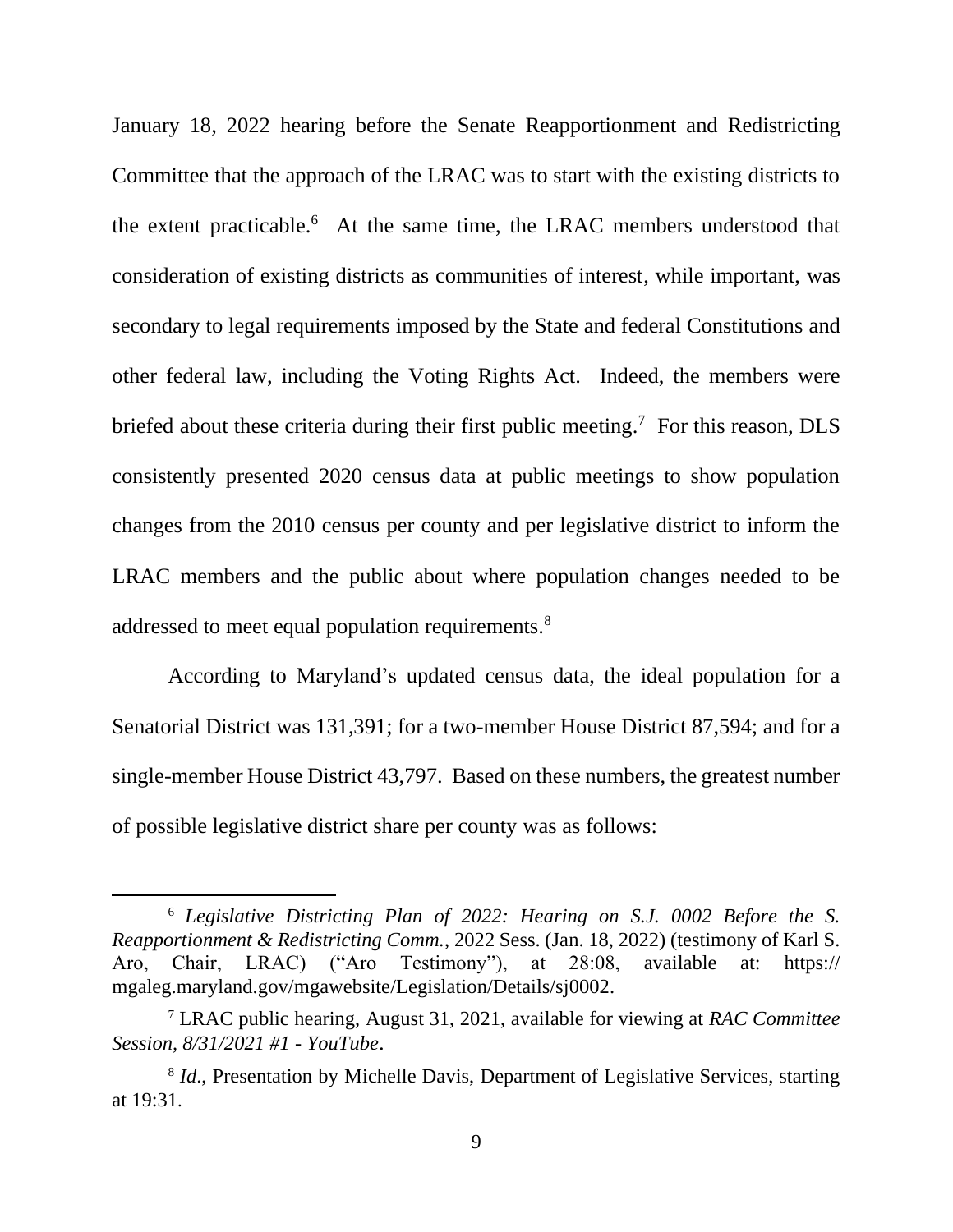January 18, 2022 hearing before the Senate Reapportionment and Redistricting Committee that the approach of the LRAC was to start with the existing districts to the extent practicable.<sup>6</sup> At the same time, the LRAC members understood that consideration of existing districts as communities of interest, while important, was secondary to legal requirements imposed by the State and federal Constitutions and other federal law, including the Voting Rights Act. Indeed, the members were briefed about these criteria during their first public meeting.<sup>7</sup> For this reason, DLS consistently presented 2020 census data at public meetings to show population changes from the 2010 census per county and per legislative district to inform the LRAC members and the public about where population changes needed to be addressed to meet equal population requirements.<sup>8</sup>

According to Maryland's updated census data, the ideal population for a Senatorial District was 131,391; for a two-member House District 87,594; and for a single-member House District 43,797. Based on these numbers, the greatest number of possible legislative district share per county was as follows:

<sup>6</sup> *Legislative Districting Plan of 2022: Hearing on S.J. 0002 Before the S. Reapportionment & Redistricting Comm.*, 2022 Sess. (Jan. 18, 2022) (testimony of Karl S. Aro, Chair, LRAC) ("Aro Testimony"), at 28:08, available at: [https://](https://mgaleg.maryland.gov/mgawebsite/Legislation/Details/sj0002) [mgaleg.maryland.gov/mgawebsite/Legislation/Details/sj0002.](https://mgaleg.maryland.gov/mgawebsite/Legislation/Details/sj0002)

<sup>7</sup> LRAC public hearing, August 31, 2021, available for viewing at *[RAC Committee](https://www.youtube.com/watch?v=JniSgVghOqA&t=139s)  [Session, 8/31/2021 #1 -](https://www.youtube.com/watch?v=JniSgVghOqA&t=139s) YouTube*.

<sup>&</sup>lt;sup>8</sup> *Id.*, Presentation by Michelle Davis, Department of Legislative Services, starting at 19:31.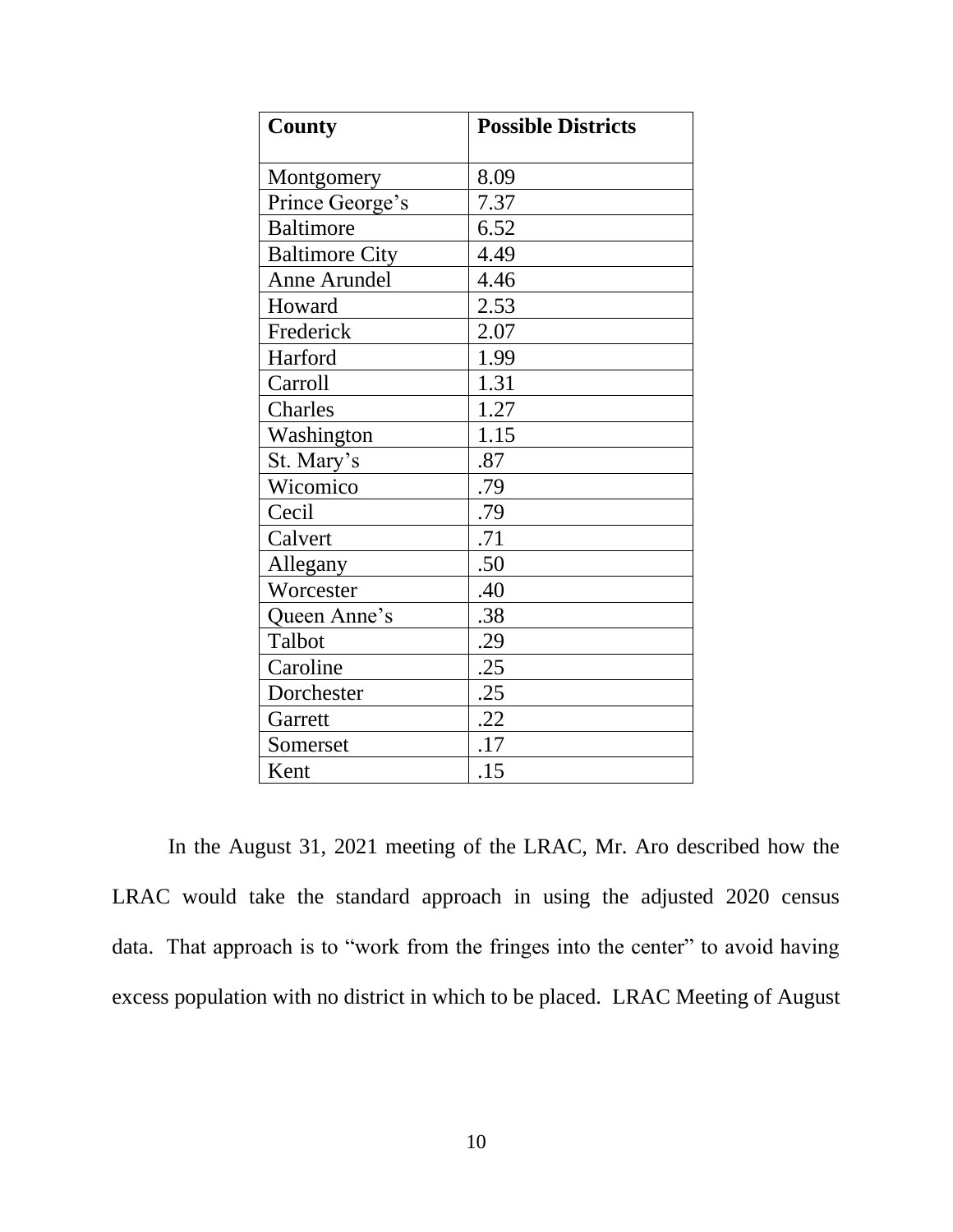| <b>County</b>         | <b>Possible Districts</b> |  |  |  |  |
|-----------------------|---------------------------|--|--|--|--|
| Montgomery            | 8.09                      |  |  |  |  |
|                       |                           |  |  |  |  |
| Prince George's       | 7.37                      |  |  |  |  |
| <b>Baltimore</b>      | 6.52                      |  |  |  |  |
| <b>Baltimore City</b> | 4.49                      |  |  |  |  |
| Anne Arundel          | 4.46                      |  |  |  |  |
| Howard                | 2.53                      |  |  |  |  |
| Frederick             | 2.07                      |  |  |  |  |
| Harford               | 1.99                      |  |  |  |  |
| Carroll               | 1.31                      |  |  |  |  |
| Charles               | 1.27                      |  |  |  |  |
| Washington            | 1.15                      |  |  |  |  |
| St. Mary's            | .87                       |  |  |  |  |
| Wicomico              | .79                       |  |  |  |  |
| Cecil                 | .79                       |  |  |  |  |
| Calvert               | .71                       |  |  |  |  |
| Allegany              | .50                       |  |  |  |  |
| Worcester             | .40                       |  |  |  |  |
| Queen Anne's          | .38                       |  |  |  |  |
| Talbot                | .29                       |  |  |  |  |
| Caroline              | .25                       |  |  |  |  |
| Dorchester            | .25                       |  |  |  |  |
| Garrett               | .22                       |  |  |  |  |
| Somerset              | .17                       |  |  |  |  |
| Kent                  | .15                       |  |  |  |  |

In the August 31, 2021 meeting of the LRAC, Mr. Aro described how the LRAC would take the standard approach in using the adjusted 2020 census data. That approach is to "work from the fringes into the center" to avoid having excess population with no district in which to be placed. LRAC Meeting of August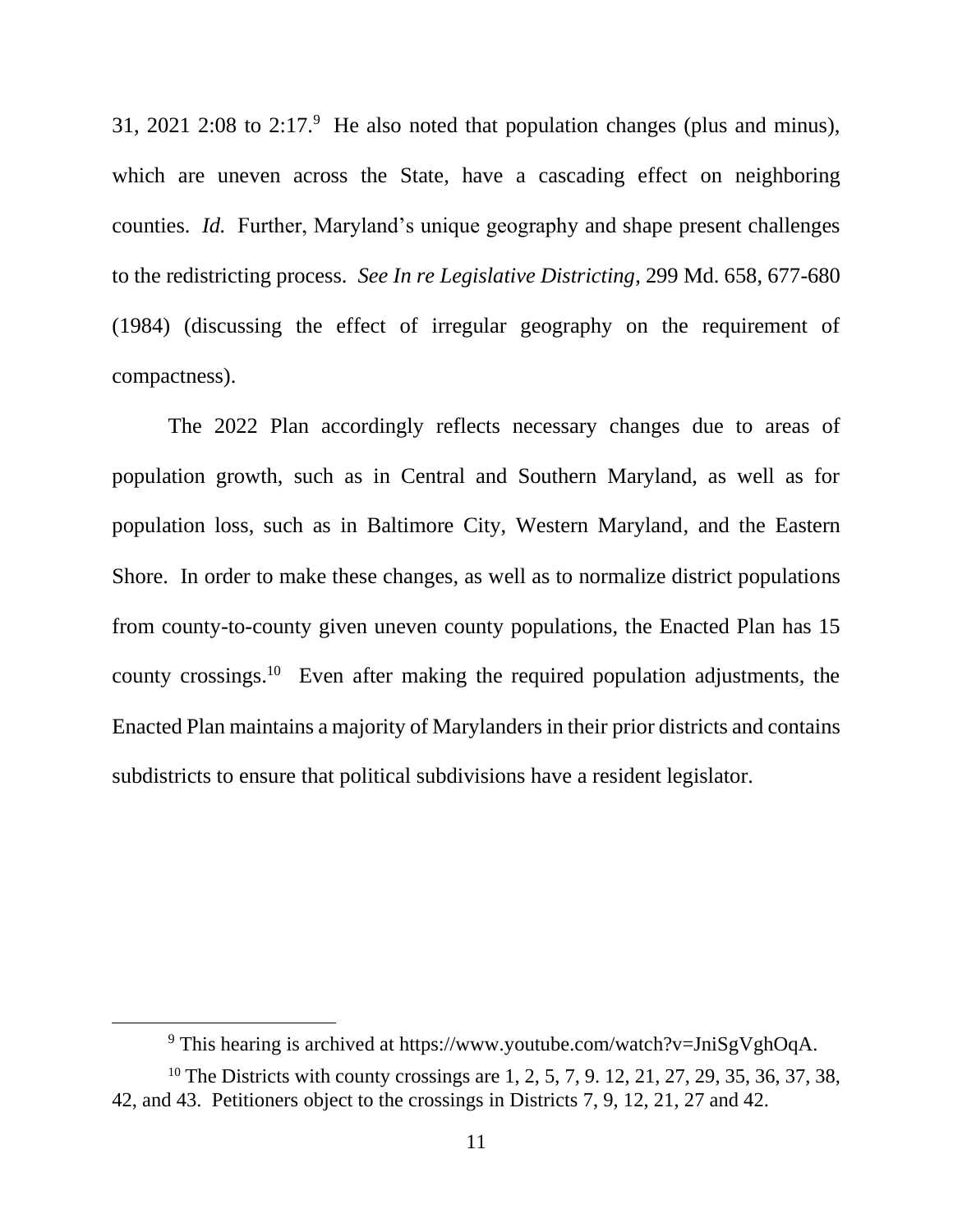31, 2021 2:08 to 2:17.<sup>9</sup> He also noted that population changes (plus and minus), which are uneven across the State, have a cascading effect on neighboring counties. *Id.* Further, Maryland's unique geography and shape present challenges to the redistricting process. *See In re Legislative Districting*, 299 Md. 658, 677-680 (1984) (discussing the effect of irregular geography on the requirement of compactness).

The 2022 Plan accordingly reflects necessary changes due to areas of population growth, such as in Central and Southern Maryland, as well as for population loss, such as in Baltimore City, Western Maryland, and the Eastern Shore. In order to make these changes, as well as to normalize district populations from county-to-county given uneven county populations, the Enacted Plan has 15 county crossings.<sup>10</sup> Even after making the required population adjustments, the Enacted Plan maintains a majority of Marylanders in their prior districts and contains subdistricts to ensure that political subdivisions have a resident legislator.

<sup>&</sup>lt;sup>9</sup> This hearing is archived at https://www.youtube.com/watch?v=JniSgVghOqA.

<sup>&</sup>lt;sup>10</sup> The Districts with county crossings are 1, 2, 5, 7, 9, 12, 21, 27, 29, 35, 36, 37, 38, 42, and 43. Petitioners object to the crossings in Districts 7, 9, 12, 21, 27 and 42.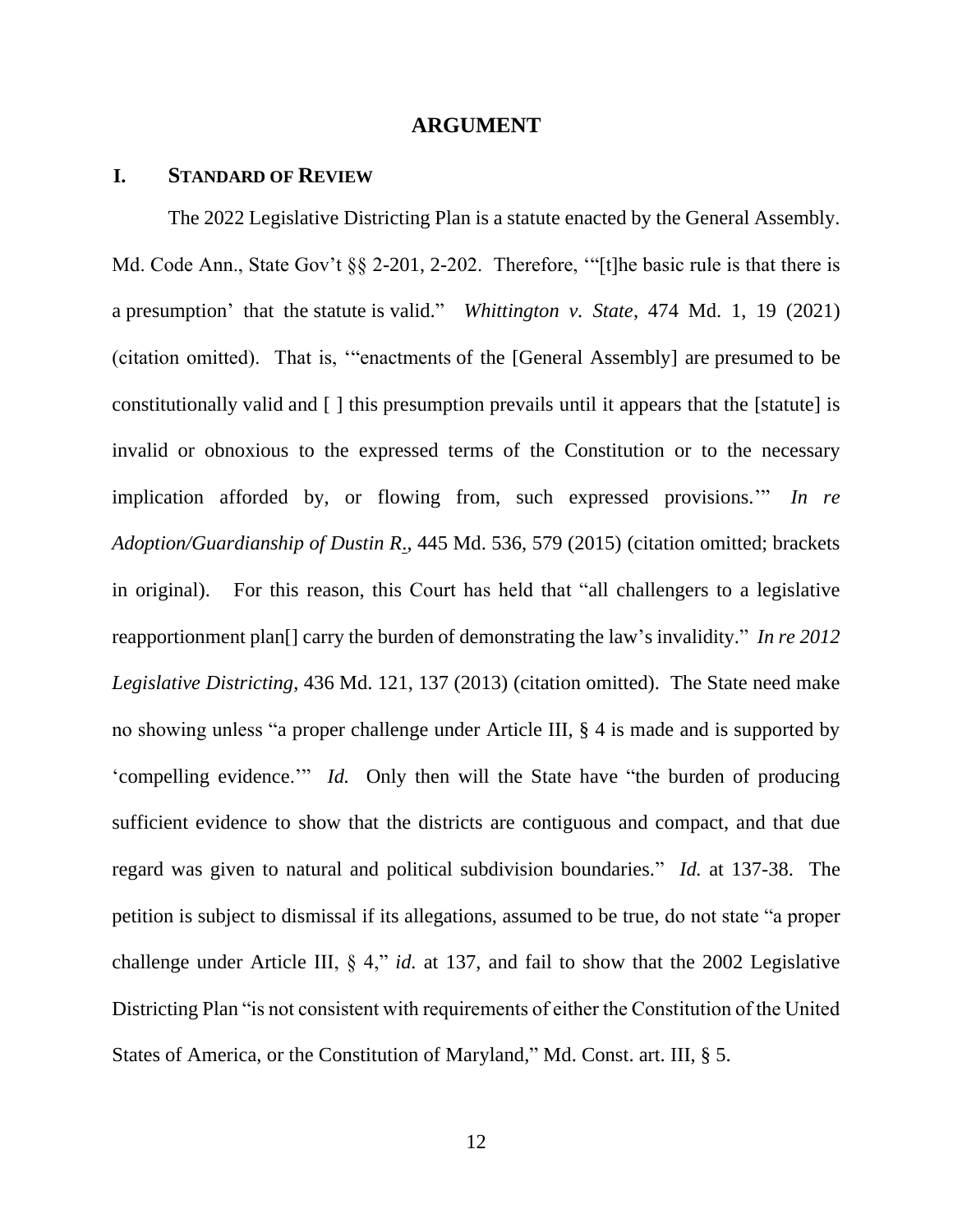#### **ARGUMENT**

### **I. STANDARD OF REVIEW**

The 2022 Legislative Districting Plan is a statute enacted by the General Assembly. Md. Code Ann., State Gov't §§ 2-201, 2-202. Therefore, "[t]he basic rule is that there is a presumption' that the statute is valid." *Whittington v. State*, 474 Md. 1, 19 (2021) (citation omitted). That is, '"enactments of the [General Assembly] are presumed to be constitutionally valid and [ ] this presumption prevails until it appears that the [statute] is invalid or obnoxious to the expressed terms of the Constitution or to the necessary implication afforded by, or flowing from, such expressed provisions.'" *In re Adoption/Guardianship of Dustin R*., 445 Md. 536, 579 (2015) (citation omitted; brackets in original). For this reason, this Court has held that "all challengers to a legislative reapportionment plan[] carry the burden of demonstrating the law's invalidity." *In re 2012 Legislative Districting*, 436 Md. 121, 137 (2013) (citation omitted). The State need make no showing unless "a proper challenge under Article III, § 4 is made and is supported by 'compelling evidence.'" *Id.* Only then will the State have "the burden of producing sufficient evidence to show that the districts are contiguous and compact, and that due regard was given to natural and political subdivision boundaries." *Id.* at 137-38. The petition is subject to dismissal if its allegations, assumed to be true, do not state "a proper challenge under Article III, § 4," *id.* at 137, and fail to show that the 2002 Legislative Districting Plan "is not consistent with requirements of either the Constitution of the United States of America, or the Constitution of Maryland," Md. Const. art. III, § 5.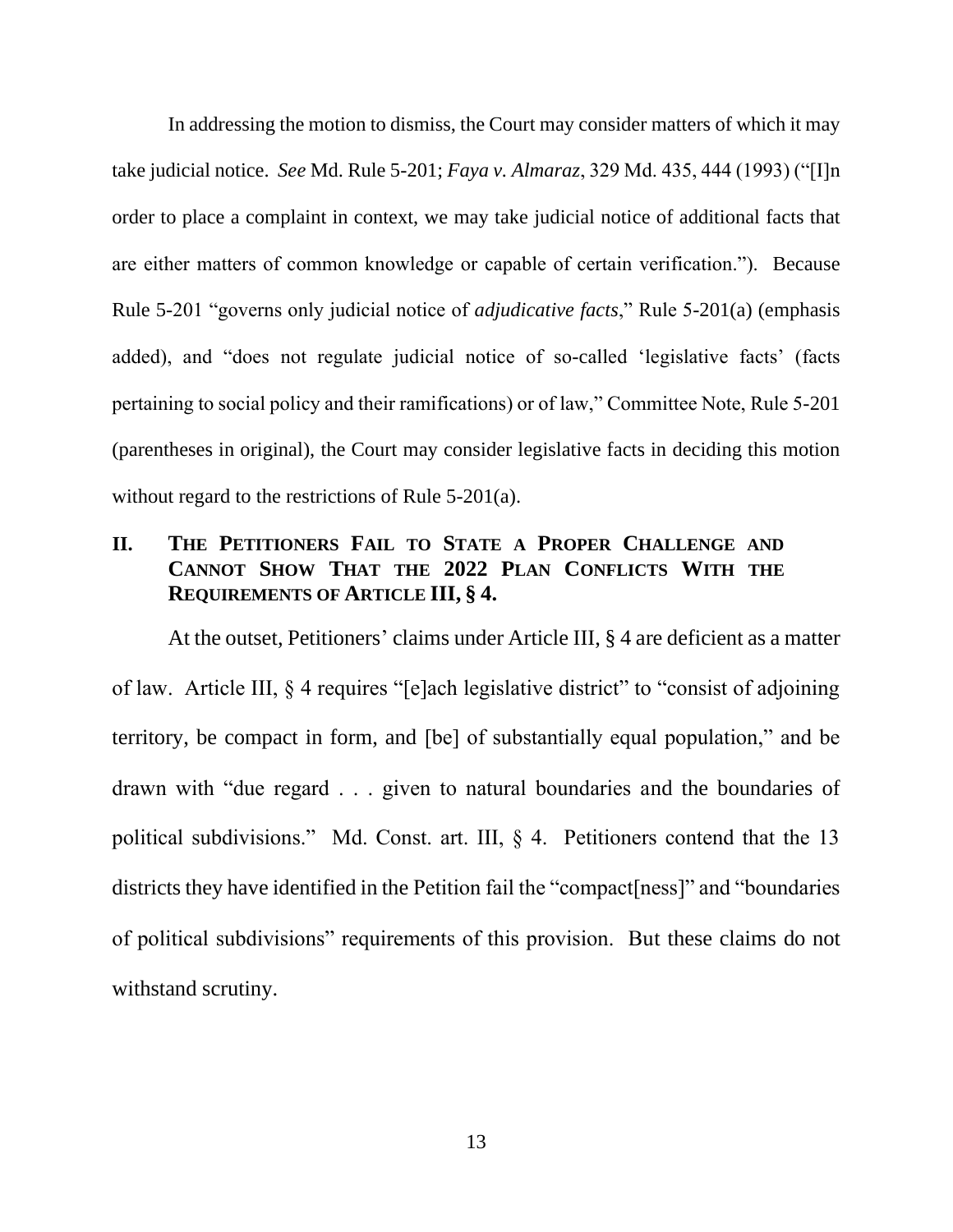In addressing the motion to dismiss, the Court may consider matters of which it may take judicial notice. *See* Md. Rule 5-201; *Faya v. Almaraz*, 329 Md. 435, 444 (1993) ("[I]n order to place a complaint in context, we may take judicial notice of additional facts that are either matters of common knowledge or capable of certain verification."). Because Rule 5-201 "governs only judicial notice of *adjudicative facts*," Rule 5-201(a) (emphasis added), and "does not regulate judicial notice of so-called 'legislative facts' (facts pertaining to social policy and their ramifications) or of law," Committee Note, Rule 5-201 (parentheses in original), the Court may consider legislative facts in deciding this motion without regard to the restrictions of Rule 5-201(a).

# **II. THE PETITIONERS FAIL TO STATE A PROPER CHALLENGE AND CANNOT SHOW THAT THE 2022 PLAN CONFLICTS WITH THE REQUIREMENTS OF ARTICLE III, § 4.**

At the outset, Petitioners' claims under Article III, § 4 are deficient as a matter of law. Article III, § 4 requires "[e]ach legislative district" to "consist of adjoining territory, be compact in form, and [be] of substantially equal population," and be drawn with "due regard . . . given to natural boundaries and the boundaries of political subdivisions." Md. Const. art. III, § 4. Petitioners contend that the 13 districts they have identified in the Petition fail the "compact[ness]" and "boundaries of political subdivisions" requirements of this provision. But these claims do not withstand scrutiny.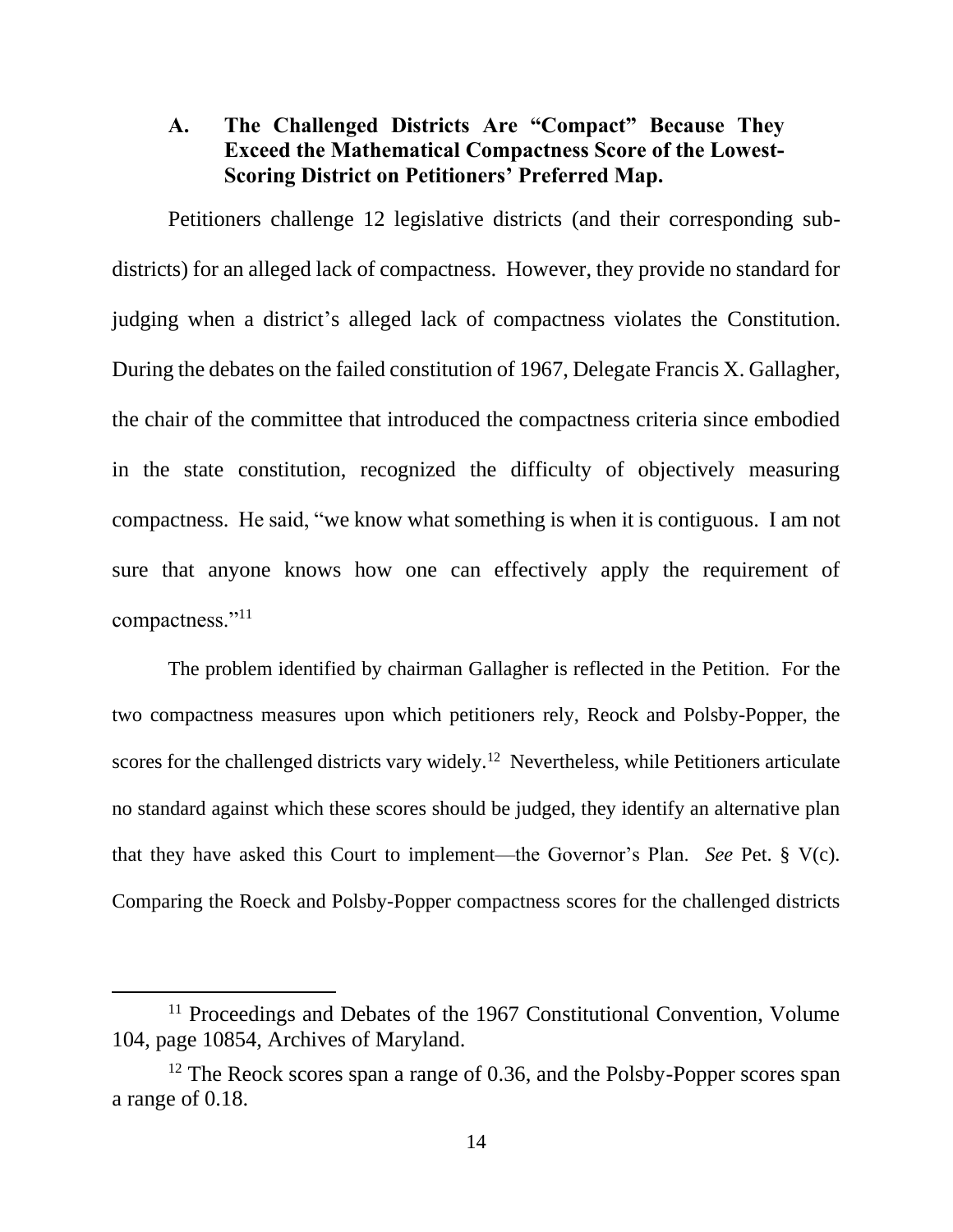# **A. The Challenged Districts Are "Compact" Because They Exceed the Mathematical Compactness Score of the Lowest-Scoring District on Petitioners' Preferred Map.**

Petitioners challenge 12 legislative districts (and their corresponding subdistricts) for an alleged lack of compactness. However, they provide no standard for judging when a district's alleged lack of compactness violates the Constitution. During the debates on the failed constitution of 1967, Delegate Francis X. Gallagher, the chair of the committee that introduced the compactness criteria since embodied in the state constitution, recognized the difficulty of objectively measuring compactness. He said, "we know what something is when it is contiguous. I am not sure that anyone knows how one can effectively apply the requirement of compactness."<sup>11</sup>

The problem identified by chairman Gallagher is reflected in the Petition. For the two compactness measures upon which petitioners rely, Reock and Polsby-Popper, the scores for the challenged districts vary widely.<sup>12</sup> Nevertheless, while Petitioners articulate no standard against which these scores should be judged, they identify an alternative plan that they have asked this Court to implement—the Governor's Plan. *See* Pet. § V(c). Comparing the Roeck and Polsby-Popper compactness scores for the challenged districts

<sup>&</sup>lt;sup>11</sup> Proceedings and Debates of the 1967 Constitutional Convention, Volume 104, page 10854, Archives of Maryland.

<sup>&</sup>lt;sup>12</sup> The Reock scores span a range of 0.36, and the Polsby-Popper scores span a range of 0.18.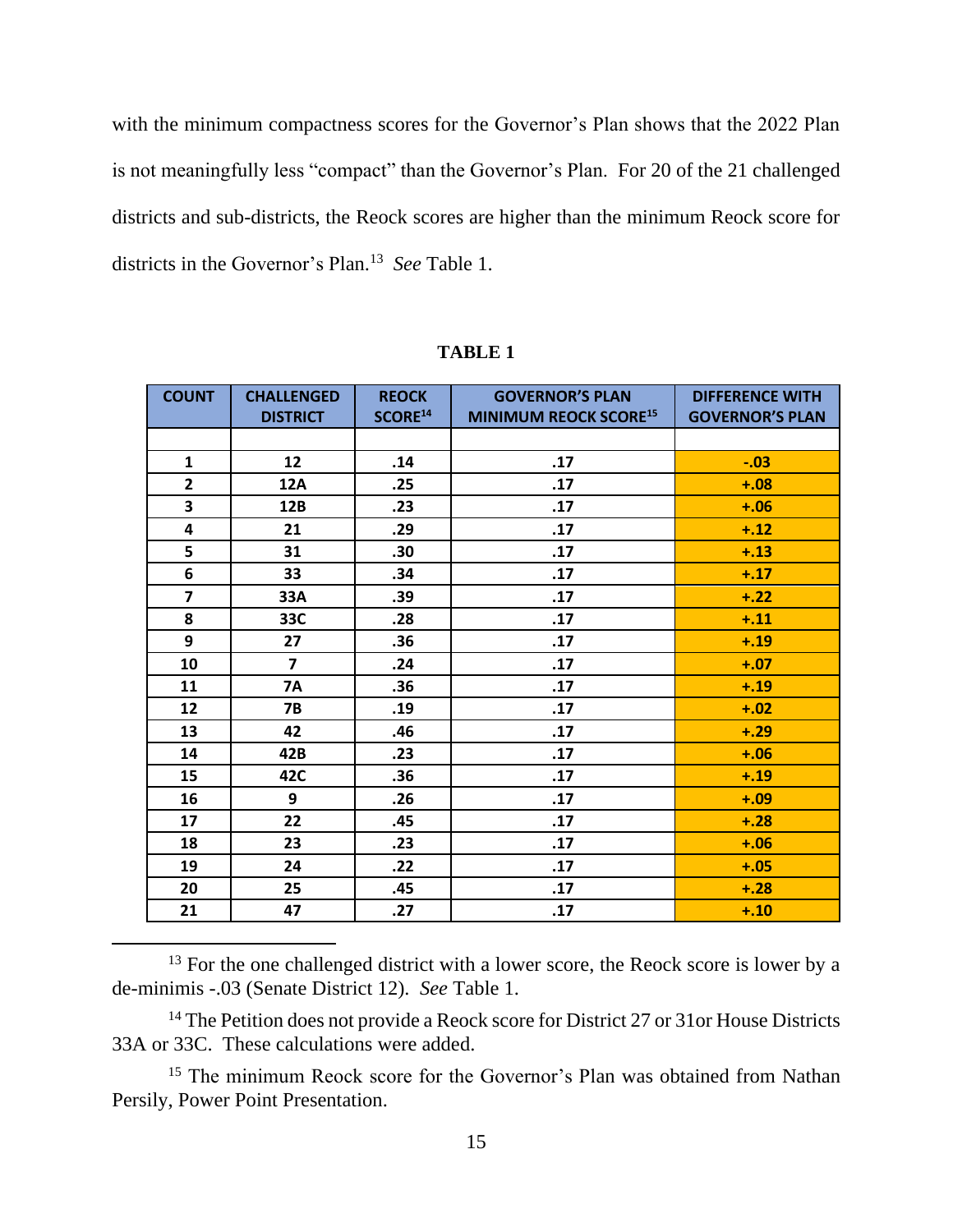with the minimum compactness scores for the Governor's Plan shows that the 2022 Plan is not meaningfully less "compact" than the Governor's Plan. For 20 of the 21 challenged districts and sub-districts, the Reock scores are higher than the minimum Reock score for districts in the Governor's Plan.<sup>13</sup> *See* Table 1.

| <b>COUNT</b>            | <b>CHALLENGED</b><br><b>DISTRICT</b> | <b>REOCK</b><br>SCORE <sup>14</sup> | <b>GOVERNOR'S PLAN</b><br><b>MINIMUM REOCK SCORE15</b> | <b>DIFFERENCE WITH</b><br><b>GOVERNOR'S PLAN</b> |
|-------------------------|--------------------------------------|-------------------------------------|--------------------------------------------------------|--------------------------------------------------|
|                         |                                      |                                     |                                                        |                                                  |
| $\mathbf{1}$            | 12                                   | .14                                 | .17                                                    | $-.03$                                           |
| $\overline{2}$          | <b>12A</b>                           | .25                                 | .17                                                    | $+.08$                                           |
| $\overline{\mathbf{3}}$ | 12B                                  | .23                                 | .17                                                    | $+.06$                                           |
| 4                       | 21                                   | .29                                 | .17                                                    | $+.12$                                           |
| 5                       | 31                                   | .30 <sub>2</sub>                    | .17                                                    | $+.13$                                           |
| 6                       | 33                                   | .34                                 | .17                                                    | $+.17$                                           |
| $\overline{7}$          | 33A                                  | .39                                 | .17                                                    | $+.22$                                           |
| 8                       | 33C                                  | .28                                 | .17                                                    | $+.11$                                           |
| 9                       | 27                                   | .36                                 | .17                                                    | $+.19$                                           |
| 10                      | $\overline{7}$                       | .24                                 | .17                                                    | $+.07$                                           |
| 11                      | <b>7A</b>                            | .36                                 | .17                                                    | $+.19$                                           |
| 12                      | <b>7B</b>                            | .19                                 | .17                                                    | $+.02$                                           |
| 13                      | 42                                   | .46                                 | .17                                                    | $+.29$                                           |
| 14                      | 42B                                  | .23                                 | .17                                                    | $+.06$                                           |
| 15                      | 42C                                  | .36                                 | .17                                                    | $+.19$                                           |
| 16                      | 9                                    | .26                                 | .17                                                    | $+.09$                                           |
| 17                      | 22                                   | .45                                 | .17                                                    | $+.28$                                           |
| 18                      | 23                                   | .23                                 | .17                                                    | $+.06$                                           |
| 19                      | 24                                   | .22                                 | .17                                                    | $+.05$                                           |
| 20                      | 25                                   | .45                                 | .17                                                    | $+.28$                                           |
| 21                      | 47                                   | .27                                 | .17                                                    | $+.10$                                           |

**TABLE 1** 

<sup>13</sup> For the one challenged district with a lower score, the Reock score is lower by a de-minimis -.03 (Senate District 12). *See* Table 1.

<sup>14</sup> The Petition does not provide a Reock score for District 27 or 31 or House Districts 33A or 33C. These calculations were added.

<sup>15</sup> The minimum Reock score for the Governor's Plan was obtained from Nathan Persily, Power Point Presentation.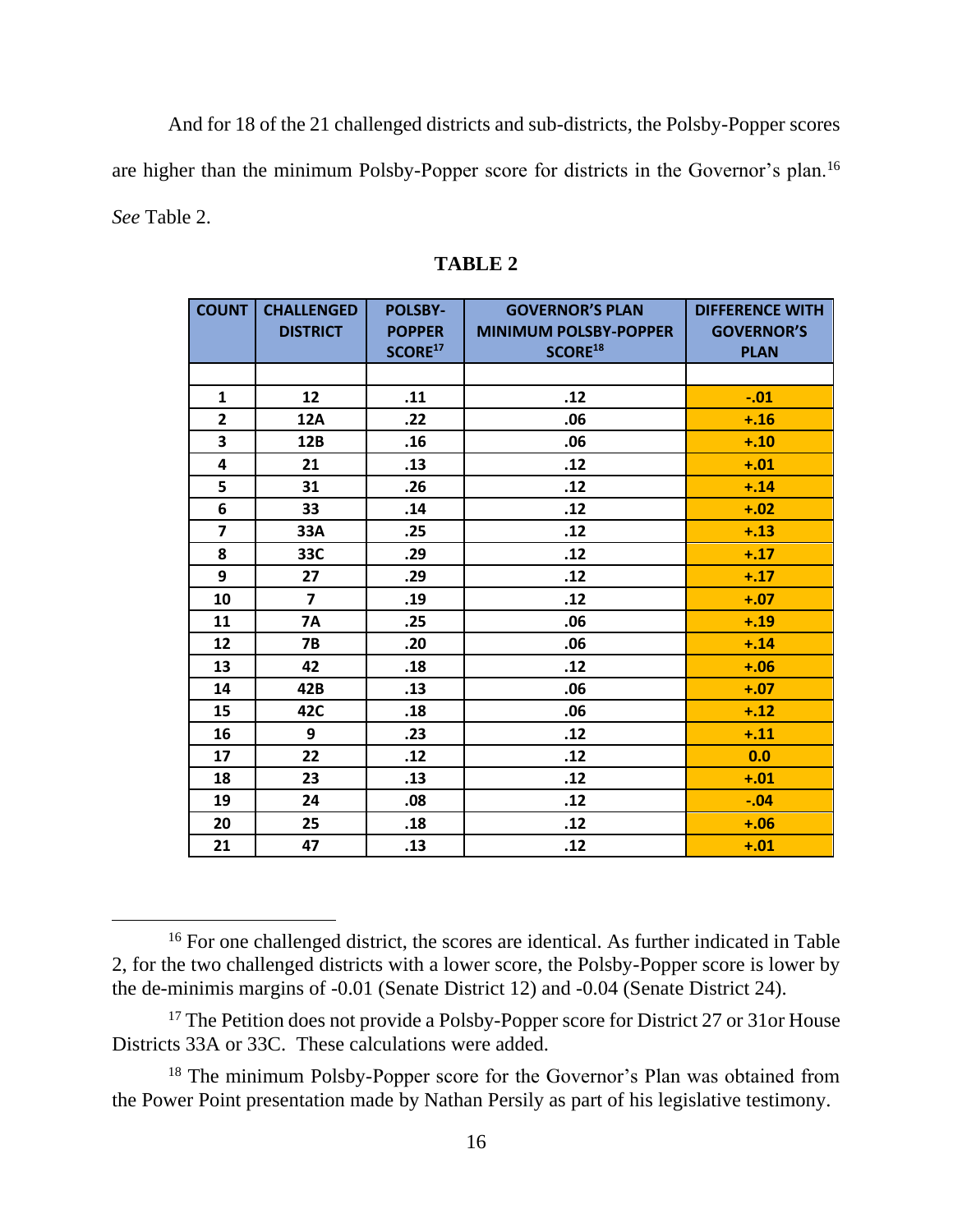And for 18 of the 21 challenged districts and sub-districts, the Polsby-Popper scores are higher than the minimum Polsby-Popper score for districts in the Governor's plan.<sup>16</sup> *See* Table 2.

| <b>COUNT</b>            | <b>CHALLENGED</b><br><b>DISTRICT</b> | <b>POLSBY-</b><br><b>POPPER</b><br>SCORE <sup>17</sup> | <b>GOVERNOR'S PLAN</b><br><b>MINIMUM POLSBY-POPPER</b><br>SCORE <sup>18</sup> | <b>DIFFERENCE WITH</b><br><b>GOVERNOR'S</b><br><b>PLAN</b> |
|-------------------------|--------------------------------------|--------------------------------------------------------|-------------------------------------------------------------------------------|------------------------------------------------------------|
|                         |                                      |                                                        |                                                                               |                                                            |
| 1                       | 12                                   | .11                                                    | .12                                                                           | $-.01$                                                     |
| $\overline{2}$          | 12A                                  | .22                                                    | .06                                                                           | $+.16$                                                     |
| 3                       | 12B                                  | .16                                                    | .06                                                                           | $+.10$                                                     |
| $\overline{\mathbf{4}}$ | 21                                   | .13                                                    | .12                                                                           | $+.01$                                                     |
| 5                       | 31                                   | .26                                                    | .12                                                                           | $+.14$                                                     |
| 6                       | 33                                   | .14                                                    | .12                                                                           | $+.02$                                                     |
| $\overline{7}$          | 33A                                  | .25                                                    | .12                                                                           | $+.13$                                                     |
| 8                       | 33C                                  | .29                                                    | .12                                                                           | $+.17$                                                     |
| 9                       | 27                                   | .29                                                    | .12                                                                           | $+.17$                                                     |
| 10                      | $\overline{7}$                       | .19                                                    | .12                                                                           | $+.07$                                                     |
| 11                      | <b>7A</b>                            | .25                                                    | .06                                                                           | $+.19$                                                     |
| 12                      | <b>7B</b>                            | .20                                                    | .06                                                                           | $+.14$                                                     |
| 13                      | 42                                   | .18                                                    | .12                                                                           | $+.06$                                                     |
| 14                      | 42B                                  | .13                                                    | .06                                                                           | $+.07$                                                     |
| 15                      | 42C                                  | .18                                                    | .06                                                                           | $+.12$                                                     |
| 16                      | 9                                    | .23                                                    | .12                                                                           | $+.11$                                                     |
| 17                      | 22                                   | .12                                                    | .12                                                                           | 0.0                                                        |
| 18                      | 23                                   | .13                                                    | .12                                                                           | $+.01$                                                     |
| 19                      | 24                                   | .08                                                    | .12                                                                           | $-.04$                                                     |
| 20                      | 25                                   | .18                                                    | .12                                                                           | $+.06$                                                     |
| 21                      | 47                                   | .13                                                    | .12                                                                           | $+.01$                                                     |

#### **TABLE 2**

<sup>16</sup> For one challenged district, the scores are identical. As further indicated in Table 2, for the two challenged districts with a lower score, the Polsby-Popper score is lower by the de-minimis margins of -0.01 (Senate District 12) and -0.04 (Senate District 24).

<sup>&</sup>lt;sup>17</sup> The Petition does not provide a Polsby-Popper score for District 27 or 31 or House Districts 33A or 33C. These calculations were added.

<sup>&</sup>lt;sup>18</sup> The minimum Polsby-Popper score for the Governor's Plan was obtained from the Power Point presentation made by Nathan Persily as part of his legislative testimony.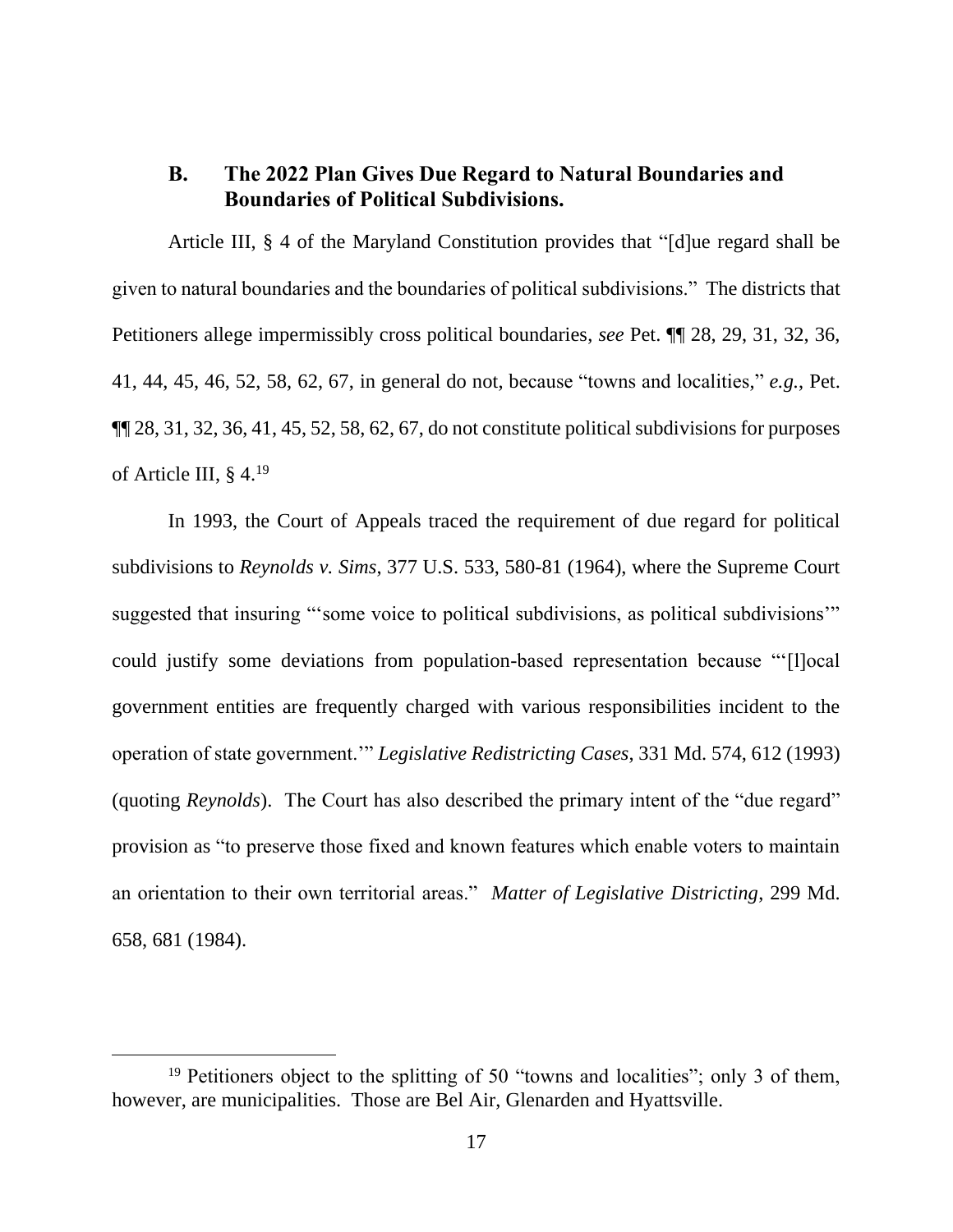## **B. The 2022 Plan Gives Due Regard to Natural Boundaries and Boundaries of Political Subdivisions.**

Article III, § 4 of the Maryland Constitution provides that "[d]ue regard shall be given to natural boundaries and the boundaries of political subdivisions." The districts that Petitioners allege impermissibly cross political boundaries, *see* Pet. ¶¶ 28, 29, 31, 32, 36, 41, 44, 45, 46, 52, 58, 62, 67, in general do not, because "towns and localities," *e.g.*, Pet.  $\P$  $[28, 31, 32, 36, 41, 45, 52, 58, 62, 67,$  do not constitute political subdivisions for purposes of Article III, § 4.<sup>19</sup>

In 1993, the Court of Appeals traced the requirement of due regard for political subdivisions to *Reynolds v. Sims*, 377 U.S. 533, 580-81 (1964), where the Supreme Court suggested that insuring "'some voice to political subdivisions, as political subdivisions'" could justify some deviations from population-based representation because "'[l]ocal government entities are frequently charged with various responsibilities incident to the operation of state government.'" *Legislative Redistricting Cases*, 331 Md. 574, 612 (1993) (quoting *Reynolds*). The Court has also described the primary intent of the "due regard" provision as "to preserve those fixed and known features which enable voters to maintain an orientation to their own territorial areas." *Matter of Legislative Districting*, 299 Md. 658, 681 (1984).

<sup>&</sup>lt;sup>19</sup> Petitioners object to the splitting of 50 "towns and localities"; only 3 of them, however, are municipalities. Those are Bel Air, Glenarden and Hyattsville.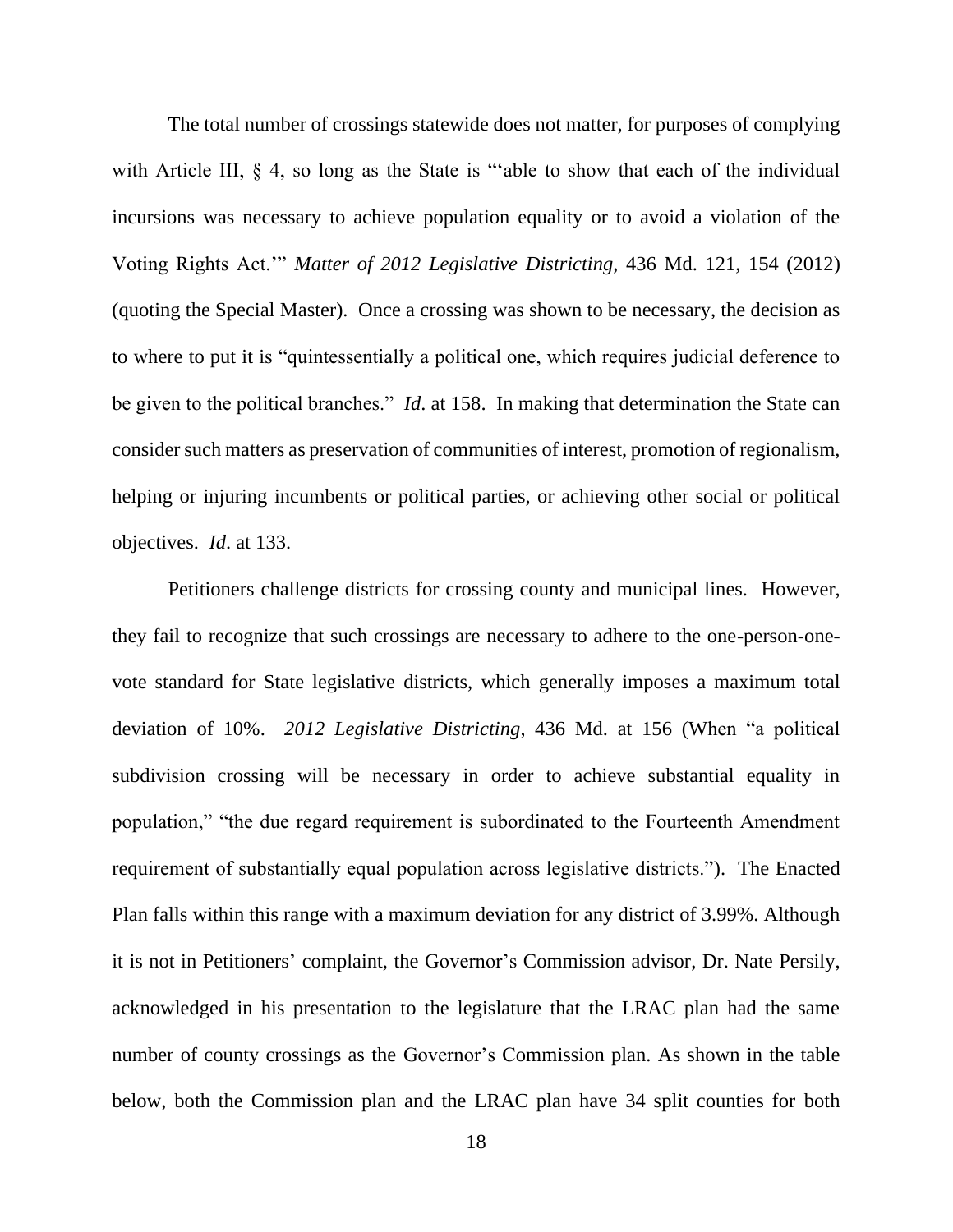The total number of crossings statewide does not matter, for purposes of complying with Article III, § 4, so long as the State is "able to show that each of the individual incursions was necessary to achieve population equality or to avoid a violation of the Voting Rights Act.'" *Matter of 2012 Legislative Districting*, 436 Md. 121, 154 (2012) (quoting the Special Master). Once a crossing was shown to be necessary, the decision as to where to put it is "quintessentially a political one, which requires judicial deference to be given to the political branches." *Id*. at 158. In making that determination the State can consider such matters as preservation of communities of interest, promotion of regionalism, helping or injuring incumbents or political parties, or achieving other social or political objectives. *Id*. at 133.

Petitioners challenge districts for crossing county and municipal lines. However, they fail to recognize that such crossings are necessary to adhere to the one-person-onevote standard for State legislative districts, which generally imposes a maximum total deviation of 10%. *2012 Legislative Districting*, 436 Md. at 156 (When "a political subdivision crossing will be necessary in order to achieve substantial equality in population," "the due regard requirement is subordinated to the Fourteenth Amendment requirement of substantially equal population across legislative districts."). The Enacted Plan falls within this range with a maximum deviation for any district of 3.99%. Although it is not in Petitioners' complaint, the Governor's Commission advisor, Dr. Nate Persily, acknowledged in his presentation to the legislature that the LRAC plan had the same number of county crossings as the Governor's Commission plan. As shown in the table below, both the Commission plan and the LRAC plan have 34 split counties for both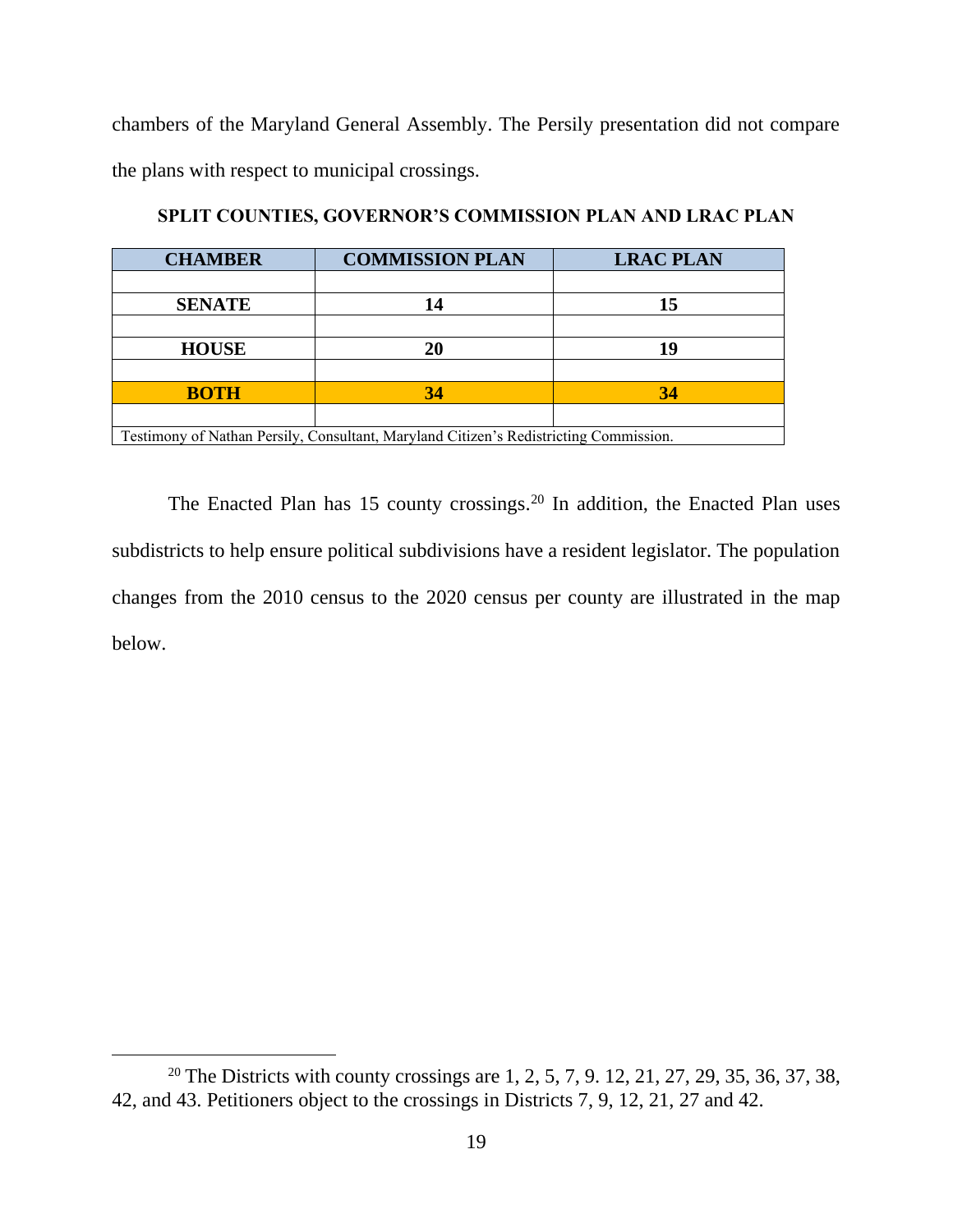chambers of the Maryland General Assembly. The Persily presentation did not compare the plans with respect to municipal crossings.

| <b>CHAMBER</b>                                                                        | <b>COMMISSION PLAN</b> | <b>LRAC PLAN</b> |  |  |  |  |
|---------------------------------------------------------------------------------------|------------------------|------------------|--|--|--|--|
|                                                                                       |                        |                  |  |  |  |  |
| <b>SENATE</b>                                                                         |                        | 15               |  |  |  |  |
|                                                                                       |                        |                  |  |  |  |  |
| <b>HOUSE</b>                                                                          | 20                     | 19               |  |  |  |  |
|                                                                                       |                        |                  |  |  |  |  |
| <b>BOTH</b>                                                                           | 34                     | 34               |  |  |  |  |
|                                                                                       |                        |                  |  |  |  |  |
| Testimony of Nathan Persily, Consultant, Maryland Citizen's Redistricting Commission. |                        |                  |  |  |  |  |

**SPLIT COUNTIES, GOVERNOR'S COMMISSION PLAN AND LRAC PLAN**

The Enacted Plan has  $15$  county crossings.<sup>20</sup> In addition, the Enacted Plan uses subdistricts to help ensure political subdivisions have a resident legislator. The population changes from the 2010 census to the 2020 census per county are illustrated in the map below.

<sup>&</sup>lt;sup>20</sup> The Districts with county crossings are 1, 2, 5, 7, 9. 12, 21, 27, 29, 35, 36, 37, 38, 42, and 43. Petitioners object to the crossings in Districts 7, 9, 12, 21, 27 and 42.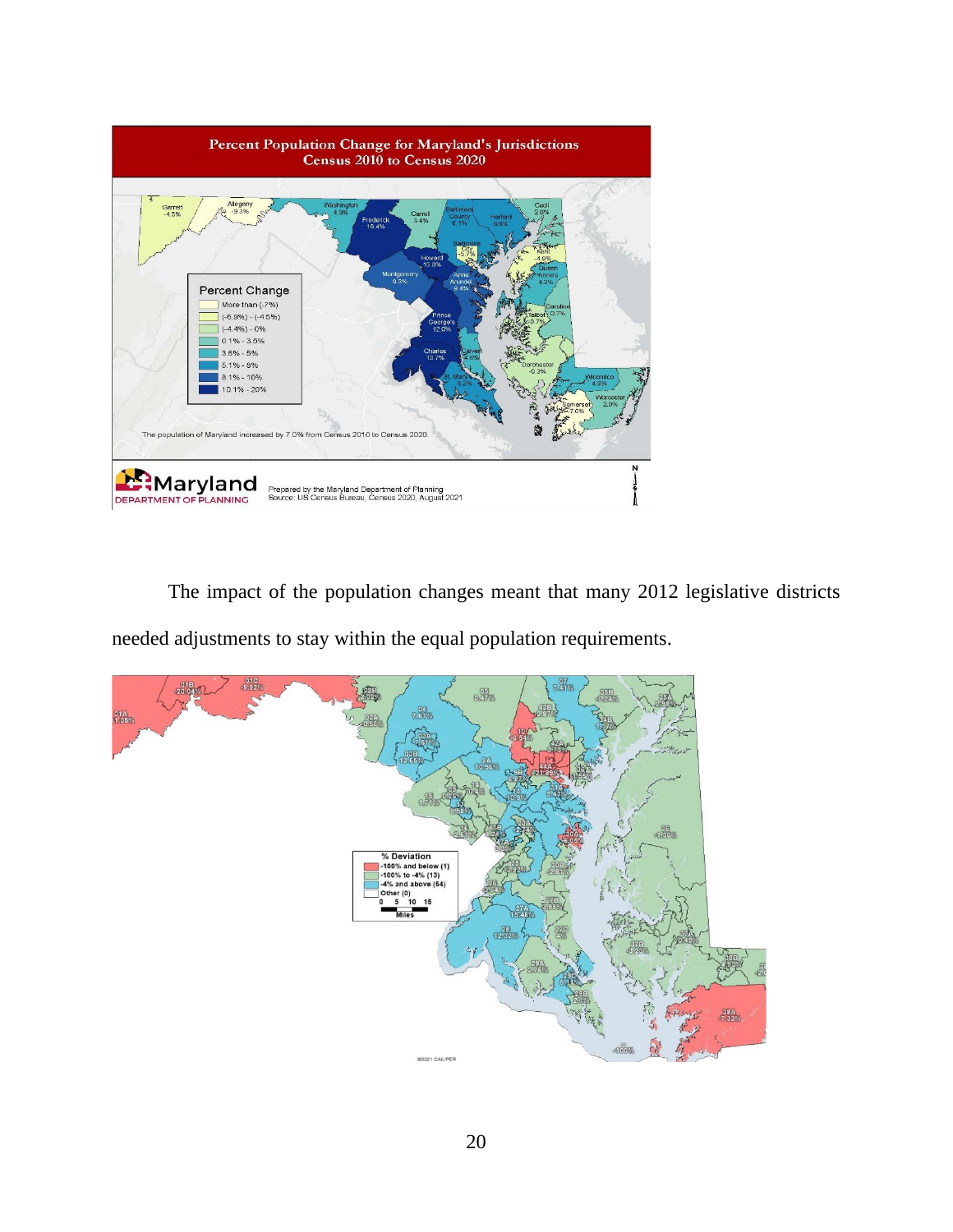

The impact of the population changes meant that many 2012 legislative districts needed adjustments to stay within the equal population requirements.

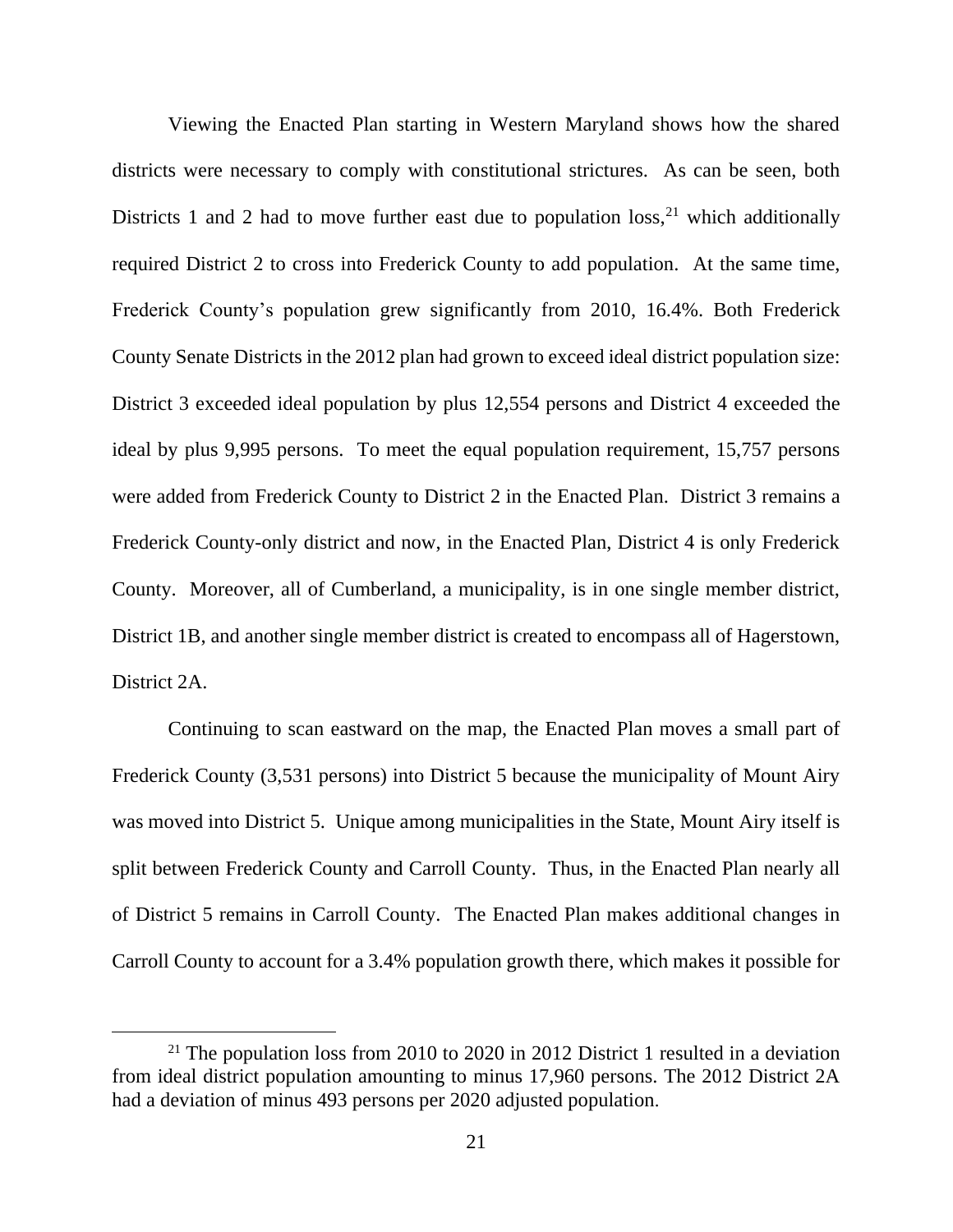Viewing the Enacted Plan starting in Western Maryland shows how the shared districts were necessary to comply with constitutional strictures. As can be seen, both Districts 1 and 2 had to move further east due to population  $loss<sub>1</sub><sup>21</sup>$  which additionally required District 2 to cross into Frederick County to add population. At the same time, Frederick County's population grew significantly from 2010, 16.4%. Both Frederick County Senate Districts in the 2012 plan had grown to exceed ideal district population size: District 3 exceeded ideal population by plus 12,554 persons and District 4 exceeded the ideal by plus 9,995 persons. To meet the equal population requirement, 15,757 persons were added from Frederick County to District 2 in the Enacted Plan. District 3 remains a Frederick County-only district and now, in the Enacted Plan, District 4 is only Frederick County. Moreover, all of Cumberland, a municipality, is in one single member district, District 1B, and another single member district is created to encompass all of Hagerstown, District 2A.

Continuing to scan eastward on the map, the Enacted Plan moves a small part of Frederick County (3,531 persons) into District 5 because the municipality of Mount Airy was moved into District 5. Unique among municipalities in the State, Mount Airy itself is split between Frederick County and Carroll County. Thus, in the Enacted Plan nearly all of District 5 remains in Carroll County. The Enacted Plan makes additional changes in Carroll County to account for a 3.4% population growth there, which makes it possible for

<sup>&</sup>lt;sup>21</sup> The population loss from 2010 to 2020 in 2012 District 1 resulted in a deviation from ideal district population amounting to minus 17,960 persons. The 2012 District 2A had a deviation of minus 493 persons per 2020 adjusted population.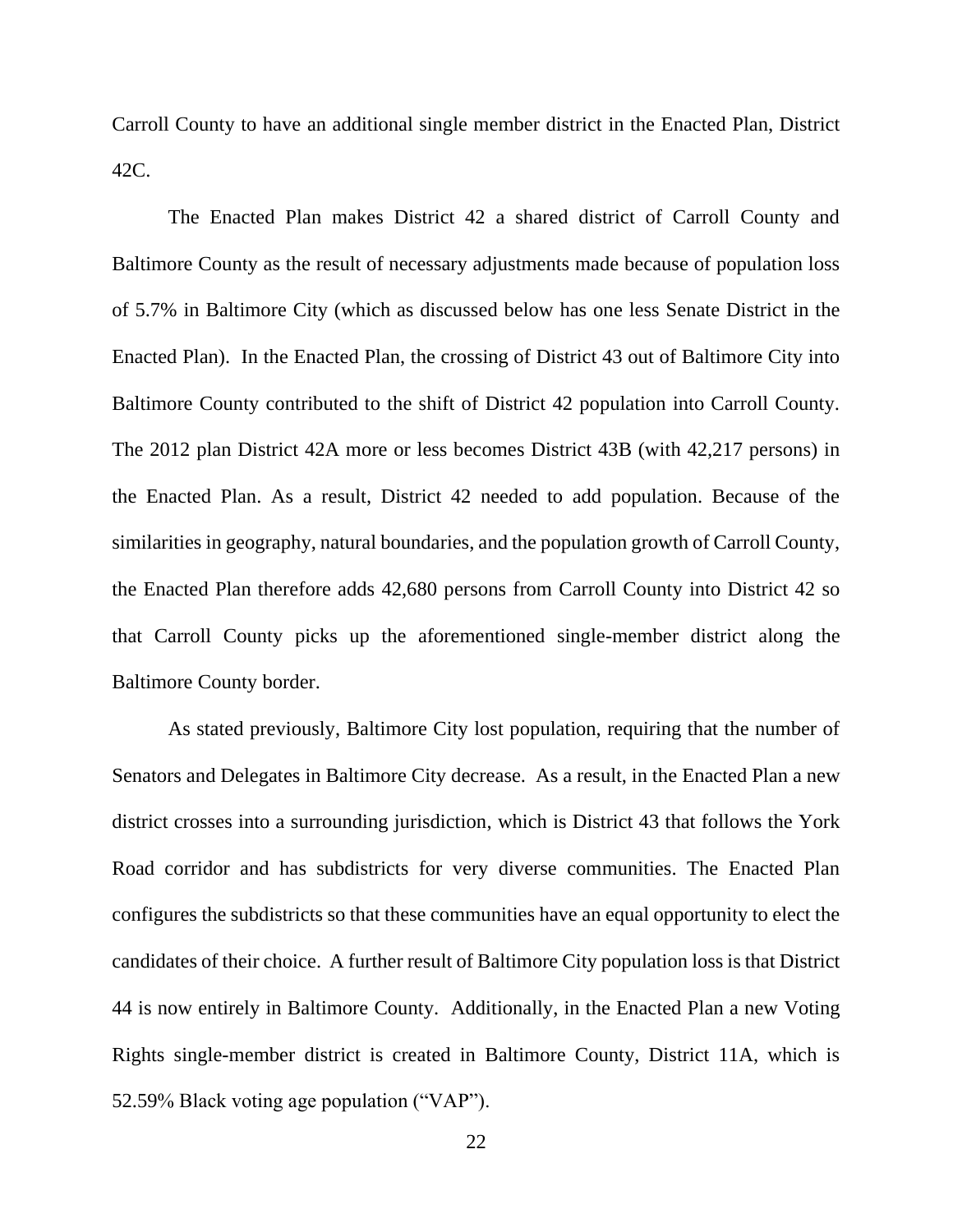Carroll County to have an additional single member district in the Enacted Plan, District 42C.

The Enacted Plan makes District 42 a shared district of Carroll County and Baltimore County as the result of necessary adjustments made because of population loss of 5.7% in Baltimore City (which as discussed below has one less Senate District in the Enacted Plan). In the Enacted Plan, the crossing of District 43 out of Baltimore City into Baltimore County contributed to the shift of District 42 population into Carroll County. The 2012 plan District 42A more or less becomes District 43B (with 42,217 persons) in the Enacted Plan. As a result, District 42 needed to add population. Because of the similarities in geography, natural boundaries, and the population growth of Carroll County, the Enacted Plan therefore adds 42,680 persons from Carroll County into District 42 so that Carroll County picks up the aforementioned single-member district along the Baltimore County border.

As stated previously, Baltimore City lost population, requiring that the number of Senators and Delegates in Baltimore City decrease. As a result, in the Enacted Plan a new district crosses into a surrounding jurisdiction, which is District 43 that follows the York Road corridor and has subdistricts for very diverse communities. The Enacted Plan configures the subdistricts so that these communities have an equal opportunity to elect the candidates of their choice. A further result of Baltimore City population loss is that District 44 is now entirely in Baltimore County. Additionally, in the Enacted Plan a new Voting Rights single-member district is created in Baltimore County, District 11A, which is 52.59% Black voting age population ("VAP").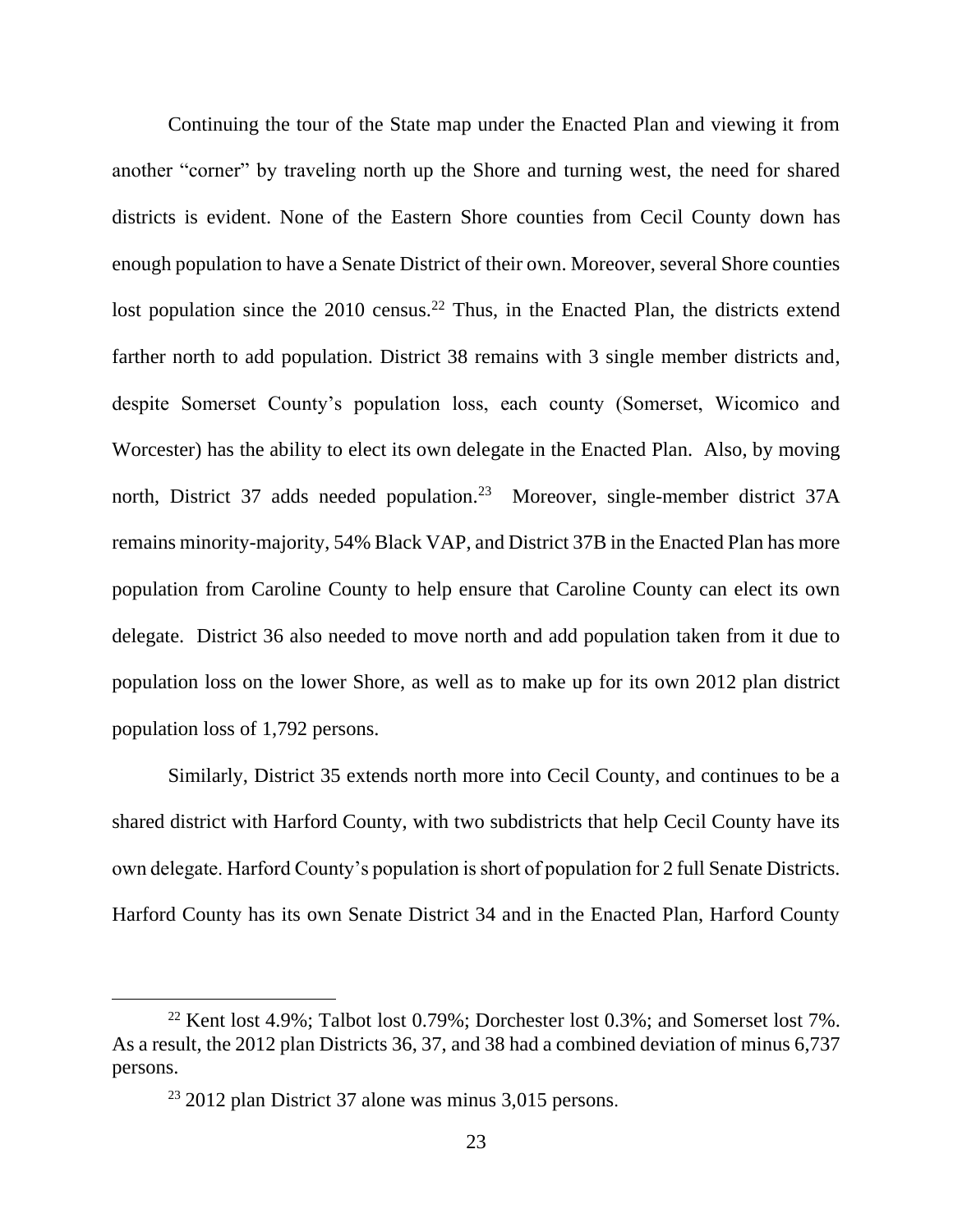Continuing the tour of the State map under the Enacted Plan and viewing it from another "corner" by traveling north up the Shore and turning west, the need for shared districts is evident. None of the Eastern Shore counties from Cecil County down has enough population to have a Senate District of their own. Moreover, several Shore counties lost population since the  $2010$  census.<sup>22</sup> Thus, in the Enacted Plan, the districts extend farther north to add population. District 38 remains with 3 single member districts and, despite Somerset County's population loss, each county (Somerset, Wicomico and Worcester) has the ability to elect its own delegate in the Enacted Plan. Also, by moving north, District 37 adds needed population.<sup>23</sup> Moreover, single-member district 37A remains minority-majority, 54% Black VAP, and District 37B in the Enacted Plan has more population from Caroline County to help ensure that Caroline County can elect its own delegate. District 36 also needed to move north and add population taken from it due to population loss on the lower Shore, as well as to make up for its own 2012 plan district population loss of 1,792 persons.

Similarly, District 35 extends north more into Cecil County, and continues to be a shared district with Harford County, with two subdistricts that help Cecil County have its own delegate. Harford County's population is short of population for 2 full Senate Districts. Harford County has its own Senate District 34 and in the Enacted Plan, Harford County

<sup>&</sup>lt;sup>22</sup> Kent lost 4.9%; Talbot lost 0.79%; Dorchester lost 0.3%; and Somerset lost 7%. As a result, the 2012 plan Districts 36, 37, and 38 had a combined deviation of minus 6,737 persons.

 $23$  2012 plan District 37 alone was minus 3,015 persons.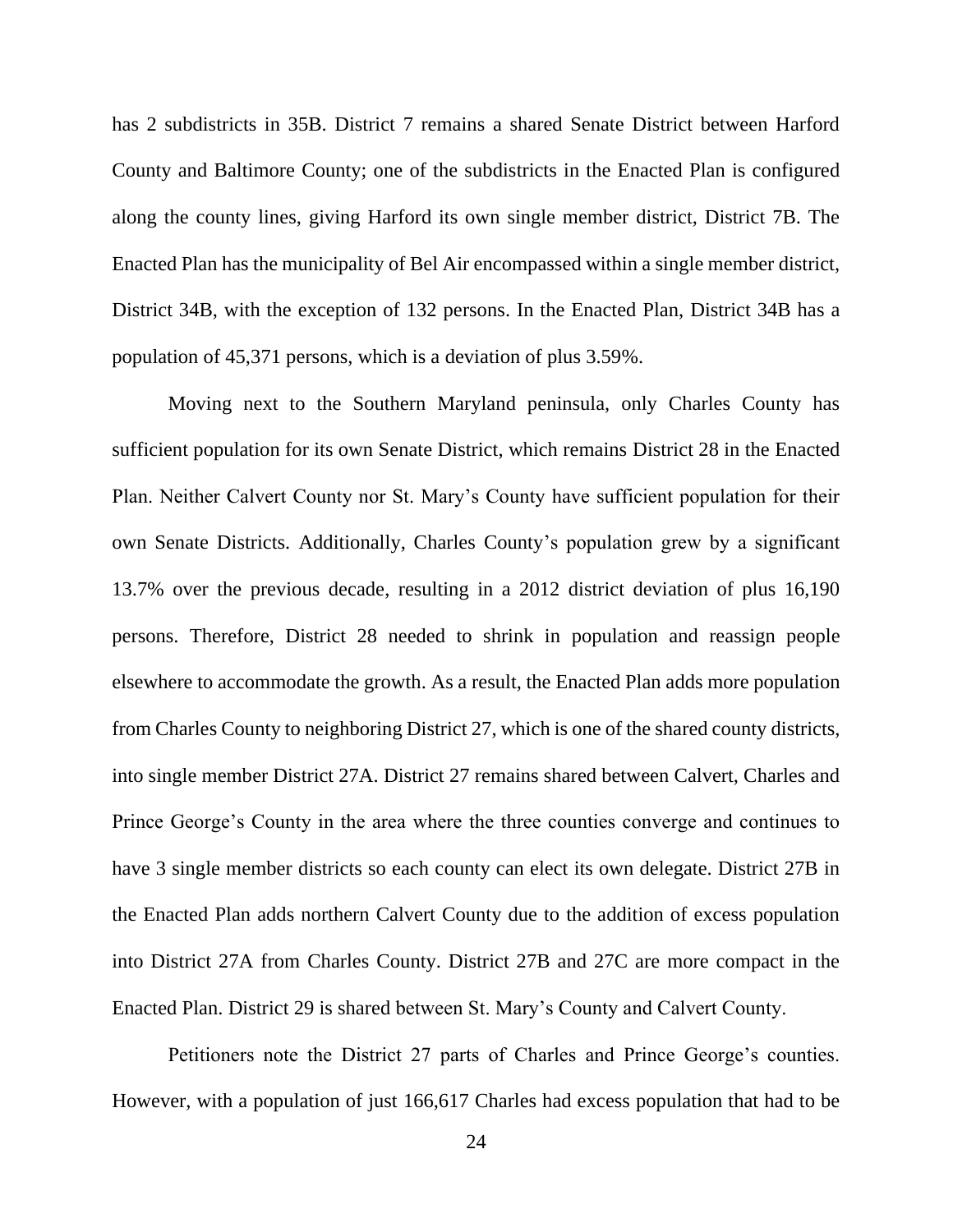has 2 subdistricts in 35B. District 7 remains a shared Senate District between Harford County and Baltimore County; one of the subdistricts in the Enacted Plan is configured along the county lines, giving Harford its own single member district, District 7B. The Enacted Plan has the municipality of Bel Air encompassed within a single member district, District 34B, with the exception of 132 persons. In the Enacted Plan, District 34B has a population of 45,371 persons, which is a deviation of plus 3.59%.

Moving next to the Southern Maryland peninsula, only Charles County has sufficient population for its own Senate District, which remains District 28 in the Enacted Plan. Neither Calvert County nor St. Mary's County have sufficient population for their own Senate Districts. Additionally, Charles County's population grew by a significant 13.7% over the previous decade, resulting in a 2012 district deviation of plus 16,190 persons. Therefore, District 28 needed to shrink in population and reassign people elsewhere to accommodate the growth. As a result, the Enacted Plan adds more population from Charles County to neighboring District 27, which is one of the shared county districts, into single member District 27A. District 27 remains shared between Calvert, Charles and Prince George's County in the area where the three counties converge and continues to have 3 single member districts so each county can elect its own delegate. District 27B in the Enacted Plan adds northern Calvert County due to the addition of excess population into District 27A from Charles County. District 27B and 27C are more compact in the Enacted Plan. District 29 is shared between St. Mary's County and Calvert County.

Petitioners note the District 27 parts of Charles and Prince George's counties. However, with a population of just 166,617 Charles had excess population that had to be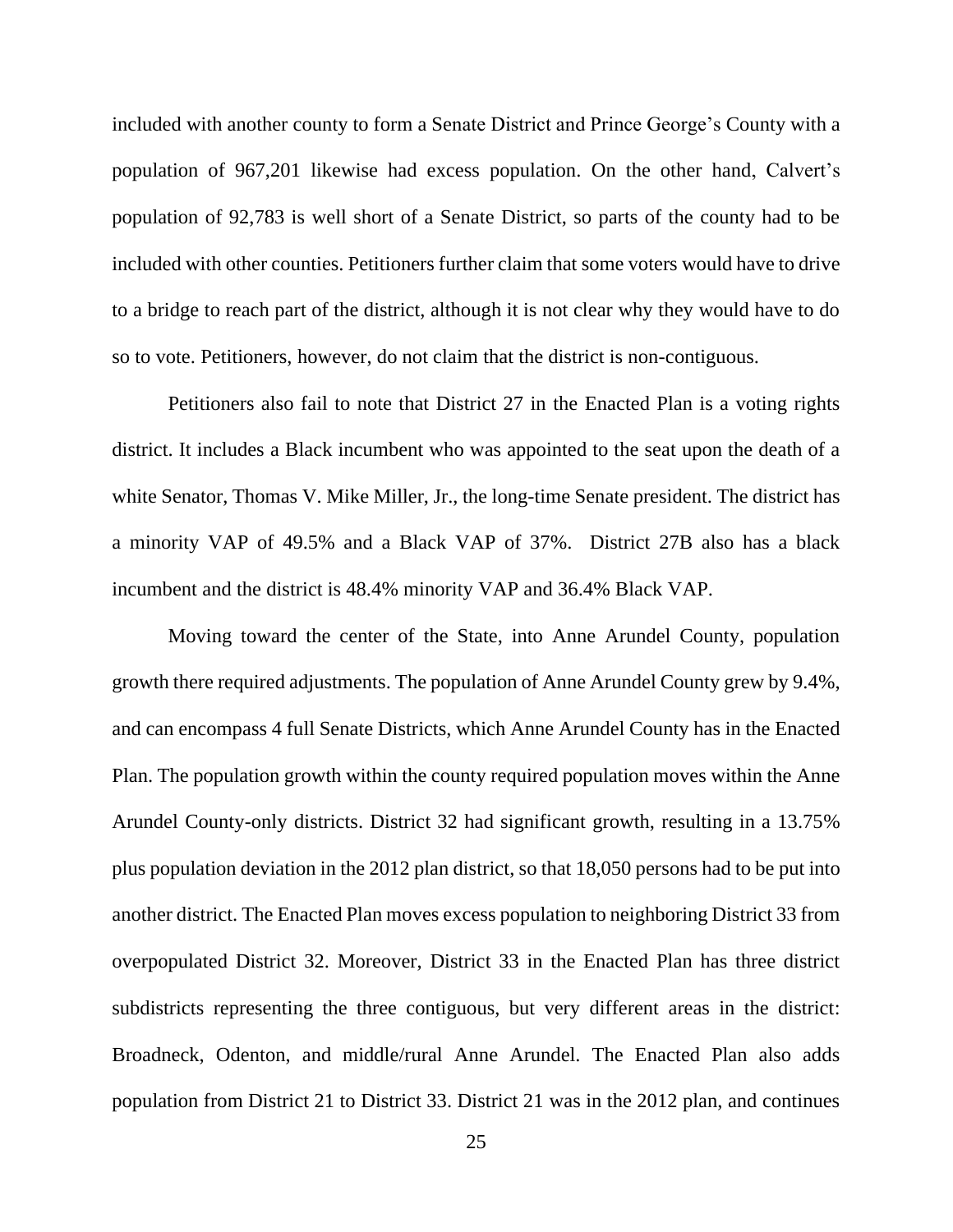included with another county to form a Senate District and Prince George's County with a population of 967,201 likewise had excess population. On the other hand, Calvert's population of 92,783 is well short of a Senate District, so parts of the county had to be included with other counties. Petitioners further claim that some voters would have to drive to a bridge to reach part of the district, although it is not clear why they would have to do so to vote. Petitioners, however, do not claim that the district is non-contiguous.

Petitioners also fail to note that District 27 in the Enacted Plan is a voting rights district. It includes a Black incumbent who was appointed to the seat upon the death of a white Senator, Thomas V. Mike Miller, Jr., the long-time Senate president. The district has a minority VAP of 49.5% and a Black VAP of 37%. District 27B also has a black incumbent and the district is 48.4% minority VAP and 36.4% Black VAP.

Moving toward the center of the State, into Anne Arundel County, population growth there required adjustments. The population of Anne Arundel County grew by 9.4%, and can encompass 4 full Senate Districts, which Anne Arundel County has in the Enacted Plan. The population growth within the county required population moves within the Anne Arundel County-only districts. District 32 had significant growth, resulting in a 13.75% plus population deviation in the 2012 plan district, so that 18,050 persons had to be put into another district. The Enacted Plan moves excess population to neighboring District 33 from overpopulated District 32. Moreover, District 33 in the Enacted Plan has three district subdistricts representing the three contiguous, but very different areas in the district: Broadneck, Odenton, and middle/rural Anne Arundel. The Enacted Plan also adds population from District 21 to District 33. District 21 was in the 2012 plan, and continues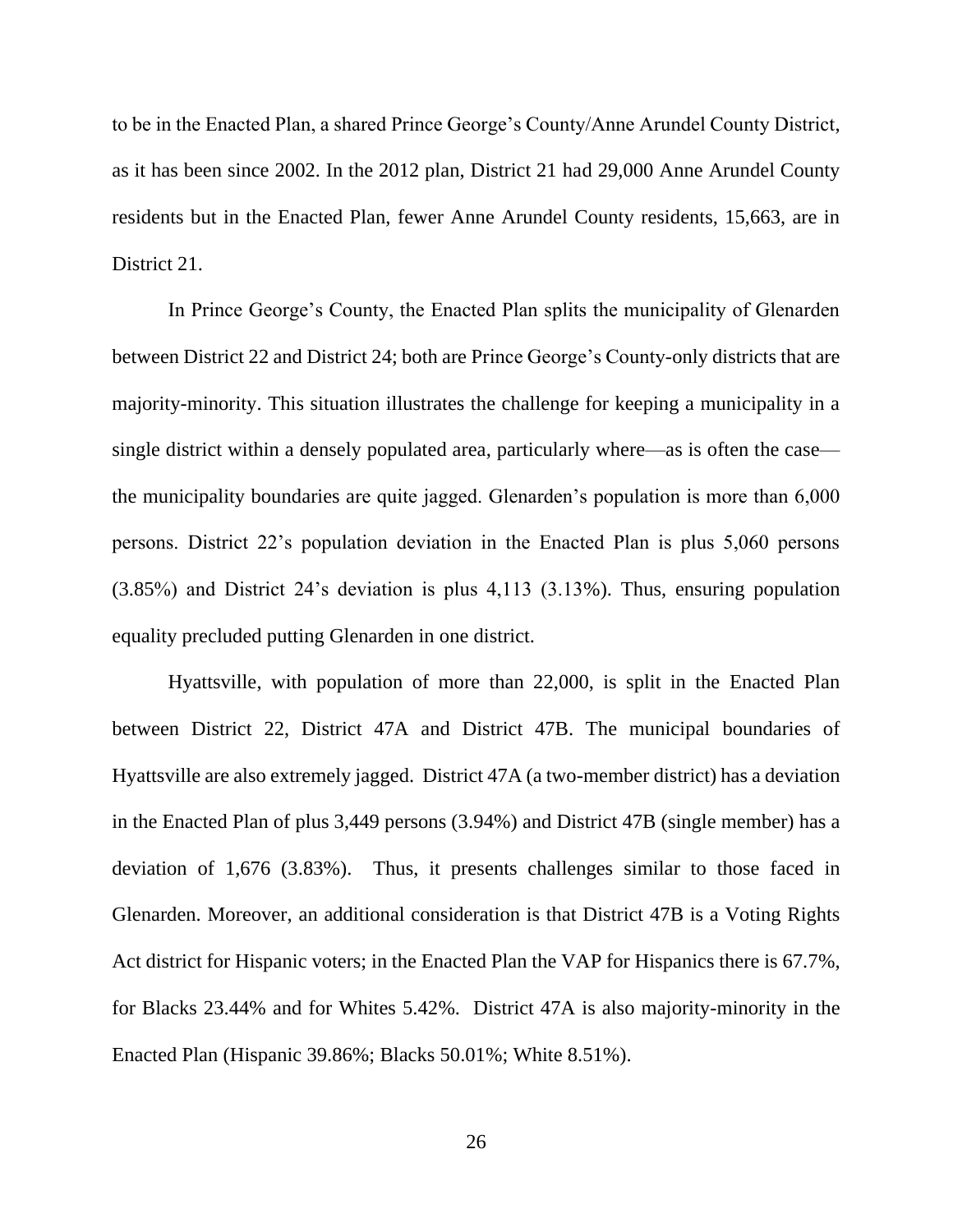to be in the Enacted Plan, a shared Prince George's County/Anne Arundel County District, as it has been since 2002. In the 2012 plan, District 21 had 29,000 Anne Arundel County residents but in the Enacted Plan, fewer Anne Arundel County residents, 15,663, are in District 21.

In Prince George's County, the Enacted Plan splits the municipality of Glenarden between District 22 and District 24; both are Prince George's County-only districts that are majority-minority. This situation illustrates the challenge for keeping a municipality in a single district within a densely populated area, particularly where—as is often the case the municipality boundaries are quite jagged. Glenarden's population is more than 6,000 persons. District 22's population deviation in the Enacted Plan is plus 5,060 persons (3.85%) and District 24's deviation is plus 4,113 (3.13%). Thus, ensuring population equality precluded putting Glenarden in one district.

Hyattsville, with population of more than 22,000, is split in the Enacted Plan between District 22, District 47A and District 47B. The municipal boundaries of Hyattsville are also extremely jagged. District 47A (a two-member district) has a deviation in the Enacted Plan of plus 3,449 persons (3.94%) and District 47B (single member) has a deviation of 1,676 (3.83%). Thus, it presents challenges similar to those faced in Glenarden. Moreover, an additional consideration is that District 47B is a Voting Rights Act district for Hispanic voters; in the Enacted Plan the VAP for Hispanics there is 67.7%, for Blacks 23.44% and for Whites 5.42%. District 47A is also majority-minority in the Enacted Plan (Hispanic 39.86%; Blacks 50.01%; White 8.51%).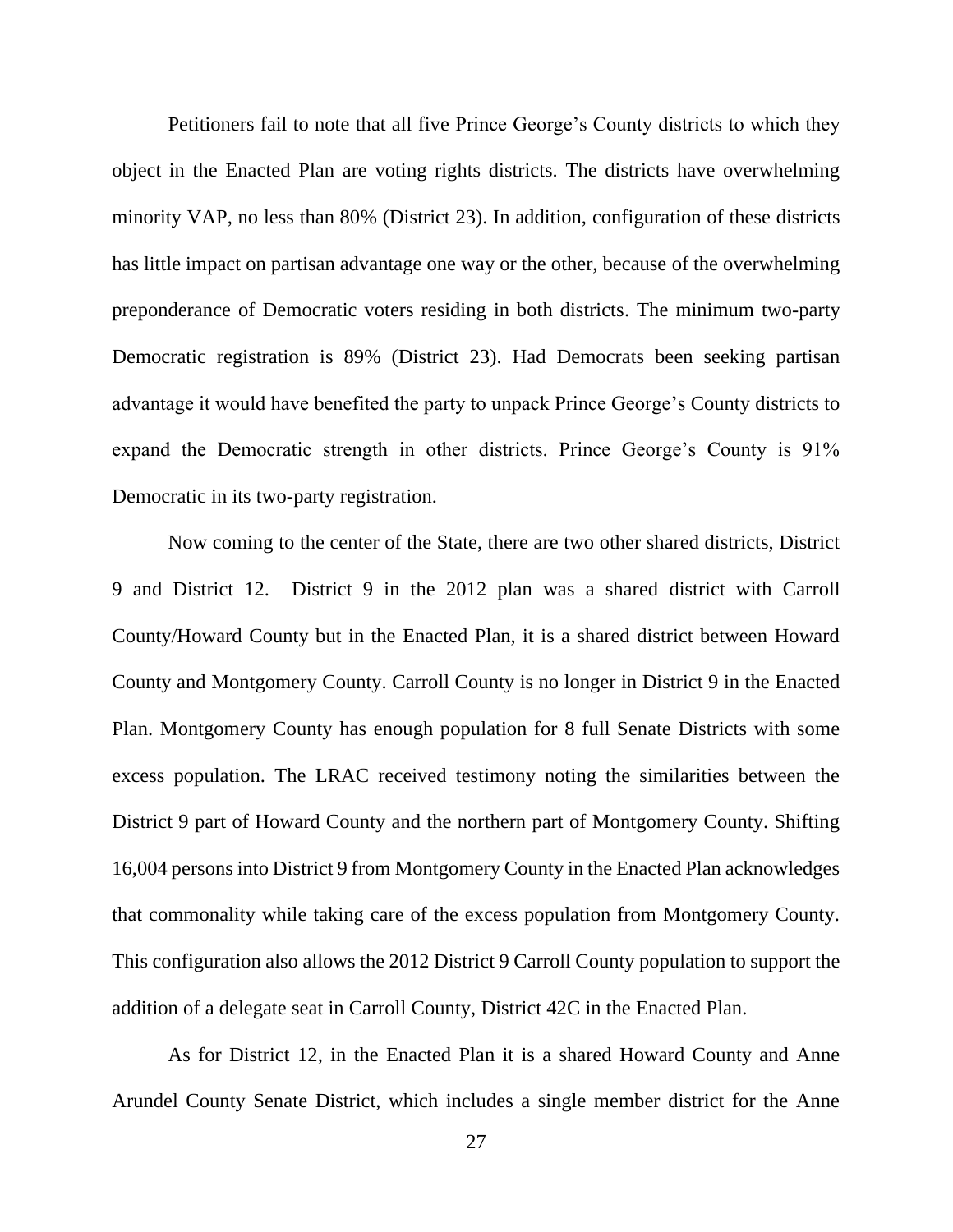Petitioners fail to note that all five Prince George's County districts to which they object in the Enacted Plan are voting rights districts. The districts have overwhelming minority VAP, no less than 80% (District 23). In addition, configuration of these districts has little impact on partisan advantage one way or the other, because of the overwhelming preponderance of Democratic voters residing in both districts. The minimum two-party Democratic registration is 89% (District 23). Had Democrats been seeking partisan advantage it would have benefited the party to unpack Prince George's County districts to expand the Democratic strength in other districts. Prince George's County is 91% Democratic in its two-party registration.

Now coming to the center of the State, there are two other shared districts, District 9 and District 12. District 9 in the 2012 plan was a shared district with Carroll County/Howard County but in the Enacted Plan, it is a shared district between Howard County and Montgomery County. Carroll County is no longer in District 9 in the Enacted Plan. Montgomery County has enough population for 8 full Senate Districts with some excess population. The LRAC received testimony noting the similarities between the District 9 part of Howard County and the northern part of Montgomery County. Shifting 16,004 persons into District 9 from Montgomery County in the Enacted Plan acknowledges that commonality while taking care of the excess population from Montgomery County. This configuration also allows the 2012 District 9 Carroll County population to support the addition of a delegate seat in Carroll County, District 42C in the Enacted Plan.

As for District 12, in the Enacted Plan it is a shared Howard County and Anne Arundel County Senate District, which includes a single member district for the Anne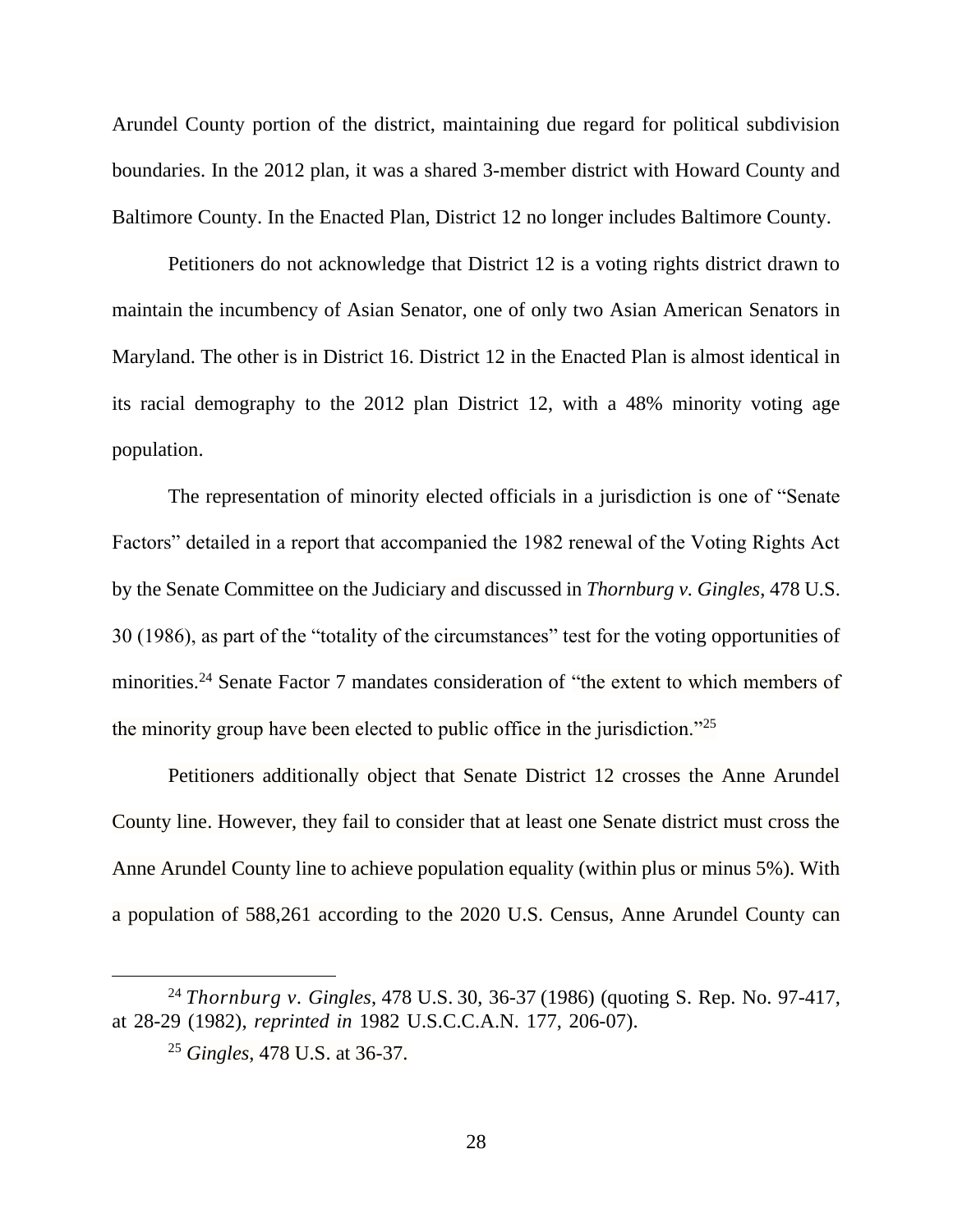Arundel County portion of the district, maintaining due regard for political subdivision boundaries. In the 2012 plan, it was a shared 3-member district with Howard County and Baltimore County. In the Enacted Plan, District 12 no longer includes Baltimore County.

Petitioners do not acknowledge that District 12 is a voting rights district drawn to maintain the incumbency of Asian Senator, one of only two Asian American Senators in Maryland. The other is in District 16. District 12 in the Enacted Plan is almost identical in its racial demography to the 2012 plan District 12, with a 48% minority voting age population.

The representation of minority elected officials in a jurisdiction is one of "Senate Factors" detailed in a report that accompanied the 1982 renewal of the Voting Rights Act by the Senate Committee on the Judiciary and discussed in *Thornburg v. Gingles*, 478 U.S. 30 (1986), as part of the "totality of the circumstances" test for the voting opportunities of minorities.<sup>24</sup> Senate Factor 7 mandates consideration of "the extent to which members of the minority group have been elected to public office in the jurisdiction."<sup>25</sup>

Petitioners additionally object that Senate District 12 crosses the Anne Arundel County line. However, they fail to consider that at least one Senate district must cross the Anne Arundel County line to achieve population equality (within plus or minus 5%). With a population of 588,261 according to the 2020 U.S. Census, Anne Arundel County can

<sup>24</sup> *Thornburg v. Gingles*, 478 U.S. 30, 36-37 (1986) (quoting S. Rep. No. 97-417, at 28-29 (1982), *reprinted in* 1982 U.S.C.C.A.N. 177, 206-07).

<sup>25</sup> *Gingles*, 478 U.S. at 36-37.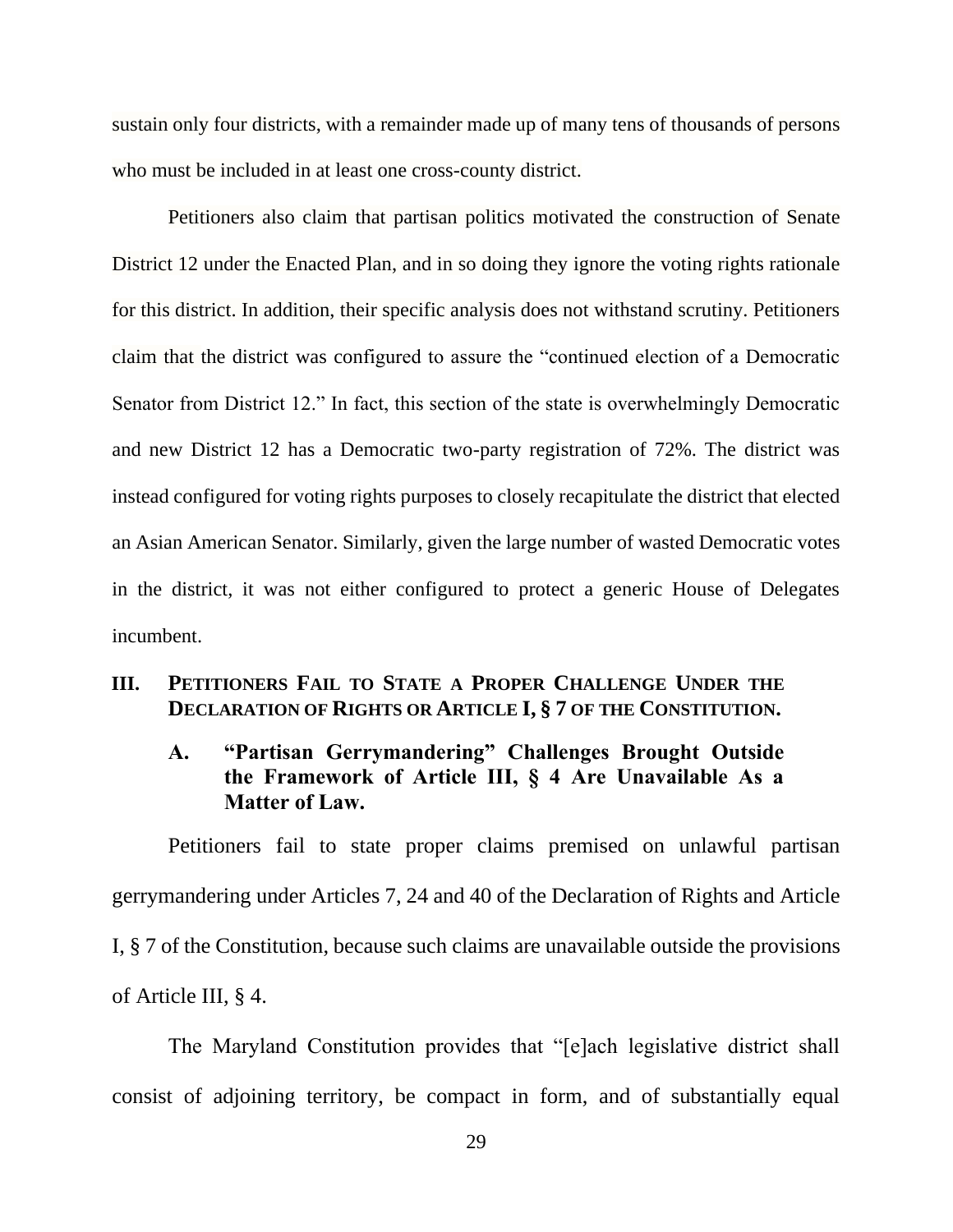sustain only four districts, with a remainder made up of many tens of thousands of persons who must be included in at least one cross-county district.

Petitioners also claim that partisan politics motivated the construction of Senate District 12 under the Enacted Plan, and in so doing they ignore the voting rights rationale for this district. In addition, their specific analysis does not withstand scrutiny. Petitioners claim that the district was configured to assure the "continued election of a Democratic Senator from District 12." In fact, this section of the state is overwhelmingly Democratic and new District 12 has a Democratic two-party registration of 72%. The district was instead configured for voting rights purposes to closely recapitulate the district that elected an Asian American Senator. Similarly, given the large number of wasted Democratic votes in the district, it was not either configured to protect a generic House of Delegates incumbent.

## **III. PETITIONERS FAIL TO STATE A PROPER CHALLENGE UNDER THE DECLARATION OF RIGHTS OR ARTICLE I, § 7 OF THE CONSTITUTION.**

# **A. "Partisan Gerrymandering" Challenges Brought Outside the Framework of Article III, § 4 Are Unavailable As a Matter of Law.**

Petitioners fail to state proper claims premised on unlawful partisan gerrymandering under Articles 7, 24 and 40 of the Declaration of Rights and Article I, § 7 of the Constitution, because such claims are unavailable outside the provisions of Article III, § 4.

The Maryland Constitution provides that "[e]ach legislative district shall consist of adjoining territory, be compact in form, and of substantially equal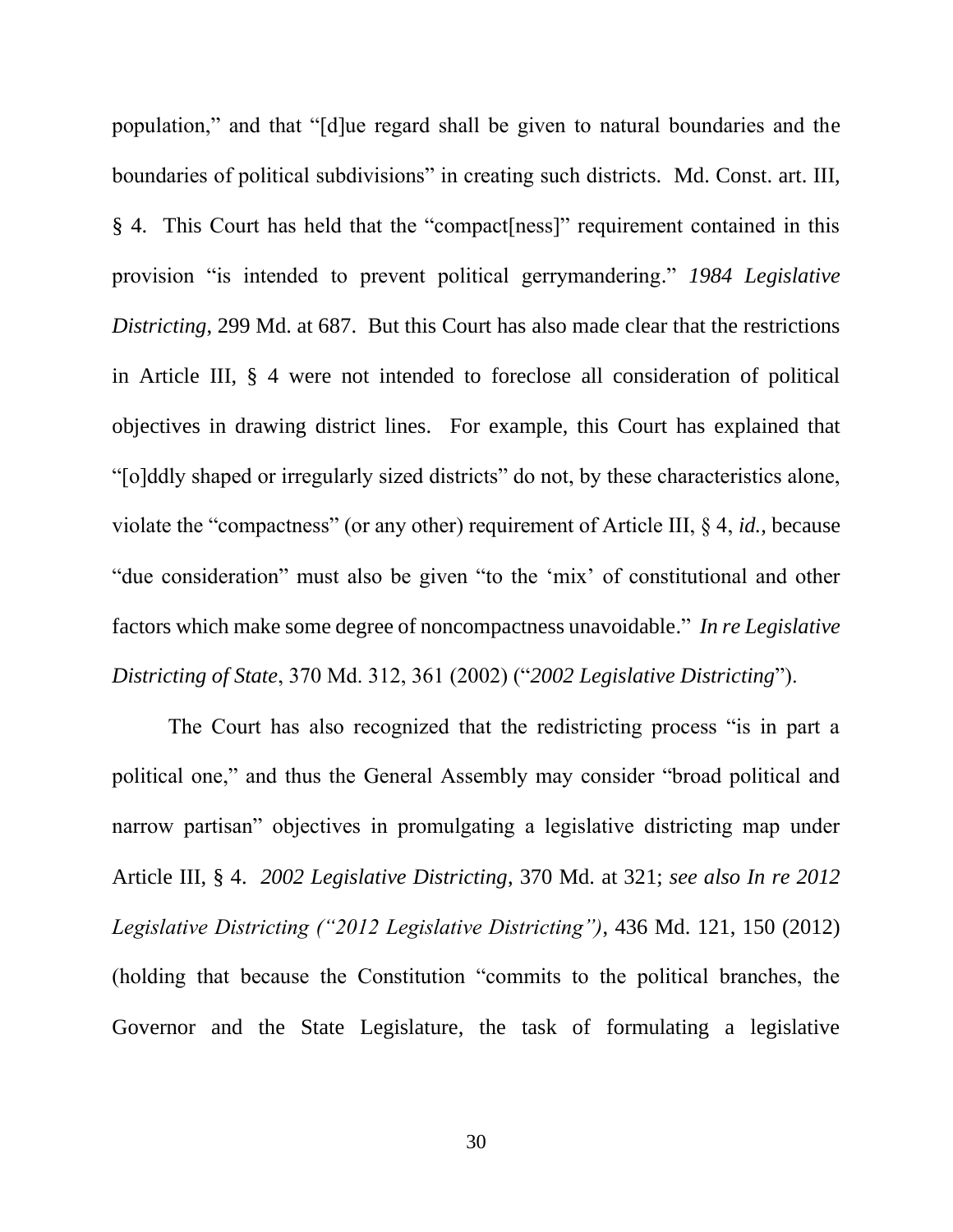population," and that "[d]ue regard shall be given to natural boundaries and the boundaries of political subdivisions" in creating such districts. Md. Const. art. III, § 4. This Court has held that the "compact[ness]" requirement contained in this provision "is intended to prevent political gerrymandering." *1984 Legislative Districting*, 299 Md. at 687. But this Court has also made clear that the restrictions in Article III, § 4 were not intended to foreclose all consideration of political objectives in drawing district lines. For example, this Court has explained that "[o]ddly shaped or irregularly sized districts" do not, by these characteristics alone, violate the "compactness" (or any other) requirement of Article III, § 4, *id.*, because "due consideration" must also be given "to the 'mix' of constitutional and other factors which make some degree of noncompactness unavoidable." *In re Legislative Districting of State*, 370 Md. 312, 361 (2002) ("*2002 Legislative Districting*").

The Court has also recognized that the redistricting process "is in part a political one," and thus the General Assembly may consider "broad political and narrow partisan" objectives in promulgating a legislative districting map under Article III, § 4. *2002 Legislative Districting*, 370 Md. at 321; *see also In re 2012 Legislative Districting ("2012 Legislative Districting")*, 436 Md. 121, 150 (2012) (holding that because the Constitution "commits to the political branches, the Governor and the State Legislature, the task of formulating a legislative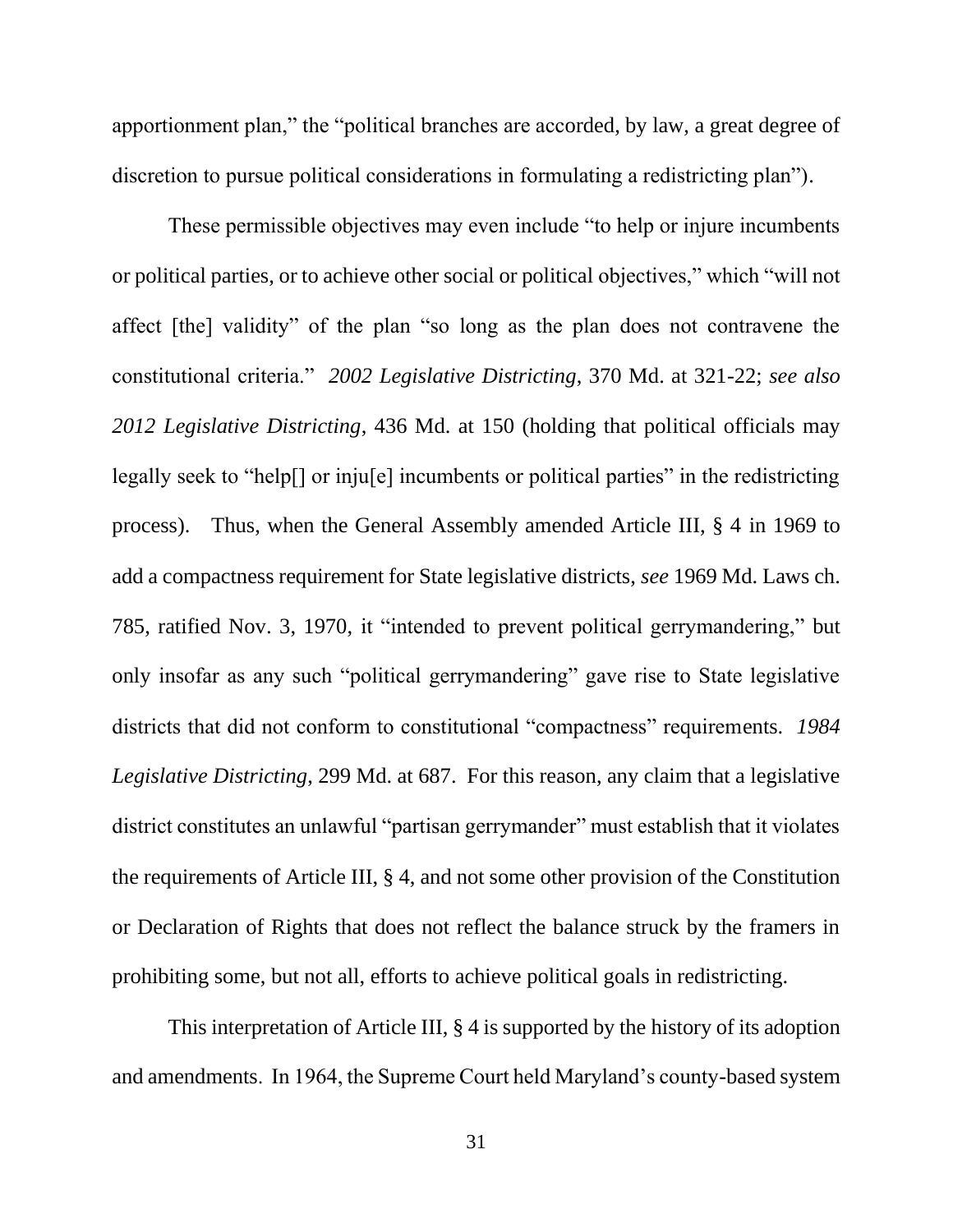apportionment plan," the "political branches are accorded, by law, a great degree of discretion to pursue political considerations in formulating a redistricting plan").

These permissible objectives may even include "to help or injure incumbents or political parties, or to achieve other social or political objectives," which "will not affect [the] validity" of the plan "so long as the plan does not contravene the constitutional criteria." *2002 Legislative Districting*, 370 Md. at 321-22; *see also 2012 Legislative Districting*, 436 Md. at 150 (holding that political officials may legally seek to "help[] or inju[e] incumbents or political parties" in the redistricting process). Thus, when the General Assembly amended Article III, § 4 in 1969 to add a compactness requirement for State legislative districts, *see* 1969 Md. Laws ch. 785, ratified Nov. 3, 1970, it "intended to prevent political gerrymandering," but only insofar as any such "political gerrymandering" gave rise to State legislative districts that did not conform to constitutional "compactness" requirements. *1984 Legislative Districting*, 299 Md. at 687. For this reason, any claim that a legislative district constitutes an unlawful "partisan gerrymander" must establish that it violates the requirements of Article III, § 4, and not some other provision of the Constitution or Declaration of Rights that does not reflect the balance struck by the framers in prohibiting some, but not all, efforts to achieve political goals in redistricting.

This interpretation of Article III, § 4 is supported by the history of its adoption and amendments. In 1964, the Supreme Court held Maryland's county-based system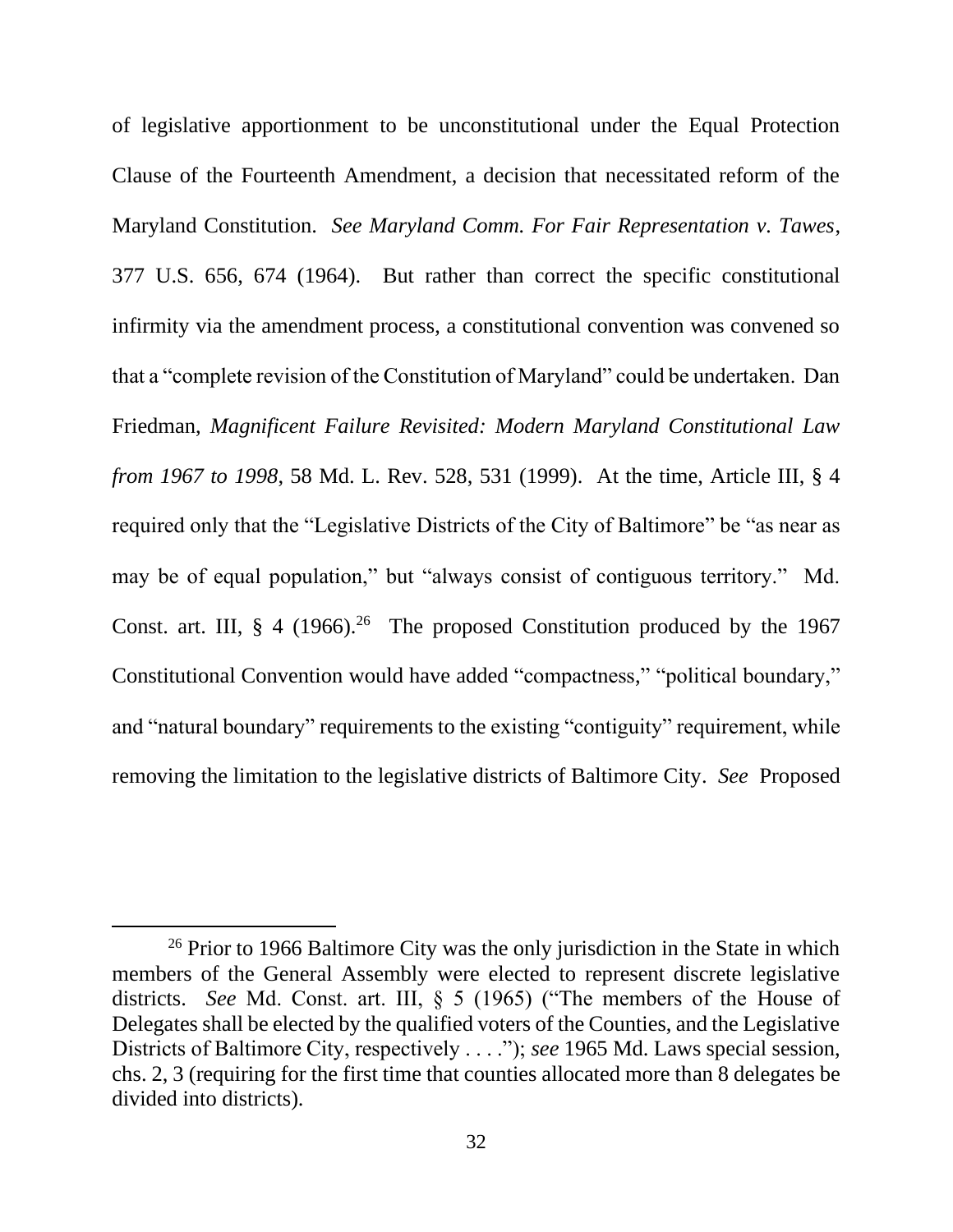of legislative apportionment to be unconstitutional under the Equal Protection Clause of the Fourteenth Amendment, a decision that necessitated reform of the Maryland Constitution. *See Maryland Comm. For Fair Representation v. Tawes*, 377 U.S. 656, 674 (1964). But rather than correct the specific constitutional infirmity via the amendment process, a constitutional convention was convened so that a "complete revision of the Constitution of Maryland" could be undertaken. Dan Friedman, *Magnificent Failure Revisited: Modern Maryland Constitutional Law from 1967 to 1998*, 58 Md. L. Rev. 528, 531 (1999). At the time, Article III, § 4 required only that the "Legislative Districts of the City of Baltimore" be "as near as may be of equal population," but "always consist of contiguous territory." Md. Const. art. III,  $\S$  4 (1966).<sup>26</sup> The proposed Constitution produced by the 1967 Constitutional Convention would have added "compactness," "political boundary," and "natural boundary" requirements to the existing "contiguity" requirement, while removing the limitation to the legislative districts of Baltimore City. *See* Proposed

 $26$  Prior to 1966 Baltimore City was the only jurisdiction in the State in which members of the General Assembly were elected to represent discrete legislative districts. *See* Md. Const. art. III, § 5 (1965) ("The members of the House of Delegates shall be elected by the qualified voters of the Counties, and the Legislative Districts of Baltimore City, respectively . . . ."); *see* 1965 Md. Laws special session, chs. 2, 3 (requiring for the first time that counties allocated more than 8 delegates be divided into districts).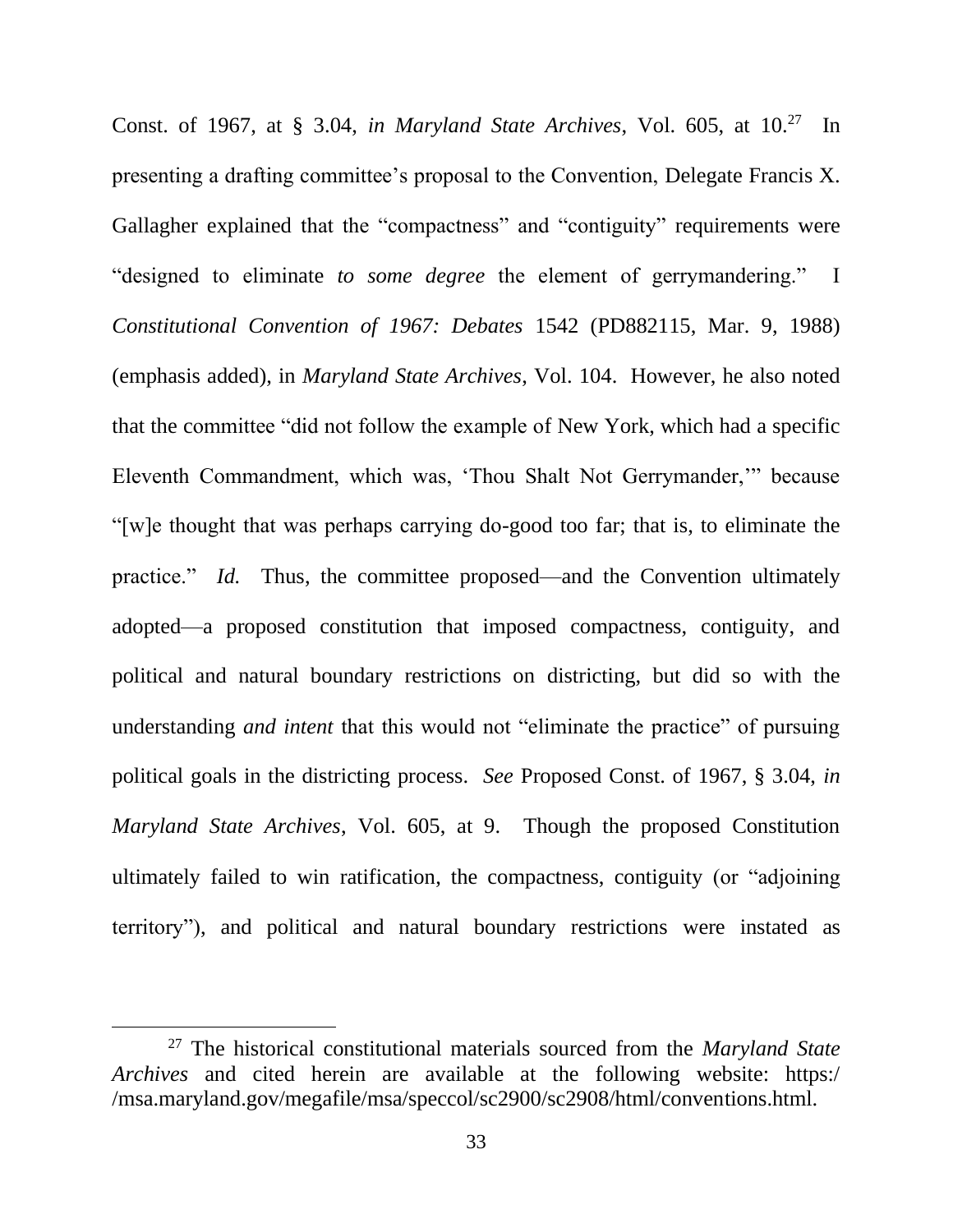Const. of 1967, at § 3.04, *in Maryland State Archives*, Vol. 605, at 10.<sup>27</sup> In presenting a drafting committee's proposal to the Convention, Delegate Francis X. Gallagher explained that the "compactness" and "contiguity" requirements were "designed to eliminate *to some degree* the element of gerrymandering." I *Constitutional Convention of 1967: Debates* 1542 (PD882115, Mar. 9, 1988) (emphasis added), in *Maryland State Archives*, Vol. 104. However, he also noted that the committee "did not follow the example of New York, which had a specific Eleventh Commandment, which was, 'Thou Shalt Not Gerrymander,'" because "[w]e thought that was perhaps carrying do-good too far; that is, to eliminate the practice." *Id.* Thus, the committee proposed—and the Convention ultimately adopted—a proposed constitution that imposed compactness, contiguity, and political and natural boundary restrictions on districting, but did so with the understanding *and intent* that this would not "eliminate the practice" of pursuing political goals in the districting process. *See* Proposed Const. of 1967, § 3.04, *in Maryland State Archives*, Vol. 605, at 9. Though the proposed Constitution ultimately failed to win ratification, the compactness, contiguity (or "adjoining territory"), and political and natural boundary restrictions were instated as

<sup>27</sup> The historical constitutional materials sourced from the *Maryland State Archives* and cited herein are available at the following website: https:/ /msa.maryland.gov/megafile/msa/speccol/sc2900/sc2908/html/conventions.html.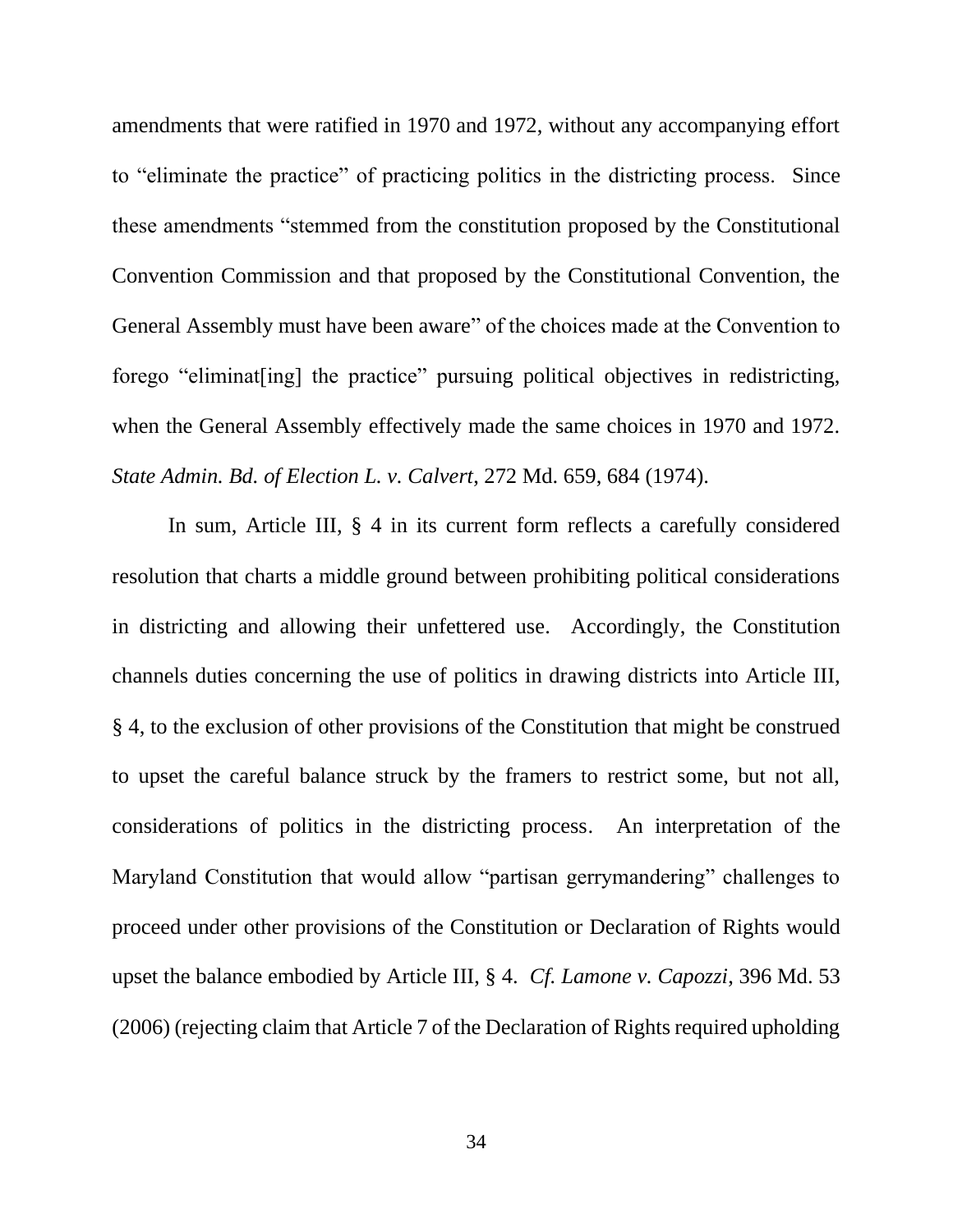amendments that were ratified in 1970 and 1972, without any accompanying effort to "eliminate the practice" of practicing politics in the districting process. Since these amendments "stemmed from the constitution proposed by the Constitutional Convention Commission and that proposed by the Constitutional Convention, the General Assembly must have been aware" of the choices made at the Convention to forego "eliminat[ing] the practice" pursuing political objectives in redistricting, when the General Assembly effectively made the same choices in 1970 and 1972. *State Admin. Bd. of Election L. v. Calvert*, 272 Md. 659, 684 (1974).

In sum, Article III, § 4 in its current form reflects a carefully considered resolution that charts a middle ground between prohibiting political considerations in districting and allowing their unfettered use. Accordingly, the Constitution channels duties concerning the use of politics in drawing districts into Article III, § 4, to the exclusion of other provisions of the Constitution that might be construed to upset the careful balance struck by the framers to restrict some, but not all, considerations of politics in the districting process. An interpretation of the Maryland Constitution that would allow "partisan gerrymandering" challenges to proceed under other provisions of the Constitution or Declaration of Rights would upset the balance embodied by Article III, § 4. *Cf. Lamone v. Capozzi*, 396 Md. 53 (2006) (rejecting claim that Article 7 of the Declaration of Rights required upholding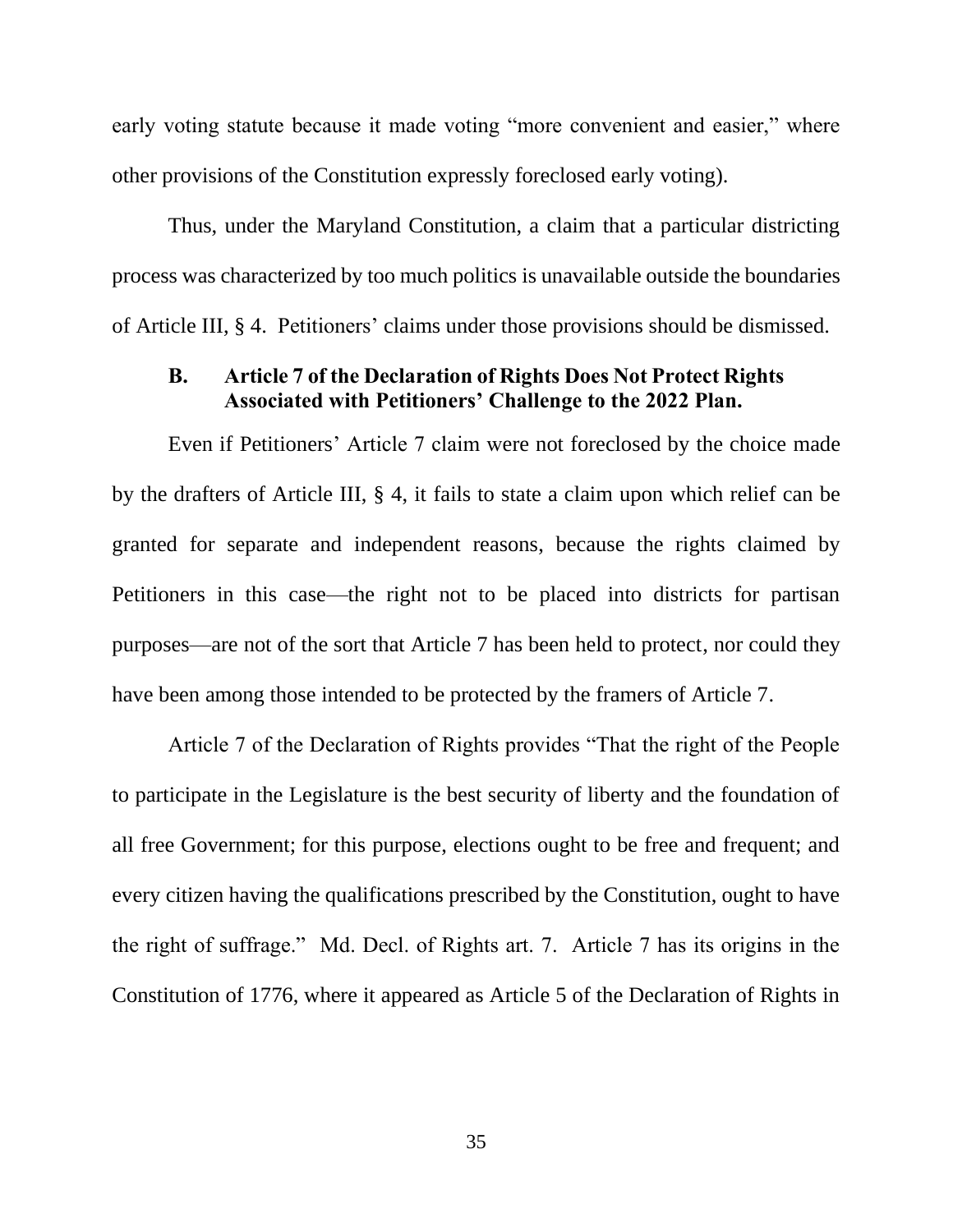early voting statute because it made voting "more convenient and easier," where other provisions of the Constitution expressly foreclosed early voting).

Thus, under the Maryland Constitution, a claim that a particular districting process was characterized by too much politics is unavailable outside the boundaries of Article III, § 4. Petitioners' claims under those provisions should be dismissed.

## **B. Article 7 of the Declaration of Rights Does Not Protect Rights Associated with Petitioners' Challenge to the 2022 Plan.**

Even if Petitioners' Article 7 claim were not foreclosed by the choice made by the drafters of Article III, § 4, it fails to state a claim upon which relief can be granted for separate and independent reasons, because the rights claimed by Petitioners in this case—the right not to be placed into districts for partisan purposes—are not of the sort that Article 7 has been held to protect, nor could they have been among those intended to be protected by the framers of Article 7.

Article 7 of the Declaration of Rights provides "That the right of the People to participate in the Legislature is the best security of liberty and the foundation of all free Government; for this purpose, elections ought to be free and frequent; and every citizen having the qualifications prescribed by the Constitution, ought to have the right of suffrage." Md. Decl. of Rights art. 7. Article 7 has its origins in the Constitution of 1776, where it appeared as Article 5 of the Declaration of Rights in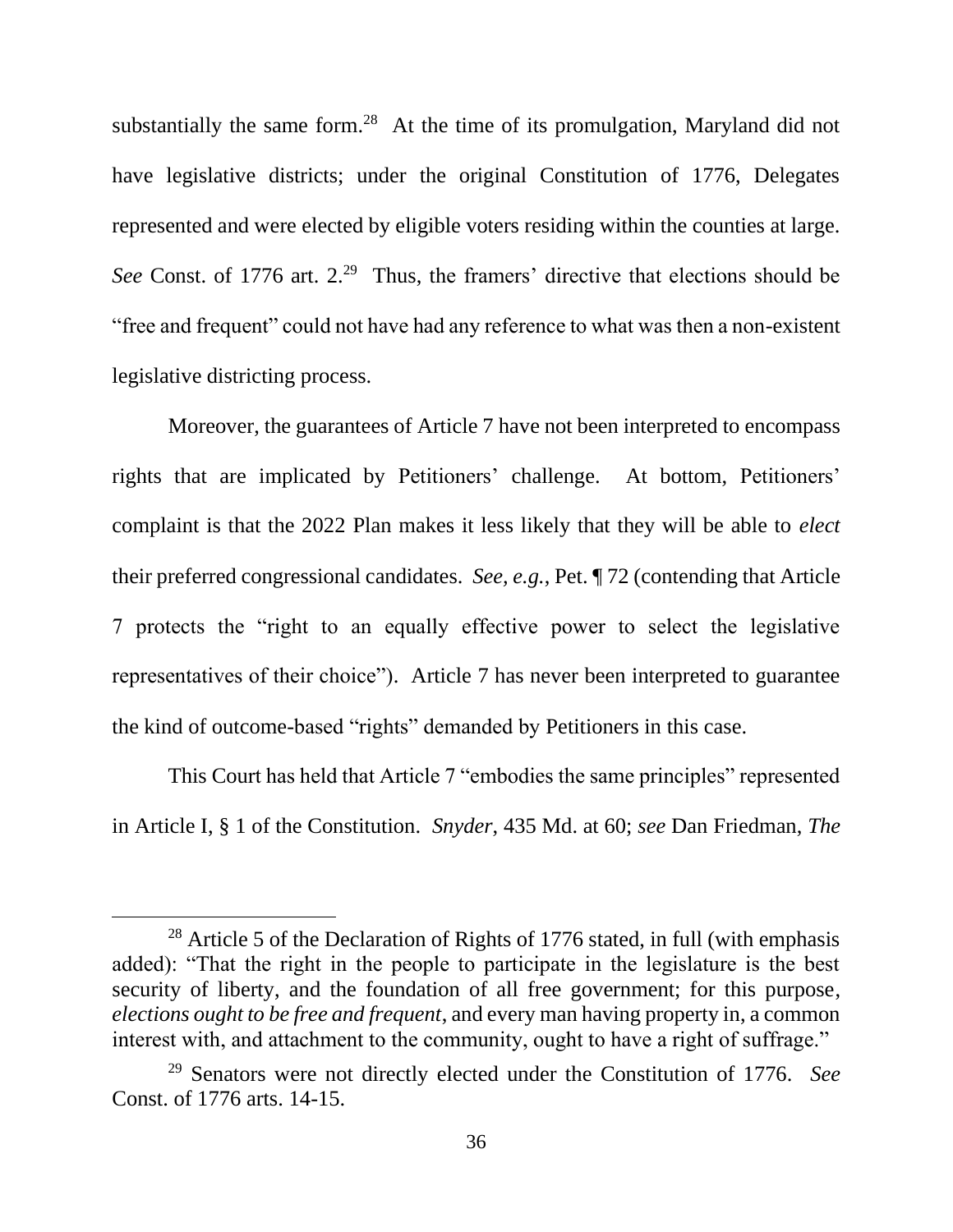substantially the same form.<sup>28</sup> At the time of its promulgation, Maryland did not have legislative districts; under the original Constitution of 1776, Delegates represented and were elected by eligible voters residing within the counties at large. See Const. of 1776 art. 2.<sup>29</sup> Thus, the framers' directive that elections should be "free and frequent" could not have had any reference to what was then a non-existent legislative districting process.

Moreover, the guarantees of Article 7 have not been interpreted to encompass rights that are implicated by Petitioners' challenge. At bottom, Petitioners' complaint is that the 2022 Plan makes it less likely that they will be able to *elect*  their preferred congressional candidates. *See, e.g.*, Pet. ¶ 72 (contending that Article 7 protects the "right to an equally effective power to select the legislative representatives of their choice"). Article 7 has never been interpreted to guarantee the kind of outcome-based "rights" demanded by Petitioners in this case.

This Court has held that Article 7 "embodies the same principles" represented in Article I, § 1 of the Constitution. *Snyder*, 435 Md. at 60; *see* Dan Friedman, *The* 

 $28$  Article 5 of the Declaration of Rights of 1776 stated, in full (with emphasis added): "That the right in the people to participate in the legislature is the best security of liberty, and the foundation of all free government; for this purpose, *elections ought to be free and frequent*, and every man having property in, a common interest with, and attachment to the community, ought to have a right of suffrage."

<sup>29</sup> Senators were not directly elected under the Constitution of 1776. *See*  Const. of 1776 arts. 14-15.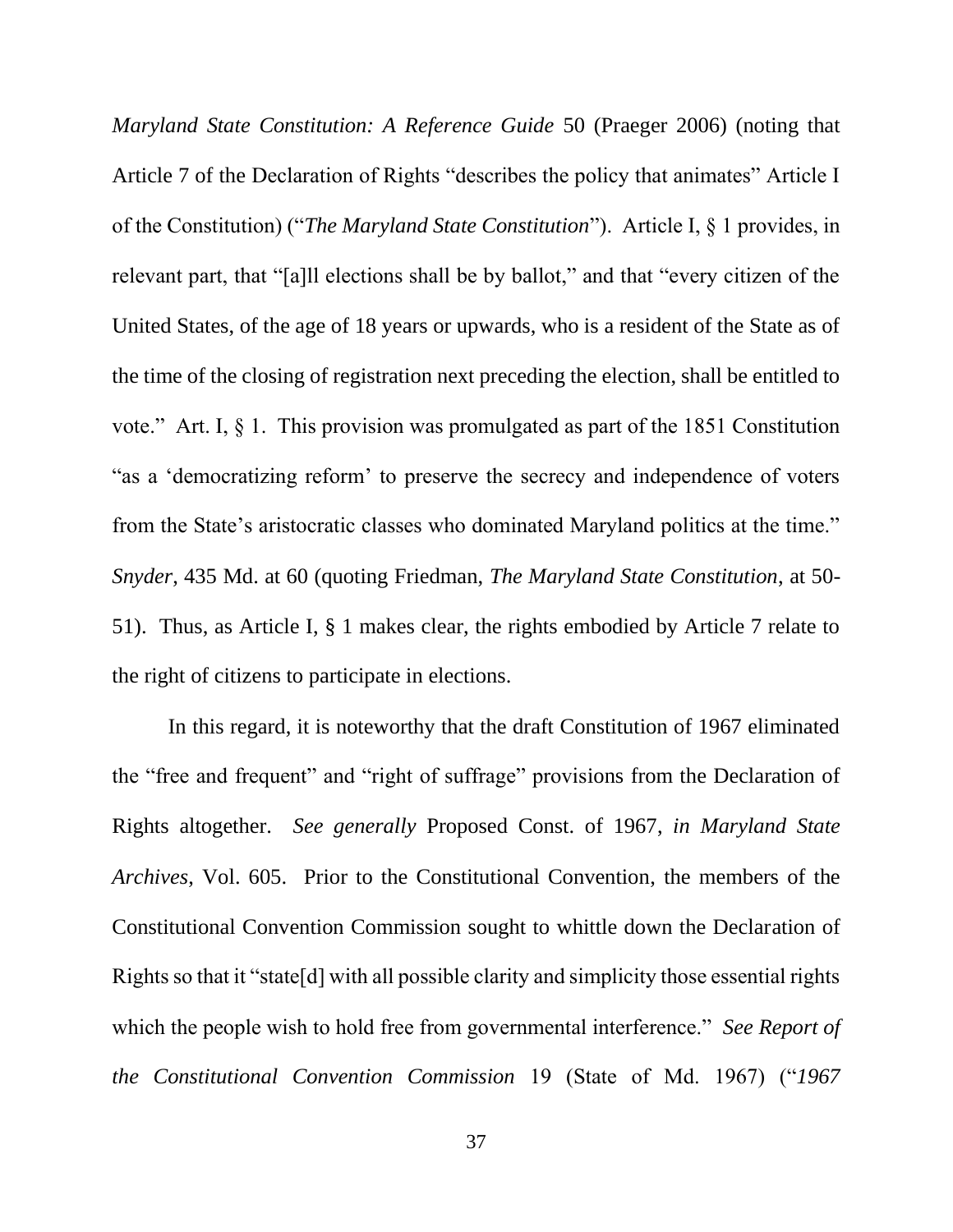*Maryland State Constitution: A Reference Guide* 50 (Praeger 2006) (noting that Article 7 of the Declaration of Rights "describes the policy that animates" Article I of the Constitution) ("*The Maryland State Constitution*"). Article I, § 1 provides, in relevant part, that "[a]ll elections shall be by ballot," and that "every citizen of the United States, of the age of 18 years or upwards, who is a resident of the State as of the time of the closing of registration next preceding the election, shall be entitled to vote." Art. I, § 1. This provision was promulgated as part of the 1851 Constitution "as a 'democratizing reform' to preserve the secrecy and independence of voters from the State's aristocratic classes who dominated Maryland politics at the time." *Snyder*, 435 Md. at 60 (quoting Friedman, *The Maryland State Constitution*, at 50- 51). Thus, as Article I, § 1 makes clear, the rights embodied by Article 7 relate to the right of citizens to participate in elections.

In this regard, it is noteworthy that the draft Constitution of 1967 eliminated the "free and frequent" and "right of suffrage" provisions from the Declaration of Rights altogether. *See generally* Proposed Const. of 1967, *in Maryland State Archives*, Vol. 605. Prior to the Constitutional Convention, the members of the Constitutional Convention Commission sought to whittle down the Declaration of Rights so that it "state[d] with all possible clarity and simplicity those essential rights which the people wish to hold free from governmental interference." *See Report of the Constitutional Convention Commission* 19 (State of Md. 1967) ("*1967*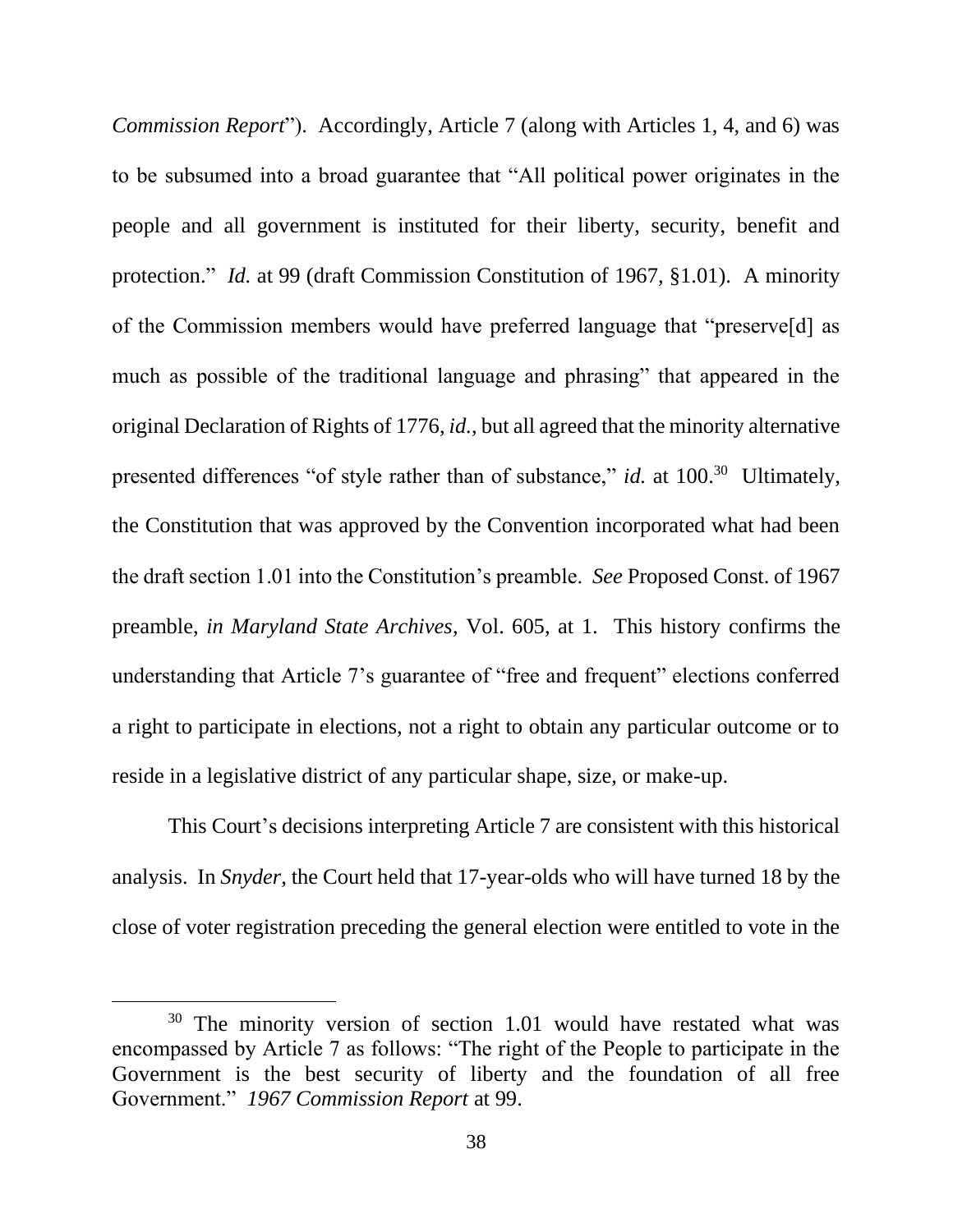*Commission Report*"). Accordingly, Article 7 (along with Articles 1, 4, and 6) was to be subsumed into a broad guarantee that "All political power originates in the people and all government is instituted for their liberty, security, benefit and protection." *Id.* at 99 (draft Commission Constitution of 1967, §1.01). A minority of the Commission members would have preferred language that "preserve[d] as much as possible of the traditional language and phrasing" that appeared in the original Declaration of Rights of 1776, *id.*, but all agreed that the minority alternative presented differences "of style rather than of substance," *id.* at 100.<sup>30</sup> Ultimately, the Constitution that was approved by the Convention incorporated what had been the draft section 1.01 into the Constitution's preamble. *See* Proposed Const. of 1967 preamble, *in Maryland State Archives*, Vol. 605, at 1. This history confirms the understanding that Article 7's guarantee of "free and frequent" elections conferred a right to participate in elections, not a right to obtain any particular outcome or to reside in a legislative district of any particular shape, size, or make-up.

This Court's decisions interpreting Article 7 are consistent with this historical analysis. In *Snyder*, the Court held that 17-year-olds who will have turned 18 by the close of voter registration preceding the general election were entitled to vote in the

 $30$  The minority version of section 1.01 would have restated what was encompassed by Article 7 as follows: "The right of the People to participate in the Government is the best security of liberty and the foundation of all free Government." *1967 Commission Report* at 99.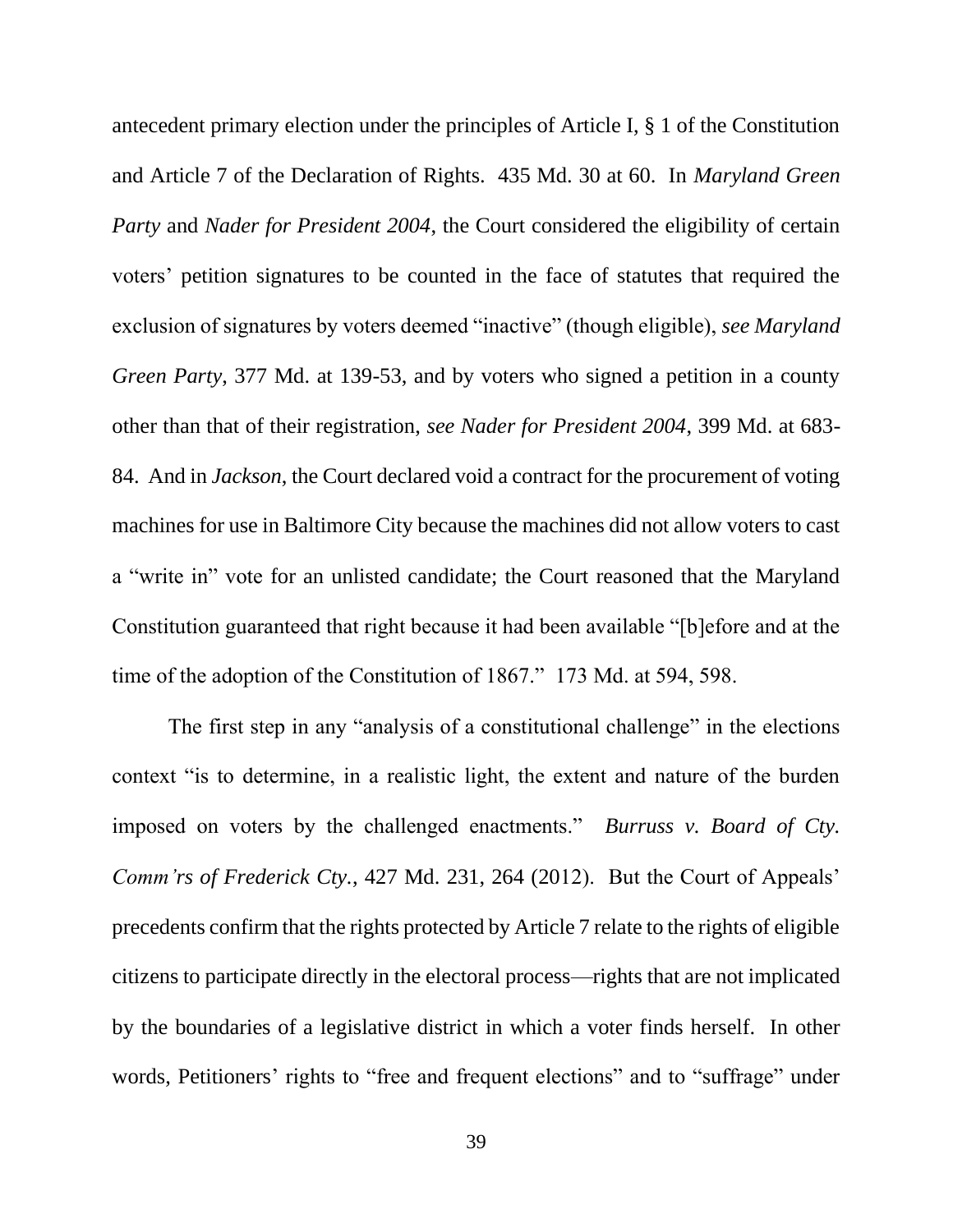antecedent primary election under the principles of Article I, § 1 of the Constitution and Article 7 of the Declaration of Rights. 435 Md. 30 at 60. In *Maryland Green Party* and *Nader for President 2004*, the Court considered the eligibility of certain voters' petition signatures to be counted in the face of statutes that required the exclusion of signatures by voters deemed "inactive" (though eligible), *see Maryland Green Party*, 377 Md. at 139-53, and by voters who signed a petition in a county other than that of their registration, *see Nader for President 2004*, 399 Md. at 683- 84. And in *Jackson*, the Court declared void a contract for the procurement of voting machines for use in Baltimore City because the machines did not allow voters to cast a "write in" vote for an unlisted candidate; the Court reasoned that the Maryland Constitution guaranteed that right because it had been available "[b]efore and at the time of the adoption of the Constitution of 1867." 173 Md. at 594, 598.

The first step in any "analysis of a constitutional challenge" in the elections context "is to determine, in a realistic light, the extent and nature of the burden imposed on voters by the challenged enactments." *Burruss v. Board of Cty. Comm'rs of Frederick Cty.*, 427 Md. 231, 264 (2012). But the Court of Appeals' precedents confirm that the rights protected by Article 7 relate to the rights of eligible citizens to participate directly in the electoral process—rights that are not implicated by the boundaries of a legislative district in which a voter finds herself. In other words, Petitioners' rights to "free and frequent elections" and to "suffrage" under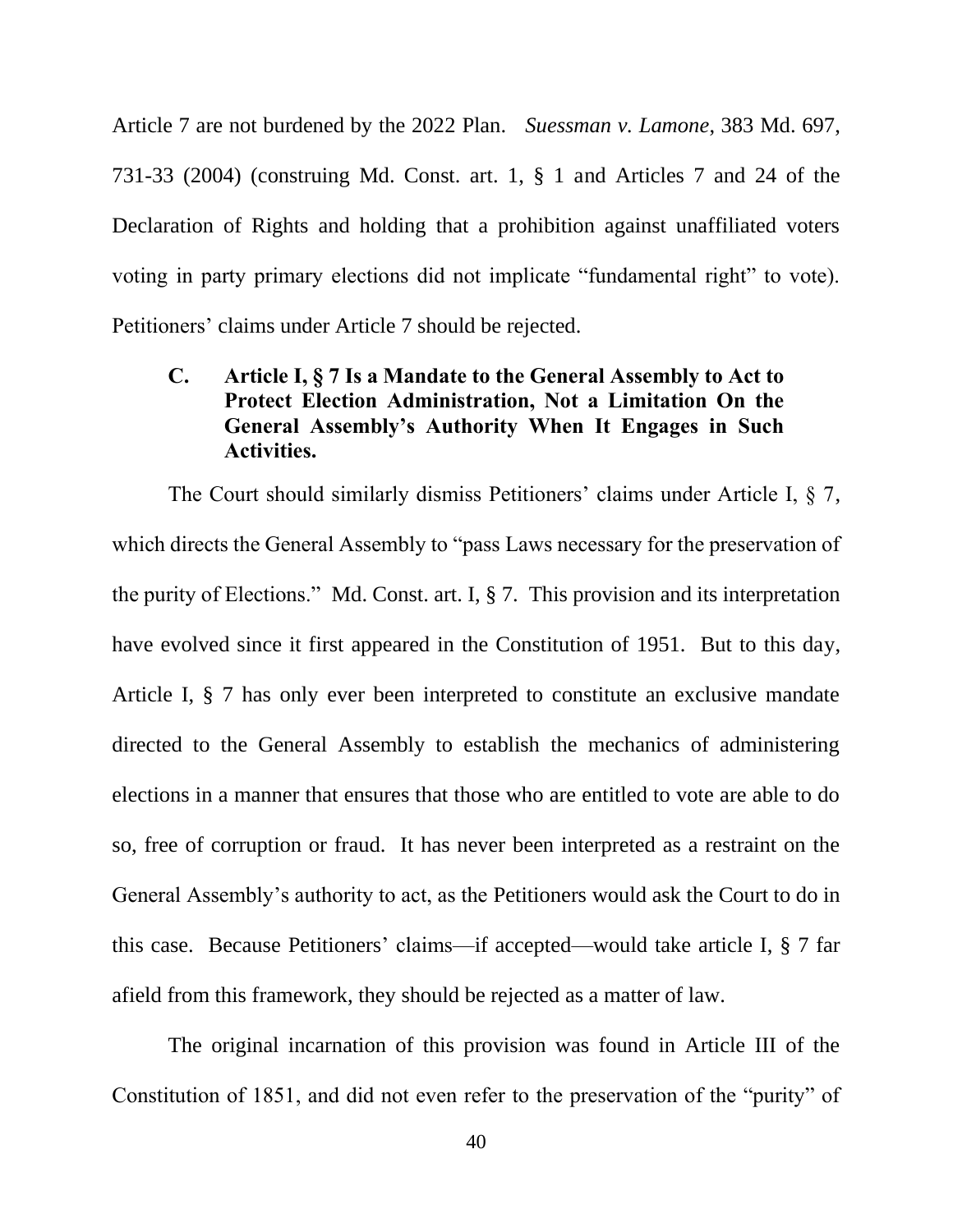Article 7 are not burdened by the 2022 Plan. *Suessman v. Lamone*, 383 Md. 697, 731-33 (2004) (construing Md. Const. art. 1, § 1 and Articles 7 and 24 of the Declaration of Rights and holding that a prohibition against unaffiliated voters voting in party primary elections did not implicate "fundamental right" to vote). Petitioners' claims under Article 7 should be rejected.

# **C. Article I, § 7 Is a Mandate to the General Assembly to Act to Protect Election Administration, Not a Limitation On the General Assembly's Authority When It Engages in Such Activities.**

The Court should similarly dismiss Petitioners' claims under Article I, § 7, which directs the General Assembly to "pass Laws necessary for the preservation of the purity of Elections." Md. Const. art. I, § 7. This provision and its interpretation have evolved since it first appeared in the Constitution of 1951. But to this day, Article I, § 7 has only ever been interpreted to constitute an exclusive mandate directed to the General Assembly to establish the mechanics of administering elections in a manner that ensures that those who are entitled to vote are able to do so, free of corruption or fraud. It has never been interpreted as a restraint on the General Assembly's authority to act, as the Petitioners would ask the Court to do in this case. Because Petitioners' claims—if accepted—would take article I, § 7 far afield from this framework, they should be rejected as a matter of law.

The original incarnation of this provision was found in Article III of the Constitution of 1851, and did not even refer to the preservation of the "purity" of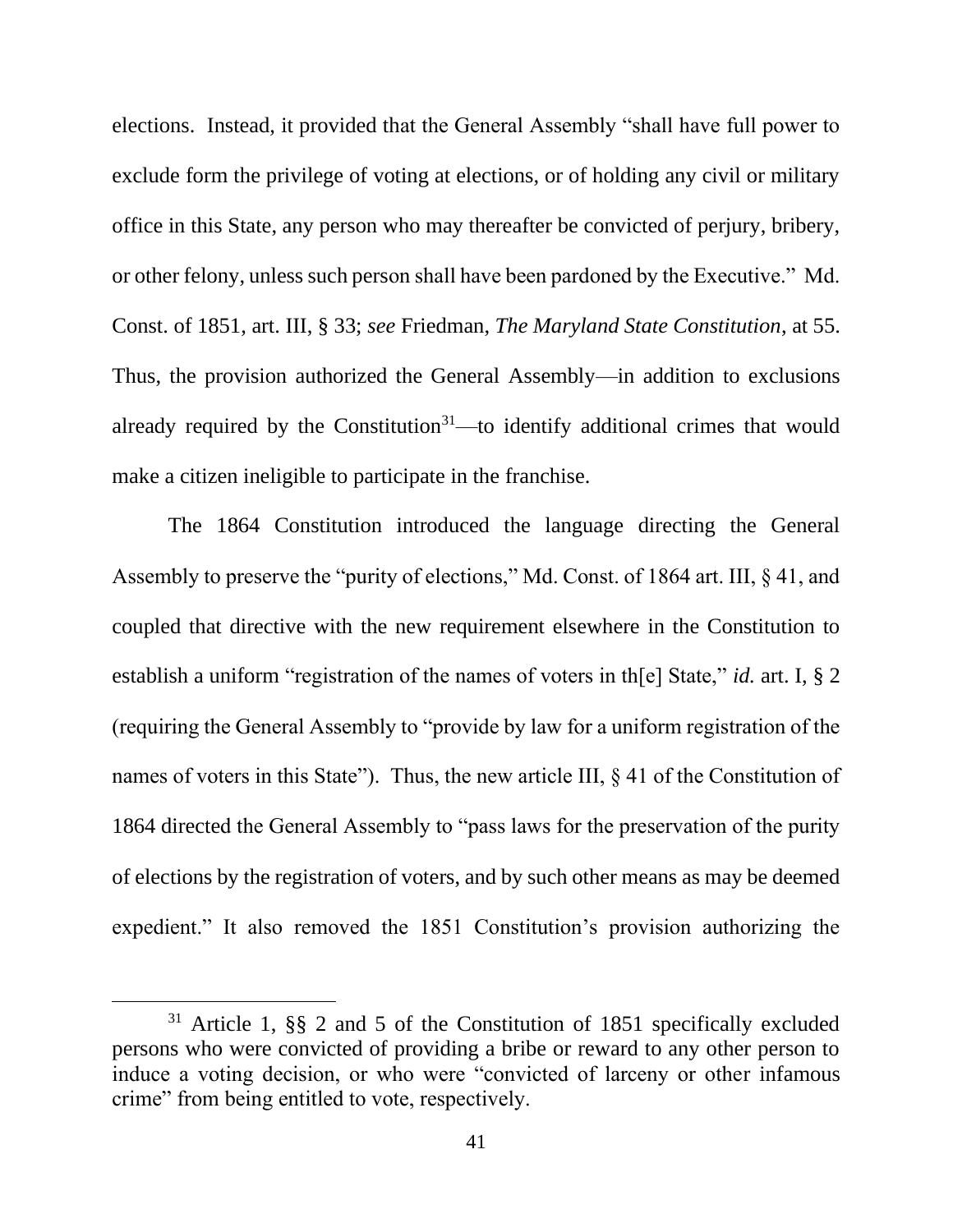elections. Instead, it provided that the General Assembly "shall have full power to exclude form the privilege of voting at elections, or of holding any civil or military office in this State, any person who may thereafter be convicted of perjury, bribery, or other felony, unless such person shall have been pardoned by the Executive." Md. Const. of 1851, art. III, § 33; *see* Friedman, *The Maryland State Constitution*, at 55. Thus, the provision authorized the General Assembly—in addition to exclusions already required by the Constitution<sup>31</sup>—to identify additional crimes that would make a citizen ineligible to participate in the franchise.

The 1864 Constitution introduced the language directing the General Assembly to preserve the "purity of elections," Md. Const. of 1864 art. III, § 41, and coupled that directive with the new requirement elsewhere in the Constitution to establish a uniform "registration of the names of voters in th[e] State," *id.* art. I, § 2 (requiring the General Assembly to "provide by law for a uniform registration of the names of voters in this State"). Thus, the new article III, § 41 of the Constitution of 1864 directed the General Assembly to "pass laws for the preservation of the purity of elections by the registration of voters, and by such other means as may be deemed expedient." It also removed the 1851 Constitution's provision authorizing the

<sup>31</sup> Article 1, §§ 2 and 5 of the Constitution of 1851 specifically excluded persons who were convicted of providing a bribe or reward to any other person to induce a voting decision, or who were "convicted of larceny or other infamous crime" from being entitled to vote, respectively.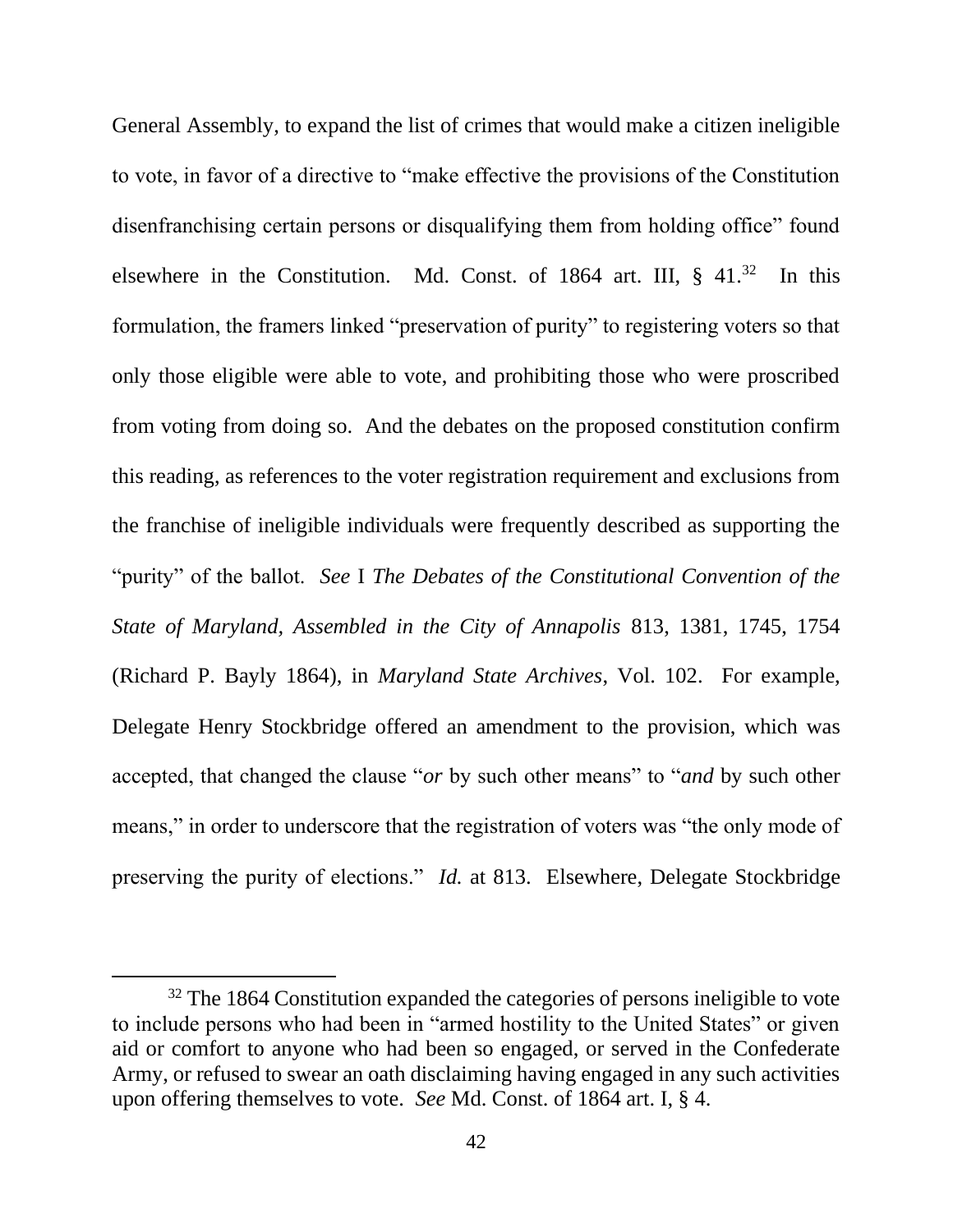General Assembly, to expand the list of crimes that would make a citizen ineligible to vote, in favor of a directive to "make effective the provisions of the Constitution disenfranchising certain persons or disqualifying them from holding office" found elsewhere in the Constitution. Md. Const. of 1864 art. III, § 41.<sup>32</sup> In this formulation, the framers linked "preservation of purity" to registering voters so that only those eligible were able to vote, and prohibiting those who were proscribed from voting from doing so. And the debates on the proposed constitution confirm this reading, as references to the voter registration requirement and exclusions from the franchise of ineligible individuals were frequently described as supporting the "purity" of the ballot. *See* I *The Debates of the Constitutional Convention of the State of Maryland, Assembled in the City of Annapolis* 813, 1381, 1745, 1754 (Richard P. Bayly 1864), in *Maryland State Archives*, Vol. 102. For example, Delegate Henry Stockbridge offered an amendment to the provision, which was accepted, that changed the clause "*or* by such other means" to "*and* by such other means," in order to underscore that the registration of voters was "the only mode of preserving the purity of elections." *Id.* at 813. Elsewhere, Delegate Stockbridge

<sup>&</sup>lt;sup>32</sup> The 1864 Constitution expanded the categories of persons ineligible to vote to include persons who had been in "armed hostility to the United States" or given aid or comfort to anyone who had been so engaged, or served in the Confederate Army, or refused to swear an oath disclaiming having engaged in any such activities upon offering themselves to vote. *See* Md. Const. of 1864 art. I, § 4.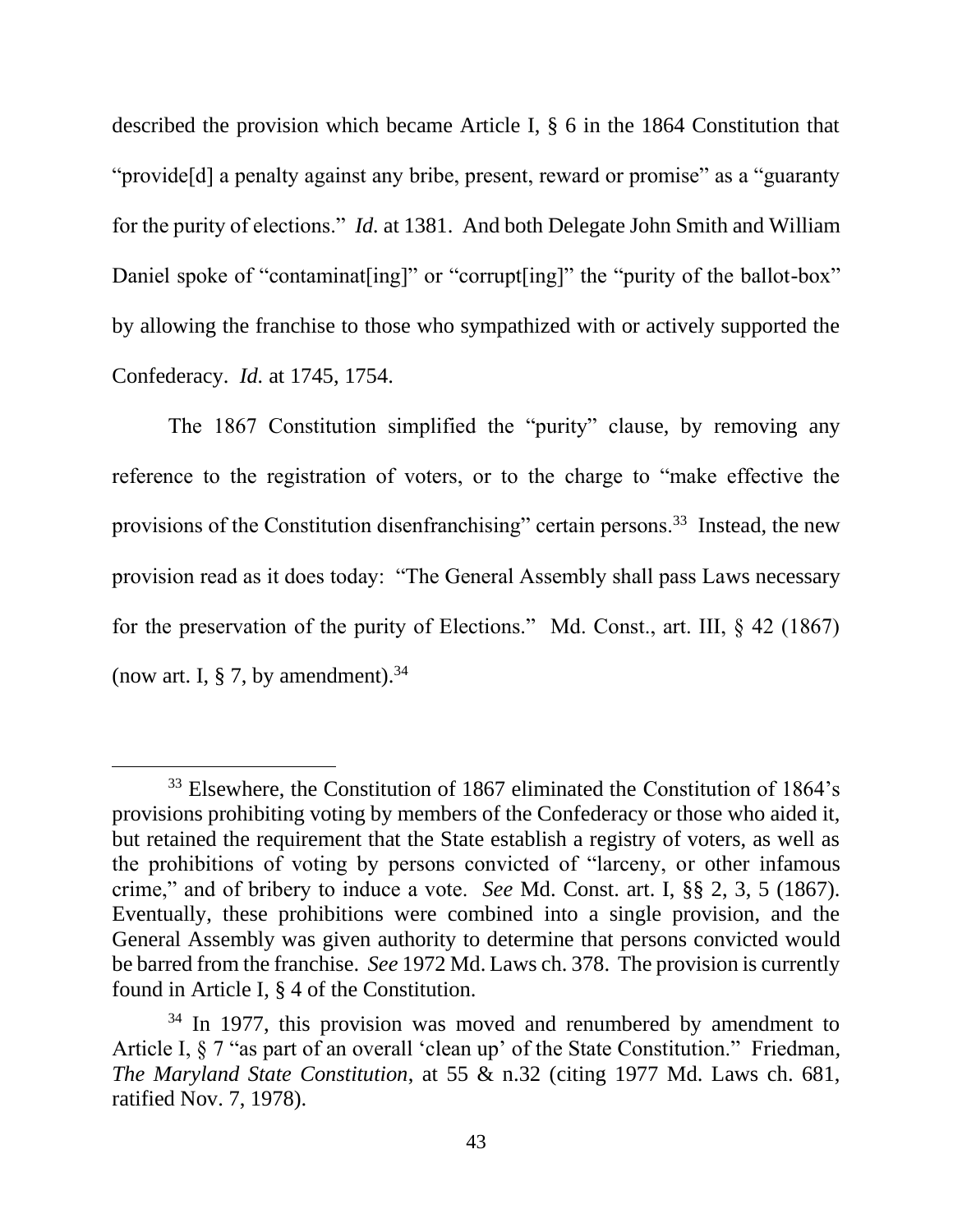described the provision which became Article I, § 6 in the 1864 Constitution that "provide[d] a penalty against any bribe, present, reward or promise" as a "guaranty for the purity of elections." *Id.* at 1381. And both Delegate John Smith and William Daniel spoke of "contaminat [ing]" or "corrupt [ing]" the "purity of the ballot-box" by allowing the franchise to those who sympathized with or actively supported the Confederacy. *Id.* at 1745, 1754.

The 1867 Constitution simplified the "purity" clause, by removing any reference to the registration of voters, or to the charge to "make effective the provisions of the Constitution disenfranchising" certain persons.<sup>33</sup> Instead, the new provision read as it does today: "The General Assembly shall pass Laws necessary for the preservation of the purity of Elections." Md. Const., art. III, § 42 (1867) (now art. I,  $\S$  7, by amendment).<sup>34</sup>

<sup>&</sup>lt;sup>33</sup> Elsewhere, the Constitution of 1867 eliminated the Constitution of 1864's provisions prohibiting voting by members of the Confederacy or those who aided it, but retained the requirement that the State establish a registry of voters, as well as the prohibitions of voting by persons convicted of "larceny, or other infamous crime," and of bribery to induce a vote. *See* Md. Const. art. I, §§ 2, 3, 5 (1867). Eventually, these prohibitions were combined into a single provision, and the General Assembly was given authority to determine that persons convicted would be barred from the franchise. *See* 1972 Md. Laws ch. 378. The provision is currently found in Article I, § 4 of the Constitution.

<sup>&</sup>lt;sup>34</sup> In 1977, this provision was moved and renumbered by amendment to Article I, § 7 "as part of an overall 'clean up' of the State Constitution." Friedman*, The Maryland State Constitution*, at 55 & n.32 (citing 1977 Md. Laws ch. 681, ratified Nov. 7, 1978).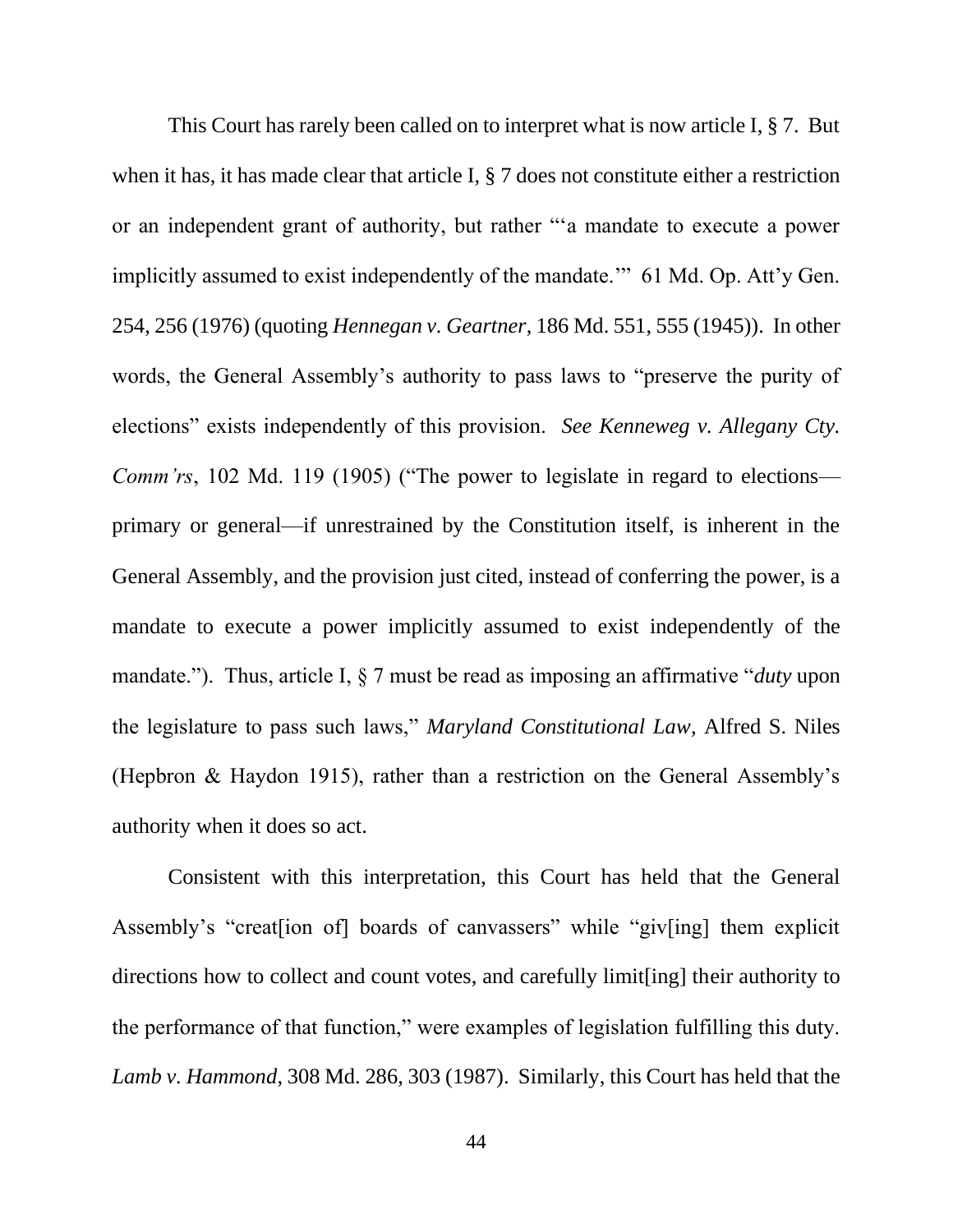This Court has rarely been called on to interpret what is now article I, § 7. But when it has, it has made clear that article I, § 7 does not constitute either a restriction or an independent grant of authority, but rather "'a mandate to execute a power implicitly assumed to exist independently of the mandate.'" 61 Md. Op. Att'y Gen. 254, 256 (1976) (quoting *Hennegan v. Geartner*, 186 Md. 551, 555 (1945)). In other words, the General Assembly's authority to pass laws to "preserve the purity of elections" exists independently of this provision. *See Kenneweg v. Allegany Cty. Comm'rs*, 102 Md. 119 (1905) ("The power to legislate in regard to elections primary or general—if unrestrained by the Constitution itself, is inherent in the General Assembly, and the provision just cited, instead of conferring the power, is a mandate to execute a power implicitly assumed to exist independently of the mandate."). Thus, article I, § 7 must be read as imposing an affirmative "*duty* upon the legislature to pass such laws," *Maryland Constitutional Law*, Alfred S. Niles (Hepbron & Haydon 1915), rather than a restriction on the General Assembly's authority when it does so act.

Consistent with this interpretation, this Court has held that the General Assembly's "creat[ion of] boards of canvassers" while "giv[ing] them explicit directions how to collect and count votes, and carefully limit[ing] their authority to the performance of that function," were examples of legislation fulfilling this duty. *Lamb v. Hammond*, 308 Md. 286, 303 (1987). Similarly, this Court has held that the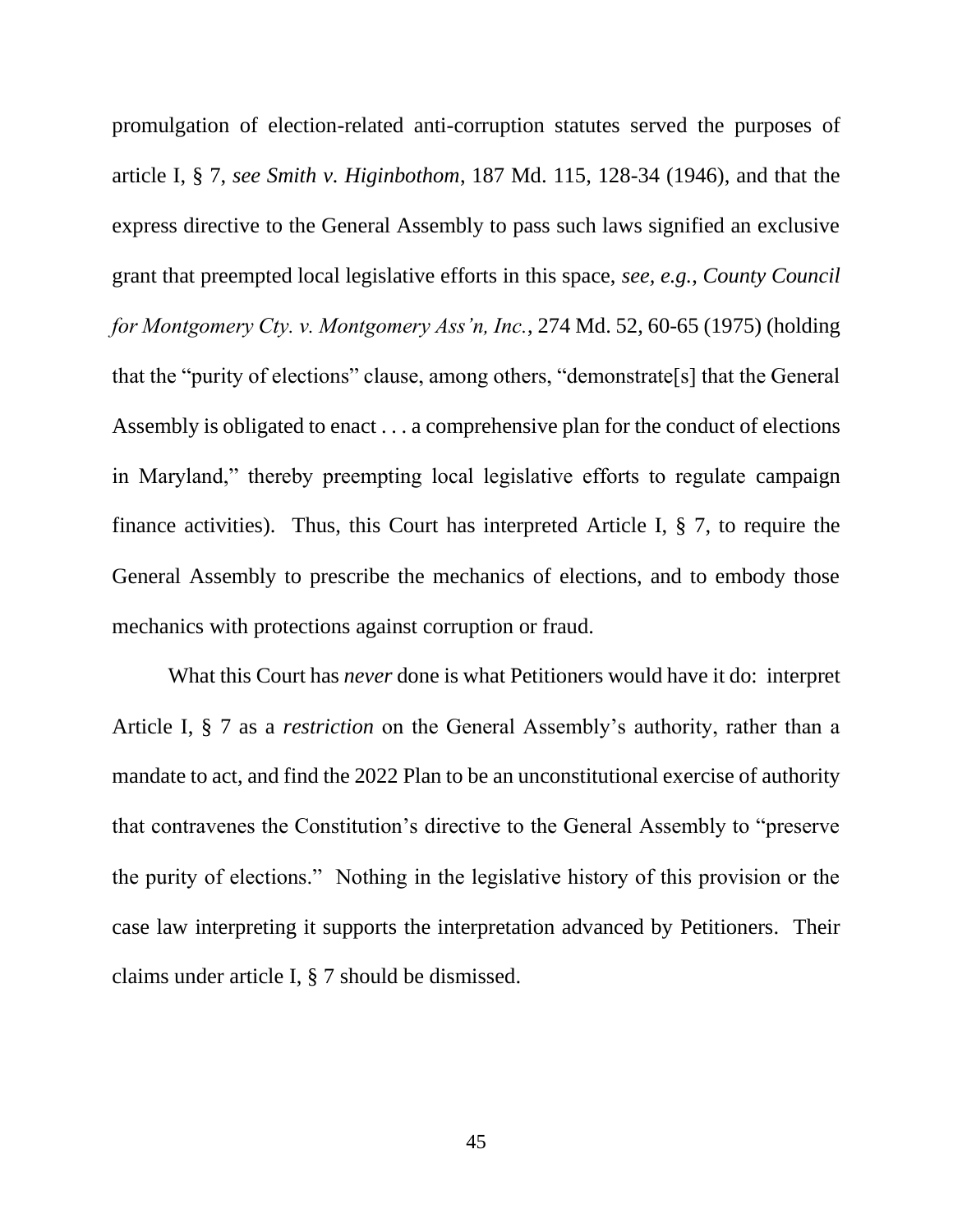promulgation of election-related anti-corruption statutes served the purposes of article I, § 7, *see Smith v. Higinbothom*, 187 Md. 115, 128-34 (1946), and that the express directive to the General Assembly to pass such laws signified an exclusive grant that preempted local legislative efforts in this space, *see, e.g.*, *County Council for Montgomery Cty. v. Montgomery Ass'n, Inc.*, 274 Md. 52, 60-65 (1975) (holding that the "purity of elections" clause, among others, "demonstrate[s] that the General Assembly is obligated to enact . . . a comprehensive plan for the conduct of elections in Maryland," thereby preempting local legislative efforts to regulate campaign finance activities). Thus, this Court has interpreted Article I, § 7, to require the General Assembly to prescribe the mechanics of elections, and to embody those mechanics with protections against corruption or fraud.

What this Court has *never* done is what Petitioners would have it do: interpret Article I, § 7 as a *restriction* on the General Assembly's authority, rather than a mandate to act, and find the 2022 Plan to be an unconstitutional exercise of authority that contravenes the Constitution's directive to the General Assembly to "preserve the purity of elections." Nothing in the legislative history of this provision or the case law interpreting it supports the interpretation advanced by Petitioners. Their claims under article I, § 7 should be dismissed.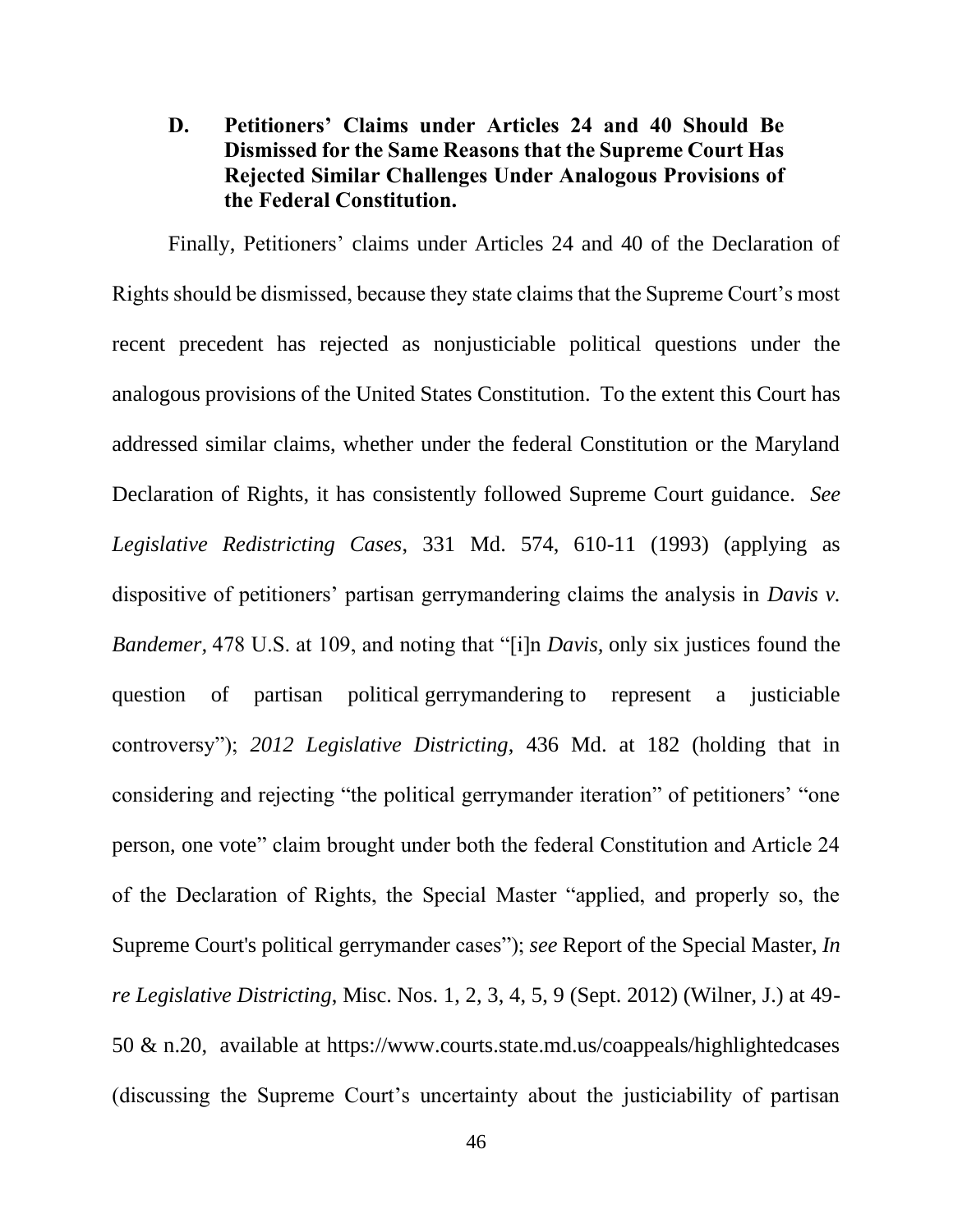# **D. Petitioners' Claims under Articles 24 and 40 Should Be Dismissed for the Same Reasons that the Supreme Court Has Rejected Similar Challenges Under Analogous Provisions of the Federal Constitution.**

Finally, Petitioners' claims under Articles 24 and 40 of the Declaration of Rights should be dismissed, because they state claims that the Supreme Court's most recent precedent has rejected as nonjusticiable political questions under the analogous provisions of the United States Constitution. To the extent this Court has addressed similar claims, whether under the federal Constitution or the Maryland Declaration of Rights, it has consistently followed Supreme Court guidance. *See Legislative Redistricting Cases*, 331 Md. 574, 610-11 (1993) (applying as dispositive of petitioners' partisan gerrymandering claims the analysis in *Davis v. Bandemer,* 478 U.S. at 109, and noting that "[i]n *Davis,* only six justices found the question of partisan political gerrymandering to represent a justiciable controversy"); *2012 Legislative Districting*, 436 Md. at 182 (holding that in considering and rejecting "the political gerrymander iteration" of petitioners' "one person, one vote" claim brought under both the federal Constitution and Article 24 of the Declaration of Rights, the Special Master "applied, and properly so, the Supreme Court's political gerrymander cases"); *see* Report of the Special Master, *In re Legislative Districting*, Misc. Nos. 1, 2, 3, 4, 5, 9 (Sept. 2012) (Wilner, J.) at 49- 50 & n.20, available at https://www.courts.state.md.us/coappeals/highlightedcases (discussing the Supreme Court's uncertainty about the justiciability of partisan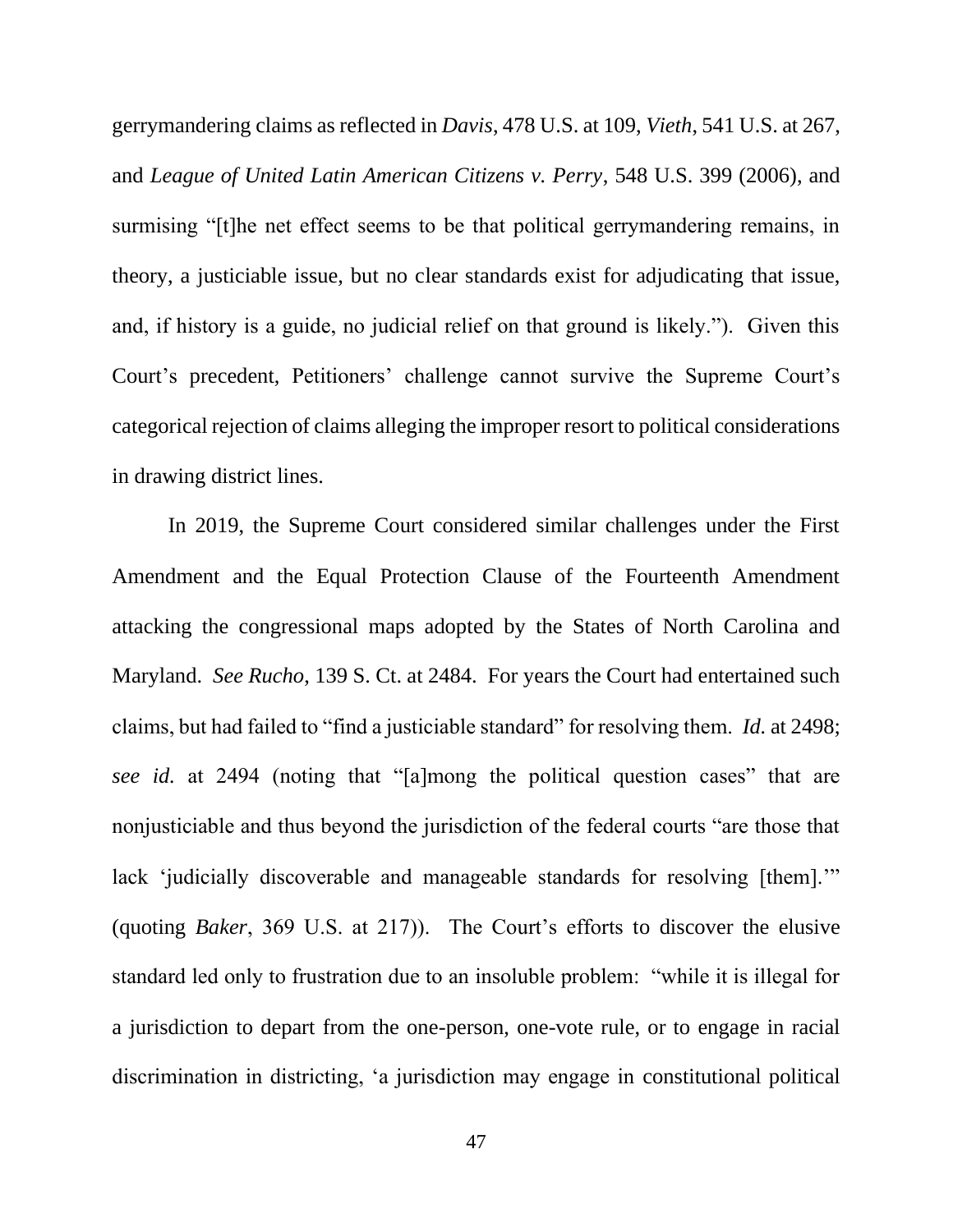gerrymandering claims as reflected in *Davis*, 478 U.S. at 109, *Vieth*, 541 U.S. at 267, and *League of United Latin American Citizens v. Perry*, 548 U.S. 399 (2006), and surmising "[t]he net effect seems to be that political gerrymandering remains, in theory, a justiciable issue, but no clear standards exist for adjudicating that issue, and, if history is a guide, no judicial relief on that ground is likely."). Given this Court's precedent, Petitioners' challenge cannot survive the Supreme Court's categorical rejection of claims alleging the improper resort to political considerations in drawing district lines.

In 2019, the Supreme Court considered similar challenges under the First Amendment and the Equal Protection Clause of the Fourteenth Amendment attacking the congressional maps adopted by the States of North Carolina and Maryland. *See Rucho*, 139 S. Ct. at 2484. For years the Court had entertained such claims, but had failed to "find a justiciable standard" for resolving them. *Id.* at 2498; *see id.* at 2494 (noting that "[a]mong the political question cases" that are nonjusticiable and thus beyond the jurisdiction of the federal courts "are those that lack 'judicially discoverable and manageable standards for resolving [them]." (quoting *Baker*, 369 U.S. at 217)). The Court's efforts to discover the elusive standard led only to frustration due to an insoluble problem: "while it is illegal for a jurisdiction to depart from the one-person, one-vote rule, or to engage in racial discrimination in districting, 'a jurisdiction may engage in constitutional political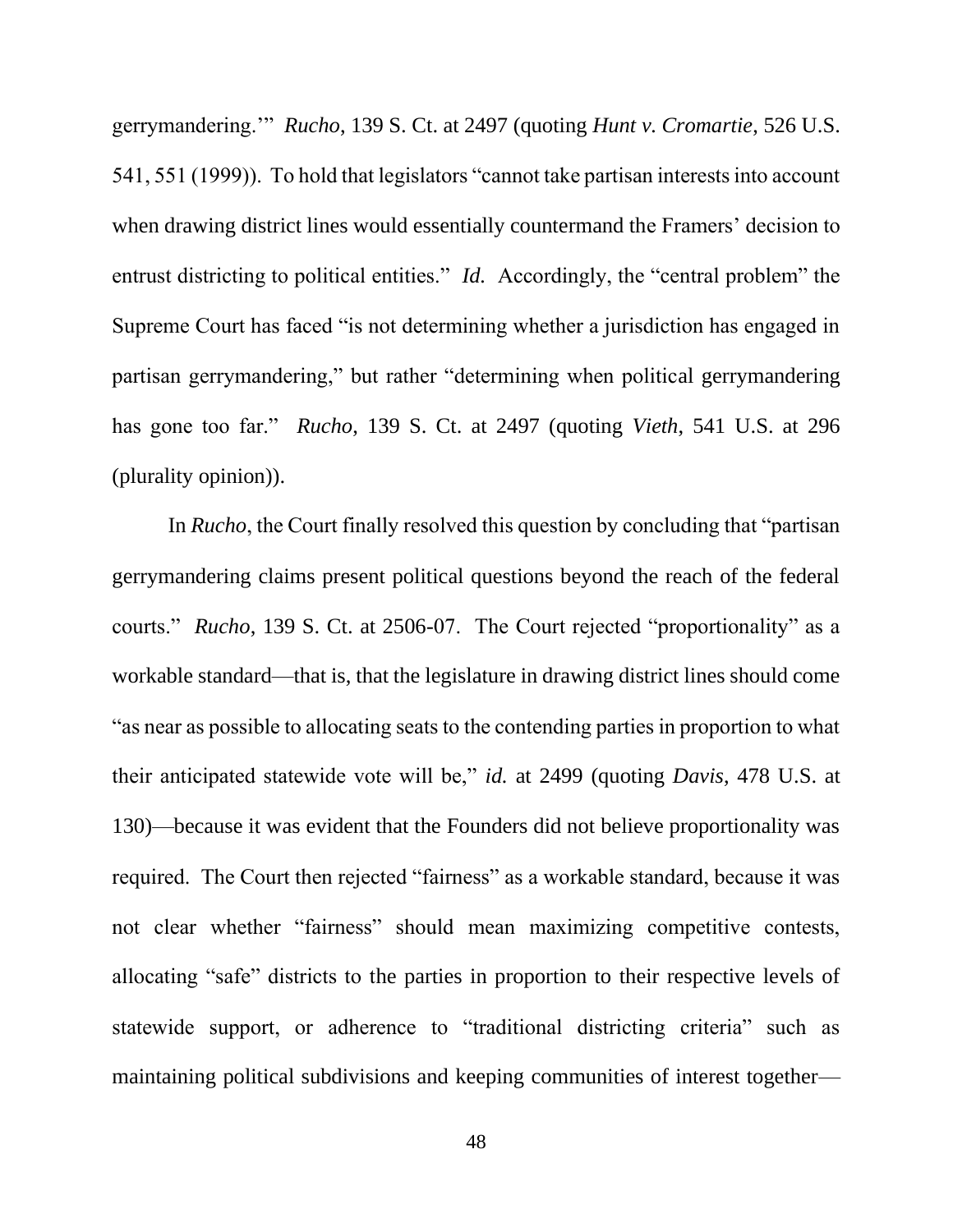gerrymandering.'" *Rucho*, 139 S. Ct. at 2497 (quoting *Hunt v. Cromartie*, 526 U.S. 541, 551 (1999)). To hold that legislators "cannot take partisan interests into account when drawing district lines would essentially countermand the Framers' decision to entrust districting to political entities." *Id.* Accordingly, the "central problem" the Supreme Court has faced "is not determining whether a jurisdiction has engaged in partisan gerrymandering," but rather "determining when political gerrymandering has gone too far." *Rucho*, 139 S. Ct. at 2497 (quoting *Vieth*, 541 U.S. at 296 (plurality opinion)).

In *Rucho*, the Court finally resolved this question by concluding that "partisan gerrymandering claims present political questions beyond the reach of the federal courts." *Rucho*, 139 S. Ct. at 2506-07. The Court rejected "proportionality" as a workable standard—that is, that the legislature in drawing district lines should come "as near as possible to allocating seats to the contending parties in proportion to what their anticipated statewide vote will be," *id.* at 2499 (quoting *Davis*, 478 U.S. at 130)—because it was evident that the Founders did not believe proportionality was required. The Court then rejected "fairness" as a workable standard, because it was not clear whether "fairness" should mean maximizing competitive contests, allocating "safe" districts to the parties in proportion to their respective levels of statewide support, or adherence to "traditional districting criteria" such as maintaining political subdivisions and keeping communities of interest together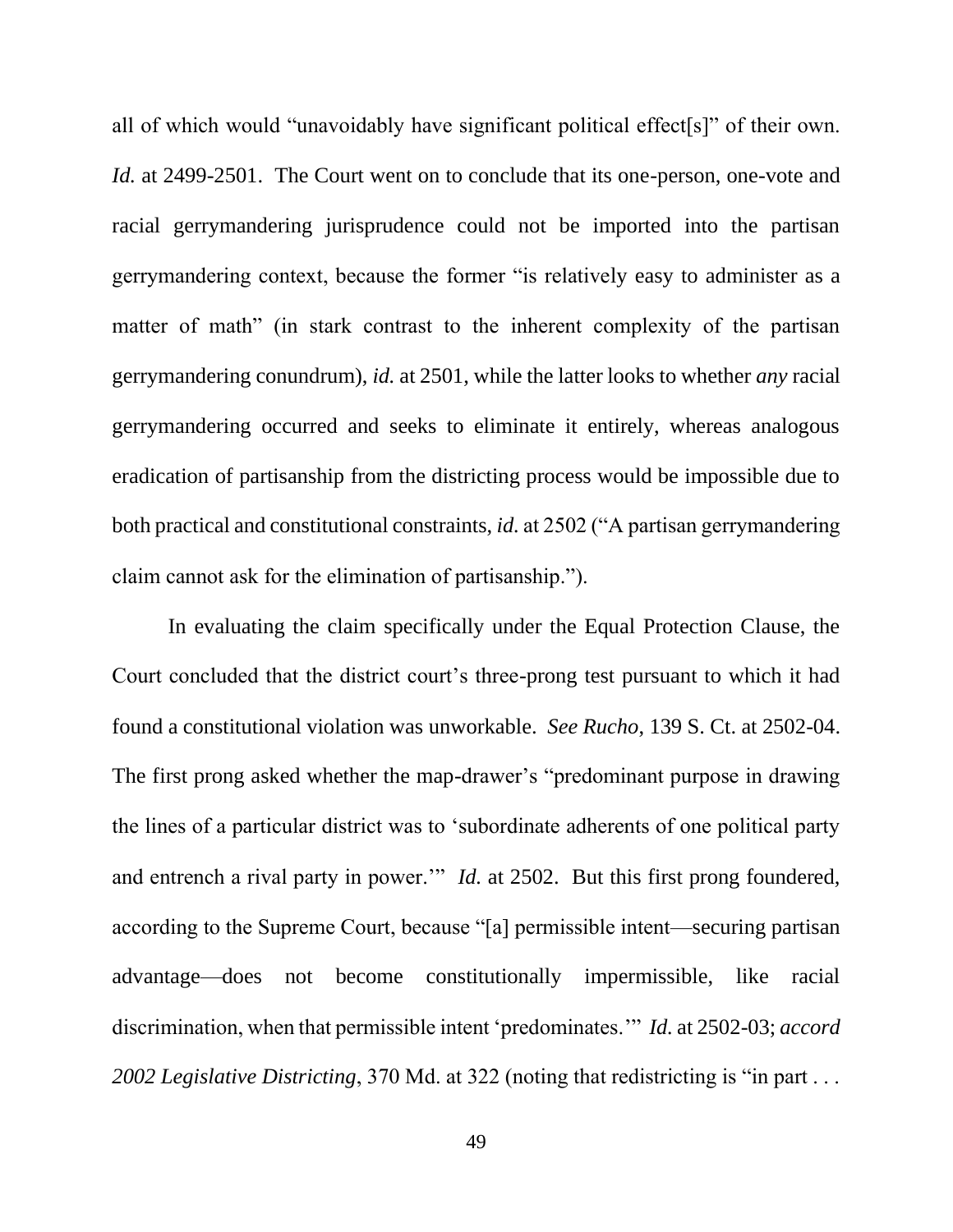all of which would "unavoidably have significant political effect[s]" of their own. *Id.* at 2499-2501. The Court went on to conclude that its one-person, one-vote and racial gerrymandering jurisprudence could not be imported into the partisan gerrymandering context, because the former "is relatively easy to administer as a matter of math" (in stark contrast to the inherent complexity of the partisan gerrymandering conundrum), *id.* at 2501, while the latter looks to whether *any* racial gerrymandering occurred and seeks to eliminate it entirely, whereas analogous eradication of partisanship from the districting process would be impossible due to both practical and constitutional constraints, *id.* at 2502 ("A partisan gerrymandering claim cannot ask for the elimination of partisanship.").

In evaluating the claim specifically under the Equal Protection Clause, the Court concluded that the district court's three-prong test pursuant to which it had found a constitutional violation was unworkable. *See Rucho*, 139 S. Ct. at 2502-04. The first prong asked whether the map-drawer's "predominant purpose in drawing the lines of a particular district was to 'subordinate adherents of one political party and entrench a rival party in power.'" *Id.* at 2502. But this first prong foundered, according to the Supreme Court, because "[a] permissible intent—securing partisan advantage—does not become constitutionally impermissible, like racial discrimination, when that permissible intent 'predominates.'" *Id.* at 2502-03; *accord 2002 Legislative Districting*, 370 Md. at 322 (noting that redistricting is "in part . . .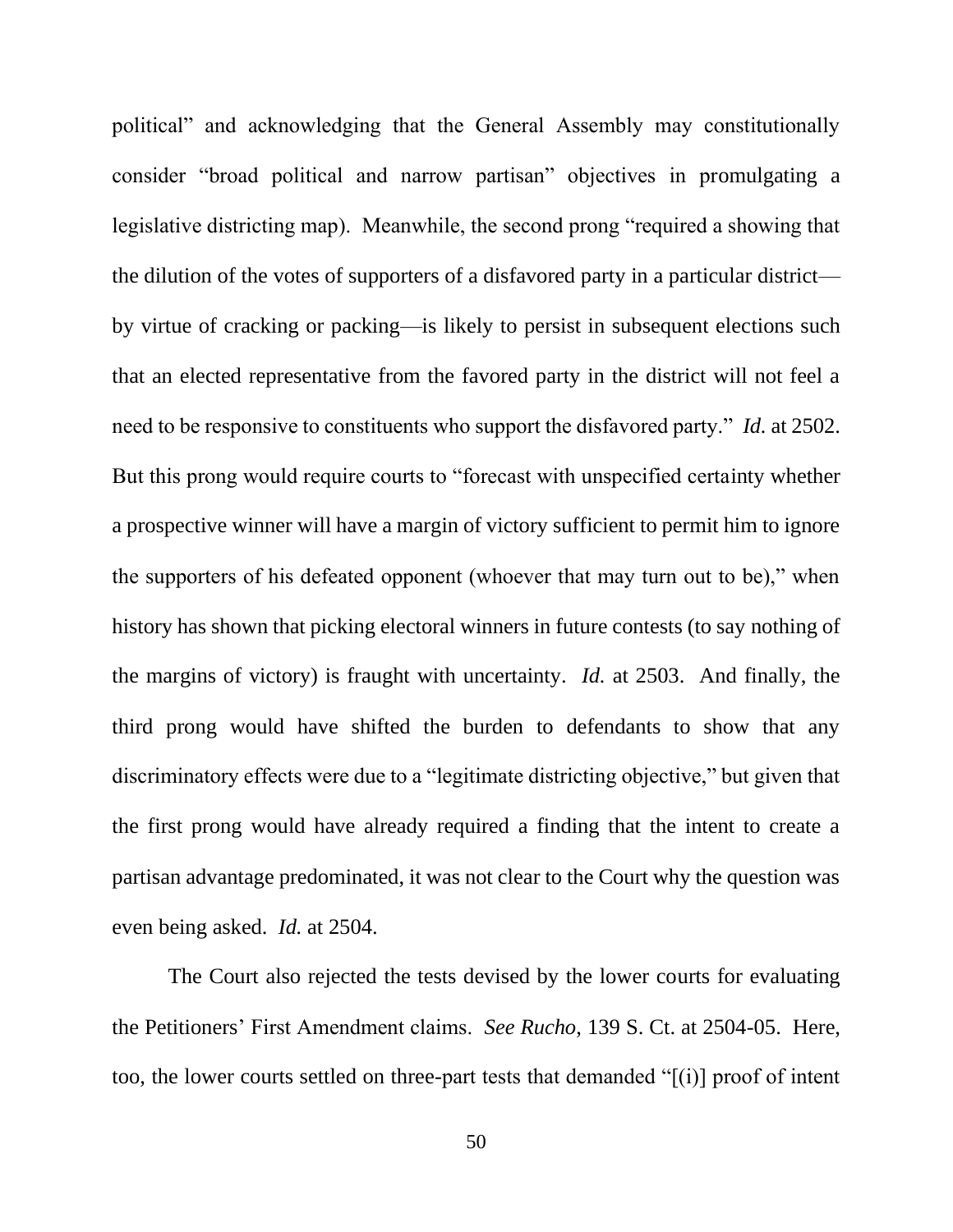political" and acknowledging that the General Assembly may constitutionally consider "broad political and narrow partisan" objectives in promulgating a legislative districting map). Meanwhile, the second prong "required a showing that the dilution of the votes of supporters of a disfavored party in a particular district by virtue of cracking or packing—is likely to persist in subsequent elections such that an elected representative from the favored party in the district will not feel a need to be responsive to constituents who support the disfavored party." *Id.* at 2502. But this prong would require courts to "forecast with unspecified certainty whether a prospective winner will have a margin of victory sufficient to permit him to ignore the supporters of his defeated opponent (whoever that may turn out to be)," when history has shown that picking electoral winners in future contests (to say nothing of the margins of victory) is fraught with uncertainty. *Id.* at 2503. And finally, the third prong would have shifted the burden to defendants to show that any discriminatory effects were due to a "legitimate districting objective," but given that the first prong would have already required a finding that the intent to create a partisan advantage predominated, it was not clear to the Court why the question was even being asked. *Id.* at 2504.

The Court also rejected the tests devised by the lower courts for evaluating the Petitioners' First Amendment claims. *See Rucho*, 139 S. Ct. at 2504-05. Here, too, the lower courts settled on three-part tests that demanded " $[(i)]$  proof of intent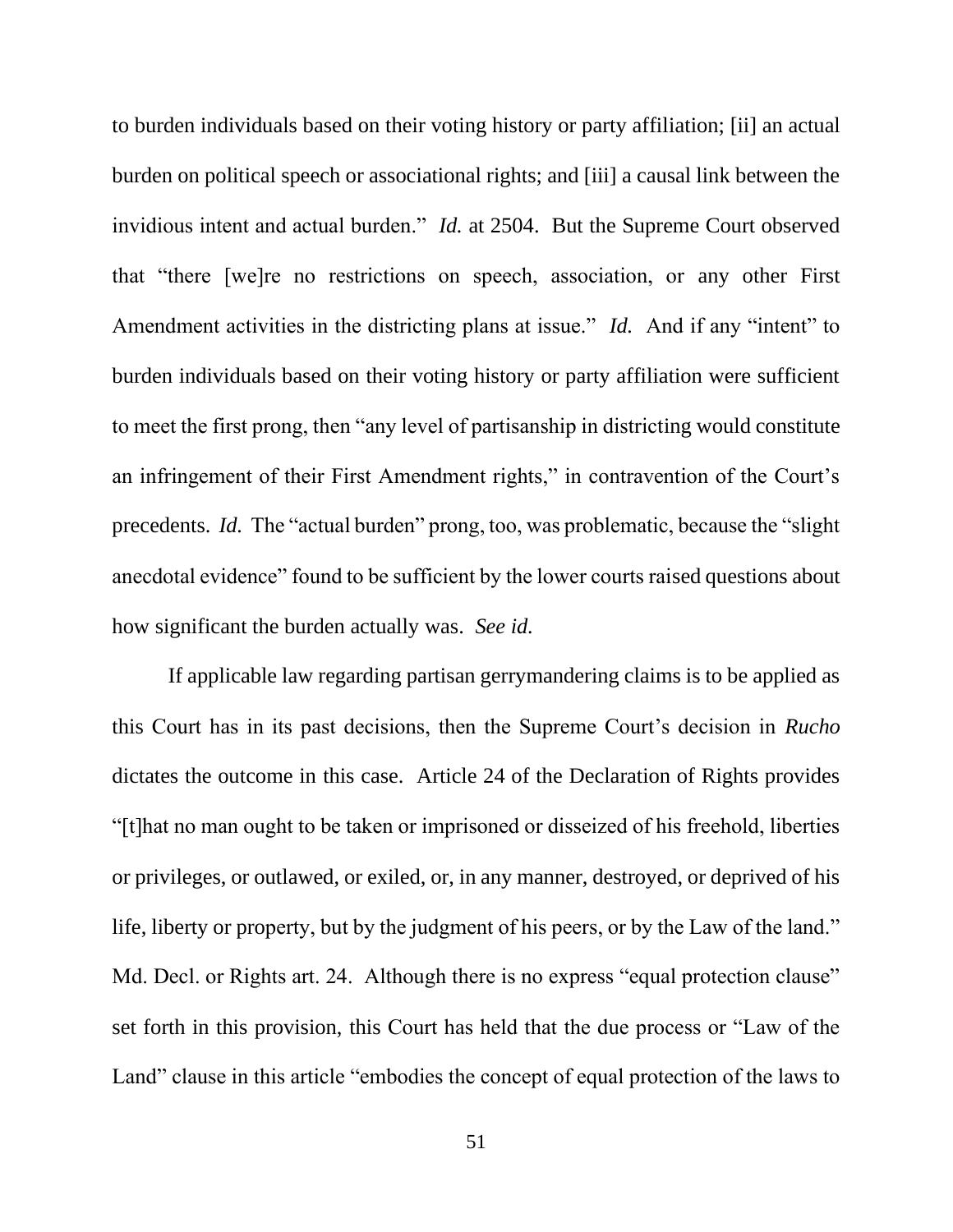to burden individuals based on their voting history or party affiliation; [ii] an actual burden on political speech or associational rights; and [iii] a causal link between the invidious intent and actual burden." *Id.* at 2504. But the Supreme Court observed that "there [we]re no restrictions on speech, association, or any other First Amendment activities in the districting plans at issue." *Id.* And if any "intent" to burden individuals based on their voting history or party affiliation were sufficient to meet the first prong, then "any level of partisanship in districting would constitute an infringement of their First Amendment rights," in contravention of the Court's precedents. *Id.* The "actual burden" prong, too, was problematic, because the "slight anecdotal evidence" found to be sufficient by the lower courts raised questions about how significant the burden actually was. *See id.*

If applicable law regarding partisan gerrymandering claims is to be applied as this Court has in its past decisions, then the Supreme Court's decision in *Rucho*  dictates the outcome in this case. Article 24 of the Declaration of Rights provides "[t]hat no man ought to be taken or imprisoned or disseized of his freehold, liberties or privileges, or outlawed, or exiled, or, in any manner, destroyed, or deprived of his life, liberty or property, but by the judgment of his peers, or by the Law of the land." Md. Decl. or Rights art. 24. Although there is no express "equal protection clause" set forth in this provision, this Court has held that the due process or "Law of the Land" clause in this article "embodies the concept of equal protection of the laws to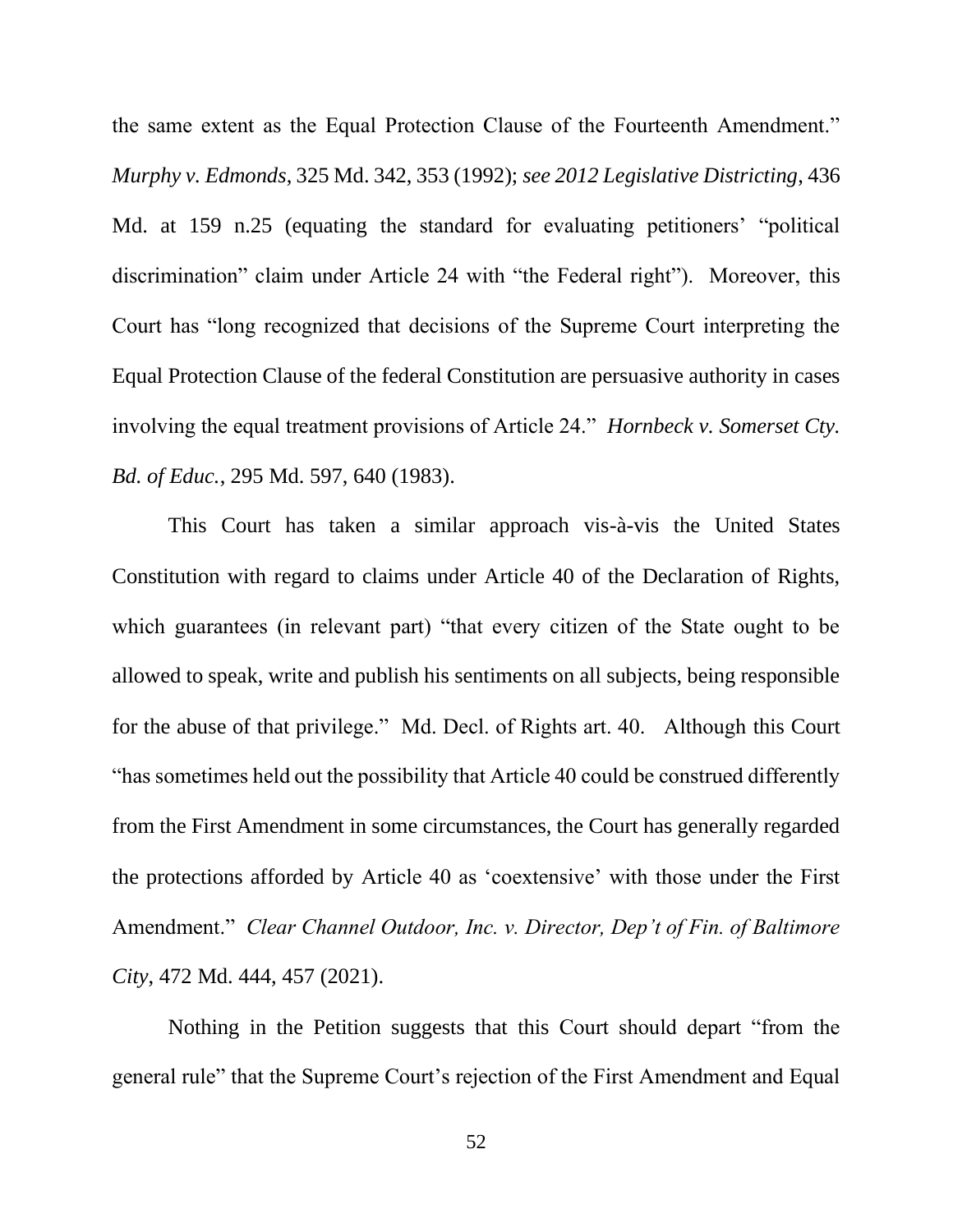the same extent as the Equal Protection Clause of the Fourteenth Amendment." *Murphy v. Edmonds*, 325 Md. 342, 353 (1992); *see 2012 Legislative Districting*, 436 Md. at 159 n.25 (equating the standard for evaluating petitioners' "political" discrimination" claim under Article 24 with "the Federal right"). Moreover, this Court has "long recognized that decisions of the Supreme Court interpreting the Equal Protection Clause of the federal Constitution are persuasive authority in cases involving the equal treatment provisions of Article 24." *Hornbeck v. Somerset Cty. Bd. of Educ.*, 295 Md. 597, 640 (1983).

This Court has taken a similar approach vis-à-vis the United States Constitution with regard to claims under Article 40 of the Declaration of Rights, which guarantees (in relevant part) "that every citizen of the State ought to be allowed to speak, write and publish his sentiments on all subjects, being responsible for the abuse of that privilege." Md. Decl. of Rights art. 40. Although this Court "has sometimes held out the possibility that Article 40 could be construed differently from the First Amendment in some circumstances, the Court has generally regarded the protections afforded by Article 40 as 'coextensive' with those under the First Amendment." *Clear Channel Outdoor, Inc. v. Director, Dep't of Fin. of Baltimore City*, 472 Md. 444, 457 (2021).

Nothing in the Petition suggests that this Court should depart "from the general rule" that the Supreme Court's rejection of the First Amendment and Equal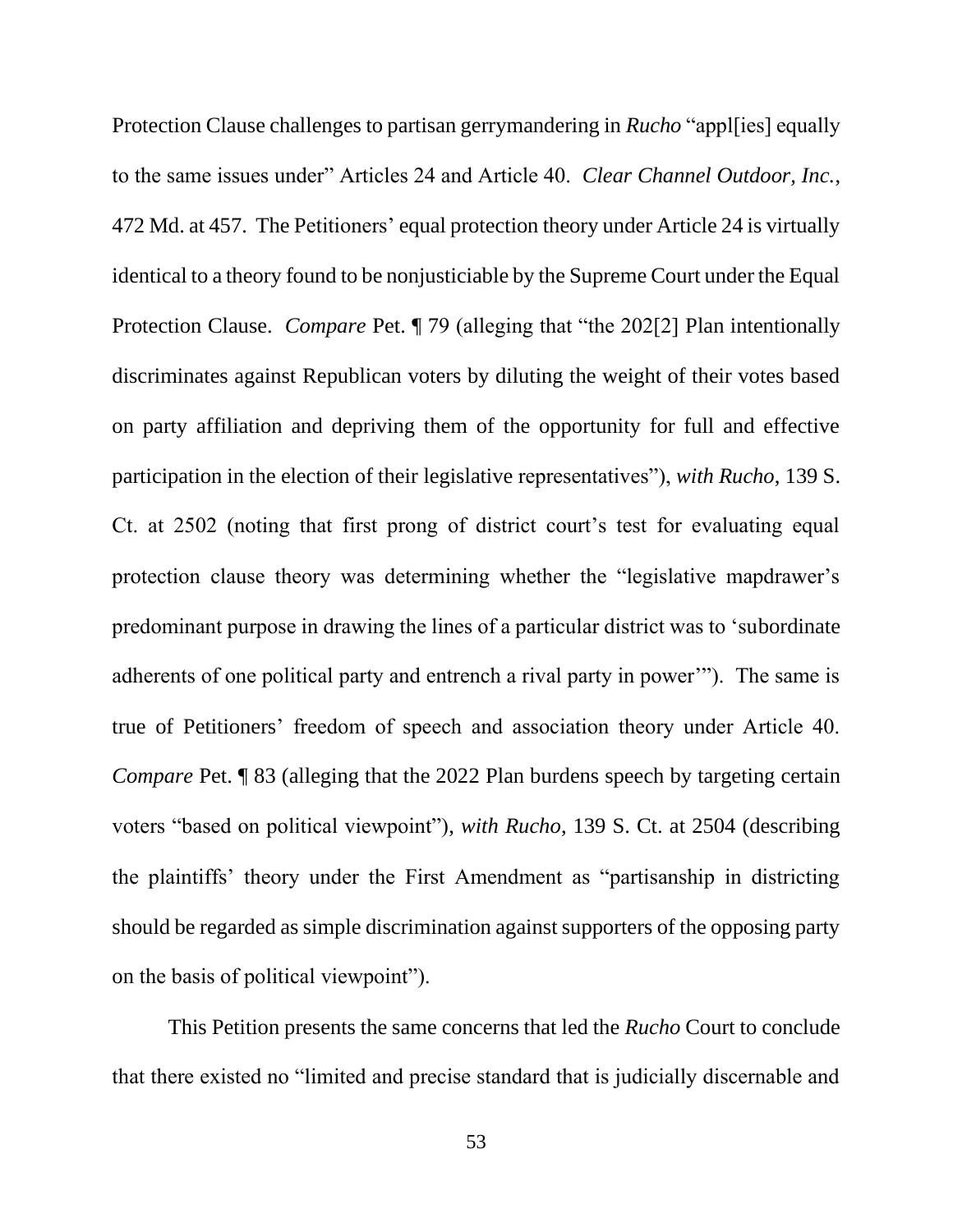Protection Clause challenges to partisan gerrymandering in *Rucho* "appl[ies] equally to the same issues under" Articles 24 and Article 40. *Clear Channel Outdoor, Inc.*, 472 Md. at 457. The Petitioners' equal protection theory under Article 24 is virtually identical to a theory found to be nonjusticiable by the Supreme Court under the Equal Protection Clause. *Compare* Pet. ¶ 79 (alleging that "the 202[2] Plan intentionally discriminates against Republican voters by diluting the weight of their votes based on party affiliation and depriving them of the opportunity for full and effective participation in the election of their legislative representatives"), *with Rucho*, 139 S. Ct. at 2502 (noting that first prong of district court's test for evaluating equal protection clause theory was determining whether the "legislative mapdrawer's predominant purpose in drawing the lines of a particular district was to 'subordinate adherents of one political party and entrench a rival party in power'"). The same is true of Petitioners' freedom of speech and association theory under Article 40. *Compare* Pet. *¶* 83 (alleging that the 2022 Plan burdens speech by targeting certain voters "based on political viewpoint"), *with Rucho*, 139 S. Ct. at 2504 (describing the plaintiffs' theory under the First Amendment as "partisanship in districting should be regarded as simple discrimination against supporters of the opposing party on the basis of political viewpoint").

This Petition presents the same concerns that led the *Rucho* Court to conclude that there existed no "limited and precise standard that is judicially discernable and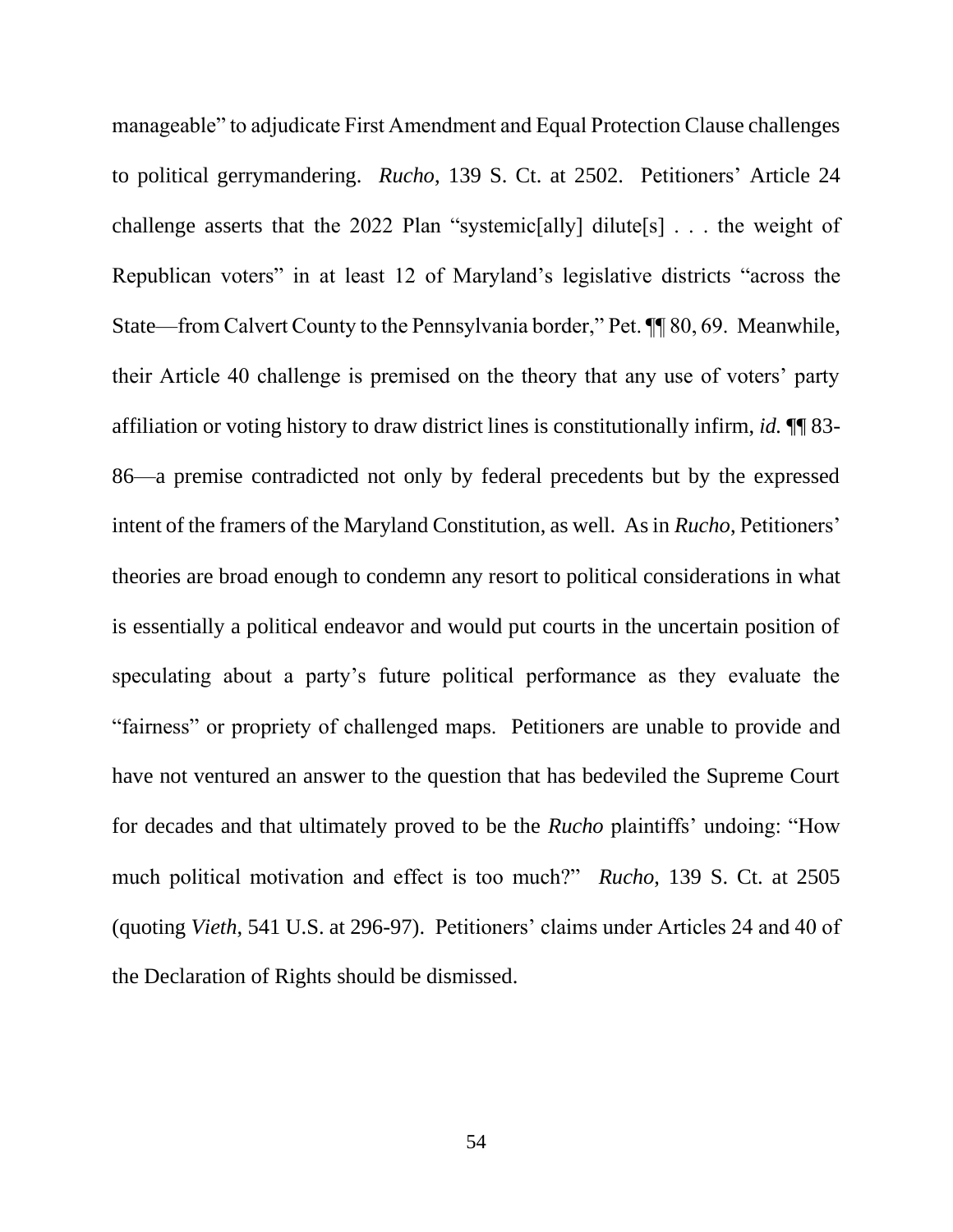manageable" to adjudicate First Amendment and Equal Protection Clause challenges to political gerrymandering. *Rucho*, 139 S. Ct. at 2502. Petitioners' Article 24 challenge asserts that the 2022 Plan "systemic[ally] dilute[s]  $\ldots$  the weight of Republican voters" in at least 12 of Maryland's legislative districts "across the State—from Calvert County to the Pennsylvania border," Pet. ¶¶ 80, 69. Meanwhile, their Article 40 challenge is premised on the theory that any use of voters' party affiliation or voting history to draw district lines is constitutionally infirm, *id.* ¶¶ 83- 86—a premise contradicted not only by federal precedents but by the expressed intent of the framers of the Maryland Constitution, as well. As in *Rucho*, Petitioners' theories are broad enough to condemn any resort to political considerations in what is essentially a political endeavor and would put courts in the uncertain position of speculating about a party's future political performance as they evaluate the "fairness" or propriety of challenged maps. Petitioners are unable to provide and have not ventured an answer to the question that has bedeviled the Supreme Court for decades and that ultimately proved to be the *Rucho* plaintiffs' undoing: "How much political motivation and effect is too much?" *Rucho*, 139 S. Ct. at 2505 (quoting *Vieth*, 541 U.S. at 296-97). Petitioners' claims under Articles 24 and 40 of the Declaration of Rights should be dismissed.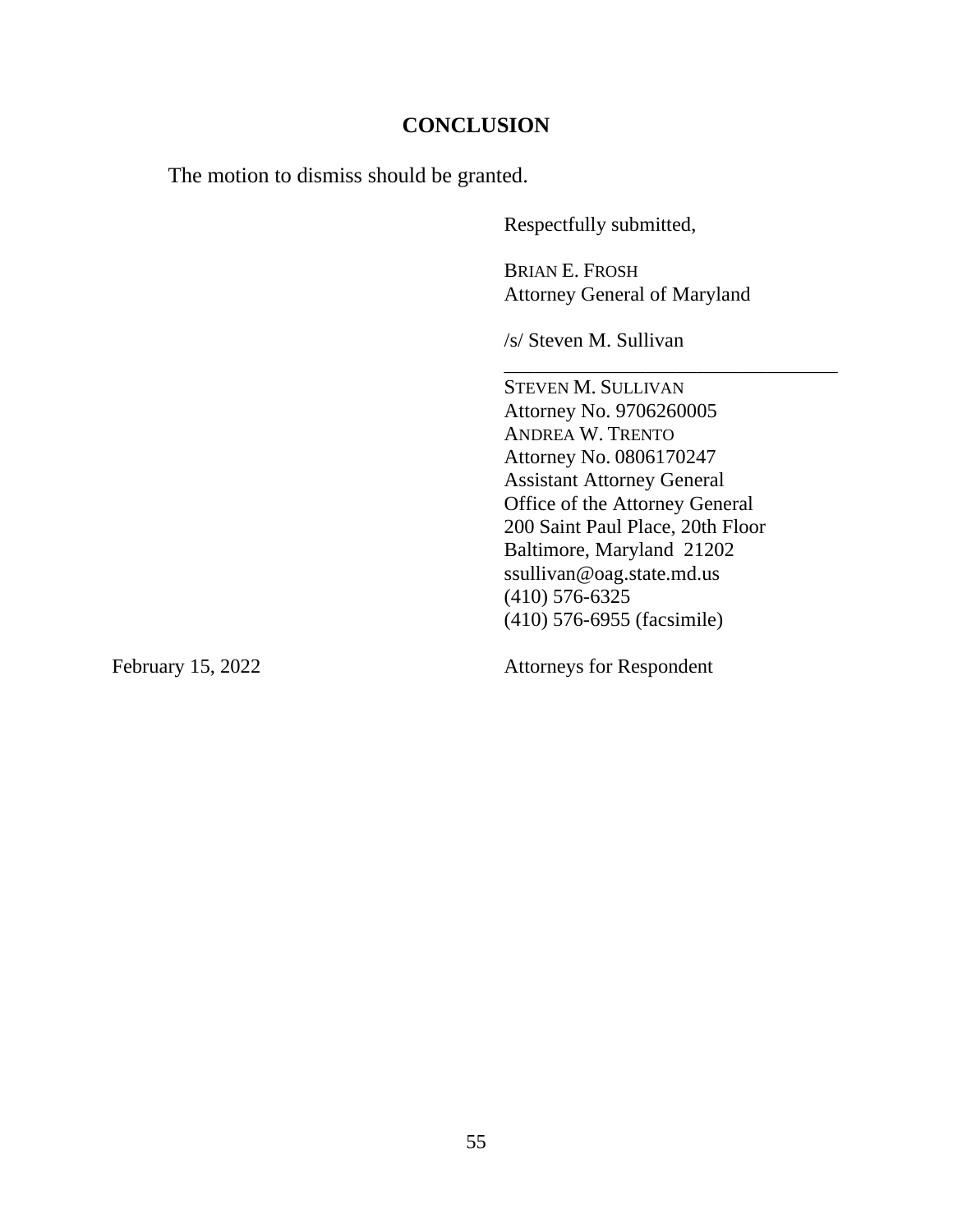### **CONCLUSION**

The motion to dismiss should be granted.

Respectfully submitted,

BRIAN E. FROSH Attorney General of Maryland

\_\_\_\_\_\_\_\_\_\_\_\_\_\_\_\_\_\_\_\_\_\_\_\_\_\_\_\_\_\_\_\_\_

/s/ Steven M. Sullivan

STEVEN M. SULLIVAN Attorney No. 9706260005 ANDREA W. TRENTO Attorney No. 0806170247 Assistant Attorney General Office of the Attorney General 200 Saint Paul Place, 20th Floor Baltimore, Maryland 21202 ssullivan@oag.state.md.us (410) 576-6325 (410) 576-6955 (facsimile)

February 15, 2022 Attorneys for Respondent